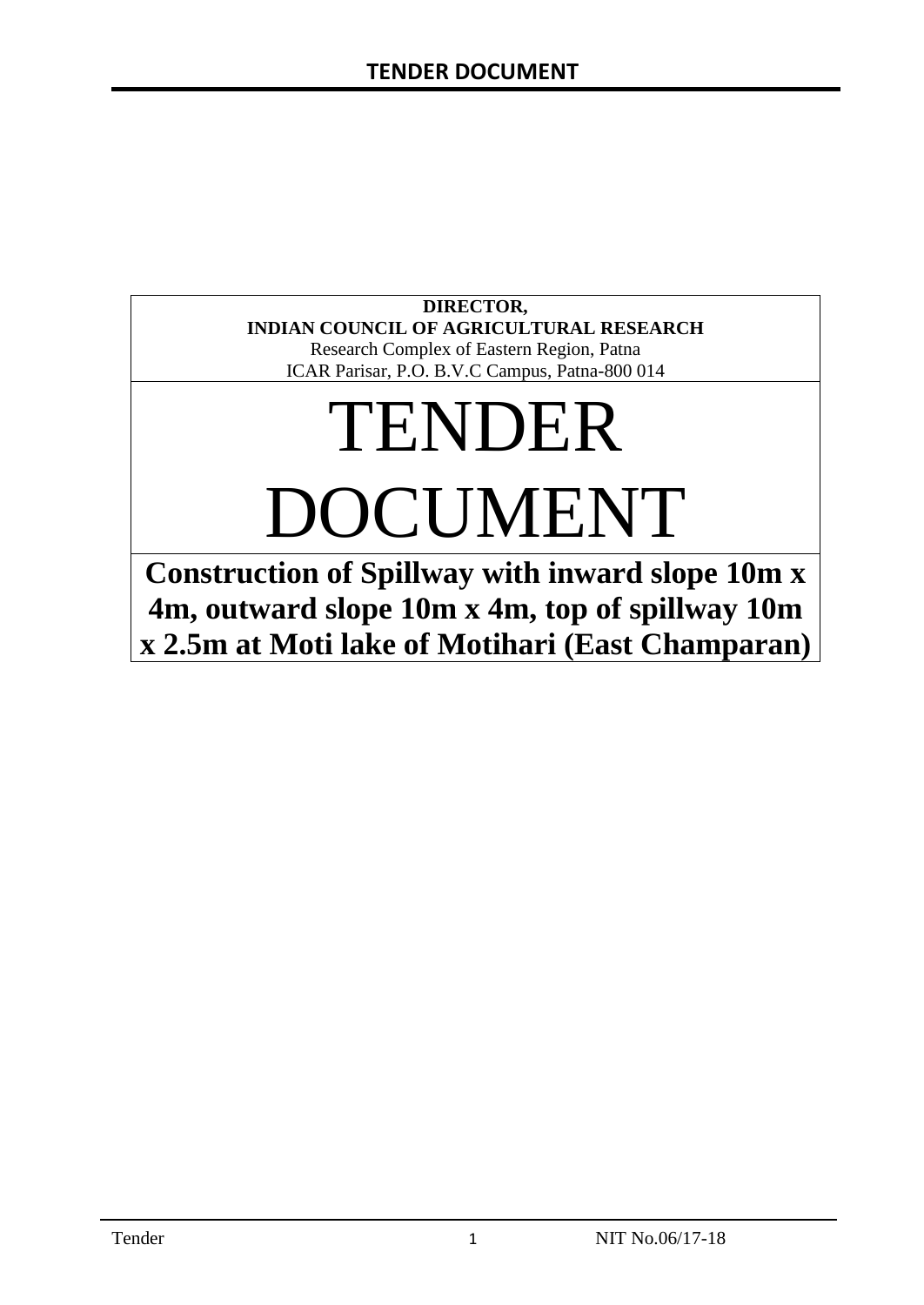# **DIRECTOR, INDIAN COUNCIL OF AGRICULTURAL RESEARCH**

Research Complex of Eastern Region, Patna ICAR Parisar, P.O. B.V.C Campus, Patna-800 014

# TENDER DOCUMENT

**Construction of Spillway with inward slope 10m x 4m, outward slope 10m x 4m, top of spillway 10m x 2.5m at Moti lake of Motihari (East Champaran)**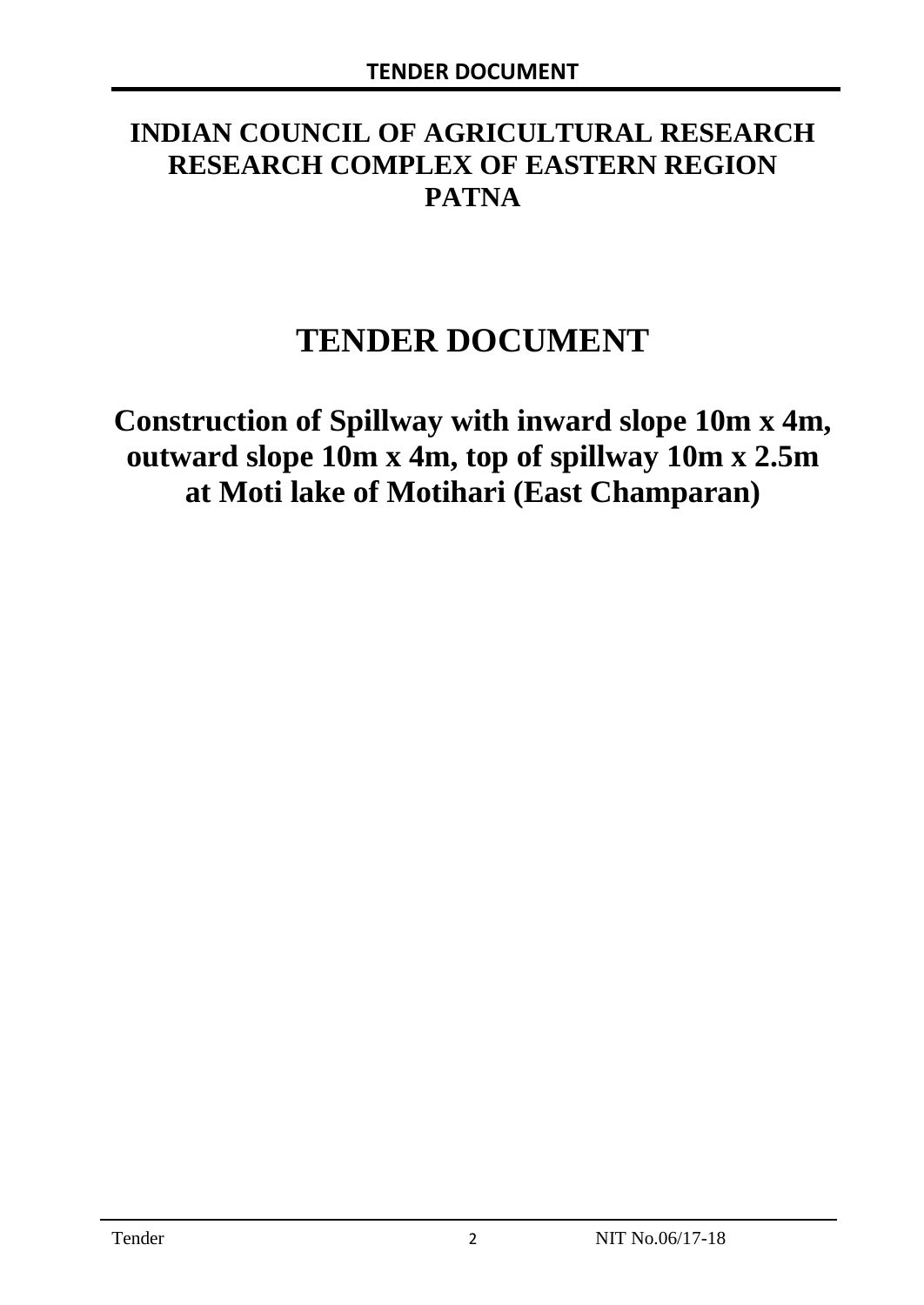# **INDIAN COUNCIL OF AGRICULTURAL RESEARCH RESEARCH COMPLEX OF EASTERN REGION PATNA**

# **TENDER DOCUMENT**

**Construction of Spillway with inward slope 10m x 4m, outward slope 10m x 4m, top of spillway 10m x 2.5m at Moti lake of Motihari (East Champaran)**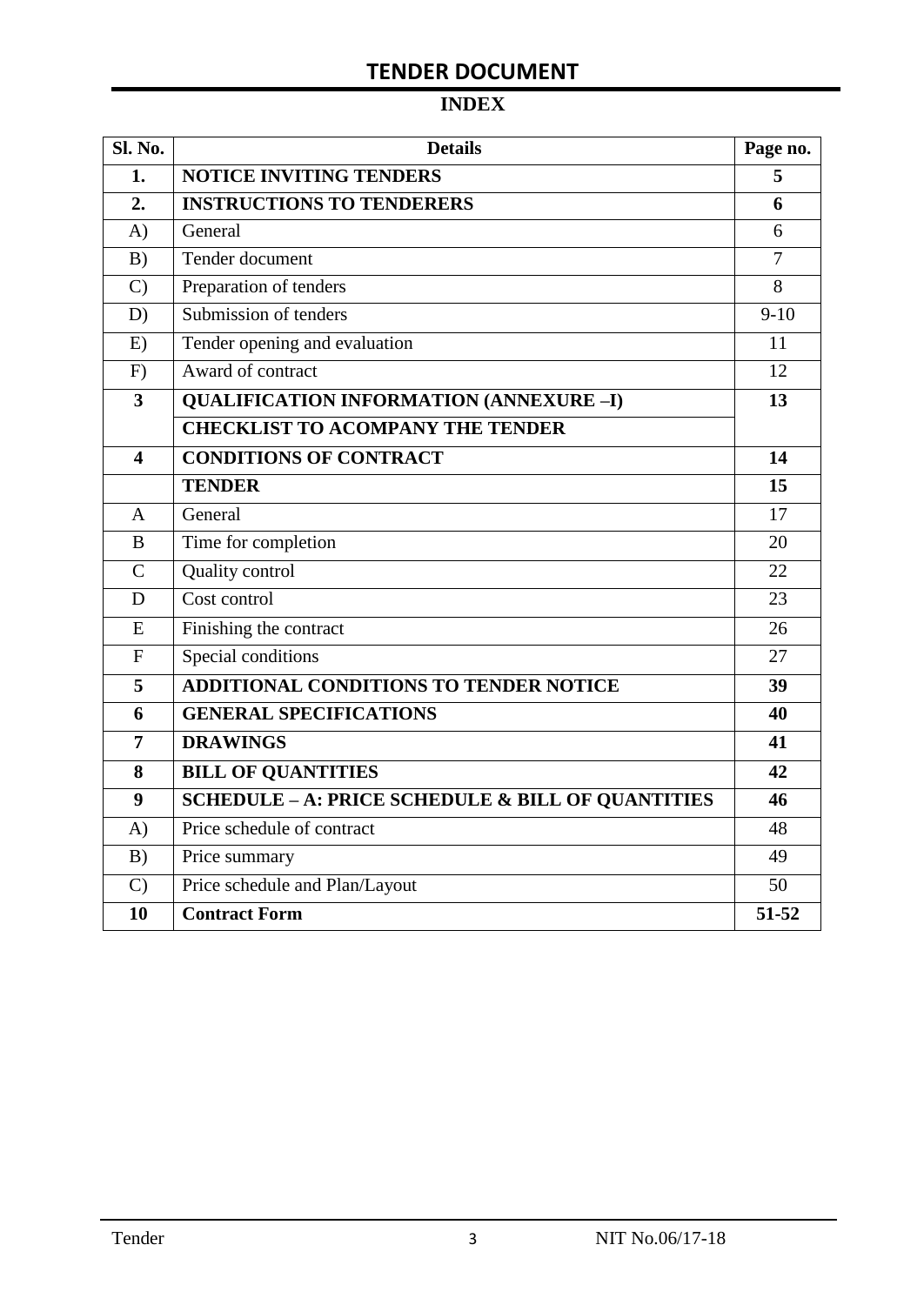# **INDEX**

| Sl. No.                 | <b>Details</b>                                               | Page no.       |
|-------------------------|--------------------------------------------------------------|----------------|
| 1.                      | <b>NOTICE INVITING TENDERS</b>                               |                |
| 2.                      | <b>INSTRUCTIONS TO TENDERERS</b>                             | 6              |
| A)                      | General                                                      | 6              |
| B)                      | Tender document                                              | $\overline{7}$ |
| $\mathcal{C}$           | Preparation of tenders                                       | 8              |
| D)                      | Submission of tenders                                        | $9-10$         |
| E)                      | Tender opening and evaluation                                | 11             |
| F)                      | Award of contract                                            | 12             |
| $\overline{\mathbf{3}}$ | <b>QUALIFICATION INFORMATION (ANNEXURE-I)</b>                | 13             |
|                         | <b>CHECKLIST TO ACOMPANY THE TENDER</b>                      |                |
| 4                       | <b>CONDITIONS OF CONTRACT</b>                                | 14             |
|                         | <b>TENDER</b>                                                | 15             |
| $\overline{A}$          | General                                                      | 17             |
| B                       | Time for completion                                          | 20             |
| $\overline{C}$          | Quality control                                              | 22             |
| D                       | Cost control                                                 | 23             |
| E                       | Finishing the contract                                       | 26             |
| $\mathbf{F}$            | Special conditions                                           | 27             |
| 5                       | <b>ADDITIONAL CONDITIONS TO TENDER NOTICE</b>                | 39             |
| 6                       | <b>GENERAL SPECIFICATIONS</b>                                | 40             |
| $\overline{7}$          | <b>DRAWINGS</b>                                              | 41             |
| 8                       | <b>BILL OF QUANTITIES</b>                                    | 42             |
| 9                       | <b>SCHEDULE - A: PRICE SCHEDULE &amp; BILL OF QUANTITIES</b> | 46             |
| A)                      | Price schedule of contract                                   | 48             |
| B)                      | Price summary                                                | 49             |
| $\mathcal{C}$           | Price schedule and Plan/Layout                               | 50             |
| 10                      | <b>Contract Form</b>                                         | 51-52          |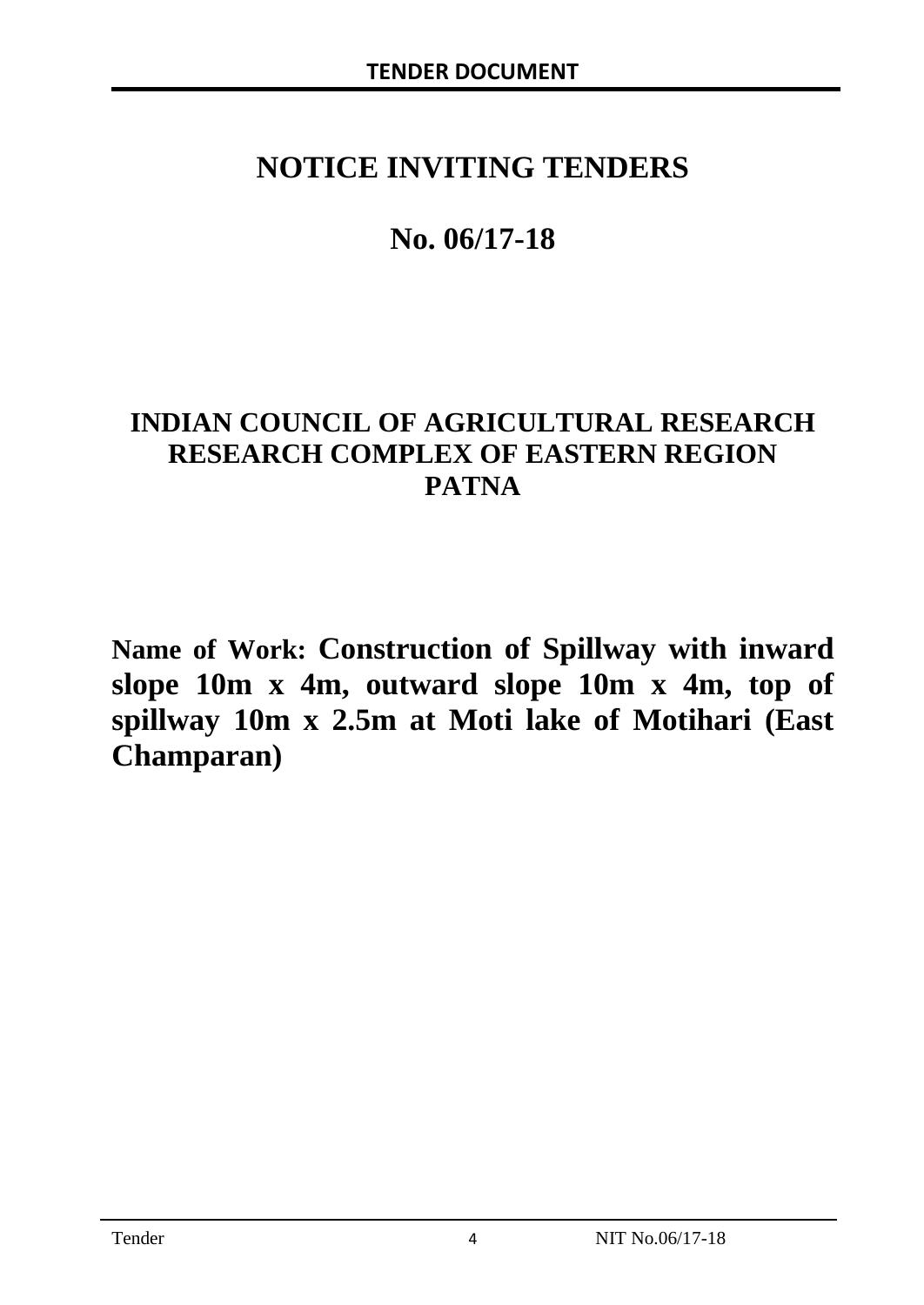# **NOTICE INVITING TENDERS**

# **No. 06/17-18**

# **INDIAN COUNCIL OF AGRICULTURAL RESEARCH RESEARCH COMPLEX OF EASTERN REGION PATNA**

**Name of Work: Construction of Spillway with inward slope 10m x 4m, outward slope 10m x 4m, top of spillway 10m x 2.5m at Moti lake of Motihari (East Champaran)**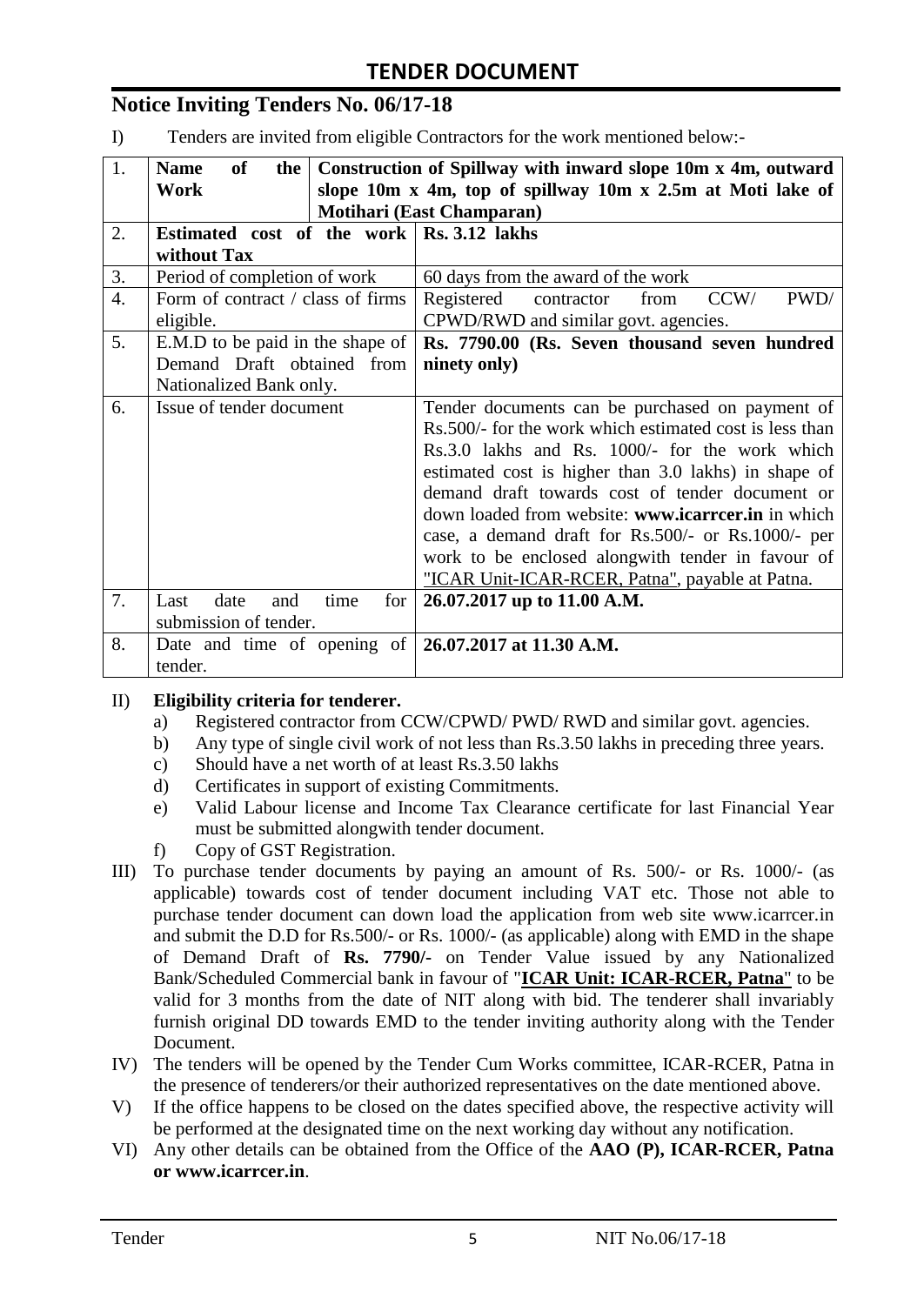# **Notice Inviting Tenders No. 06/17-18**

I) Tenders are invited from eligible Contractors for the work mentioned below:-

| 1.               | <b>Name</b><br>of<br>the                               | Construction of Spillway with inward slope 10m x 4m, outward |  |  |  |
|------------------|--------------------------------------------------------|--------------------------------------------------------------|--|--|--|
|                  | Work                                                   | slope 10m x 4m, top of spillway 10m x 2.5m at Moti lake of   |  |  |  |
|                  |                                                        | Motihari (East Champaran)                                    |  |  |  |
| 2.               | Estimated cost of the work   Rs. 3.12 lakhs            |                                                              |  |  |  |
|                  | without Tax                                            |                                                              |  |  |  |
| 3.               | Period of completion of work                           | 60 days from the award of the work                           |  |  |  |
| $\overline{4}$ . | Form of contract / class of firms                      | PWD/<br>CCW/<br>Registered<br>contractor<br>from             |  |  |  |
|                  | eligible.                                              | CPWD/RWD and similar govt. agencies.                         |  |  |  |
| 5.               | E.M.D to be paid in the shape of                       | Rs. 7790.00 (Rs. Seven thousand seven hundred                |  |  |  |
|                  | Demand Draft obtained from                             | ninety only)                                                 |  |  |  |
|                  | Nationalized Bank only.                                |                                                              |  |  |  |
| 6.               | Issue of tender document                               | Tender documents can be purchased on payment of              |  |  |  |
|                  |                                                        | Rs.500/- for the work which estimated cost is less than      |  |  |  |
|                  |                                                        | Rs.3.0 lakhs and Rs. 1000/- for the work which               |  |  |  |
|                  |                                                        | estimated cost is higher than 3.0 lakhs) in shape of         |  |  |  |
|                  |                                                        | demand draft towards cost of tender document or              |  |  |  |
|                  |                                                        | down loaded from website: www.icarreer.in in which           |  |  |  |
|                  |                                                        | case, a demand draft for Rs.500/- or Rs.1000/- per           |  |  |  |
|                  |                                                        | work to be enclosed alongwith tender in favour of            |  |  |  |
|                  |                                                        | "ICAR Unit-ICAR-RCER, Patna", payable at Patna.              |  |  |  |
| 7.               | date<br>time<br>Last<br>for<br>and                     | 26.07.2017 up to 11.00 A.M.                                  |  |  |  |
|                  | submission of tender.                                  |                                                              |  |  |  |
| 8.               | Date and time of opening of   26.07.2017 at 11.30 A.M. |                                                              |  |  |  |
|                  | tender.                                                |                                                              |  |  |  |

#### II) **Eligibility criteria for tenderer.**

- a) Registered contractor from CCW/CPWD/ PWD/ RWD and similar govt. agencies.
- b) Any type of single civil work of not less than Rs.3.50 lakhs in preceding three years.
- c) Should have a net worth of at least Rs.3.50 lakhs
- d) Certificates in support of existing Commitments.
- e) Valid Labour license and Income Tax Clearance certificate for last Financial Year must be submitted alongwith tender document.
- f) Copy of GST Registration.
- III) To purchase tender documents by paying an amount of Rs. 500/- or Rs. 1000/- (as applicable) towards cost of tender document including VAT etc. Those not able to purchase tender document can down load the application from web site www.icarrcer.in and submit the D.D for Rs.500/- or Rs. 1000/- (as applicable) along with EMD in the shape of Demand Draft of **Rs. 7790/-** on Tender Value issued by any Nationalized Bank/Scheduled Commercial bank in favour of "**ICAR Unit: ICAR-RCER, Patna**" to be valid for 3 months from the date of NIT along with bid. The tenderer shall invariably furnish original DD towards EMD to the tender inviting authority along with the Tender Document.
- IV) The tenders will be opened by the Tender Cum Works committee, ICAR-RCER, Patna in the presence of tenderers/or their authorized representatives on the date mentioned above.
- V) If the office happens to be closed on the dates specified above, the respective activity will be performed at the designated time on the next working day without any notification.
- VI) Any other details can be obtained from the Office of the **AAO (P), ICAR-RCER, Patna or www.icarrcer.in**.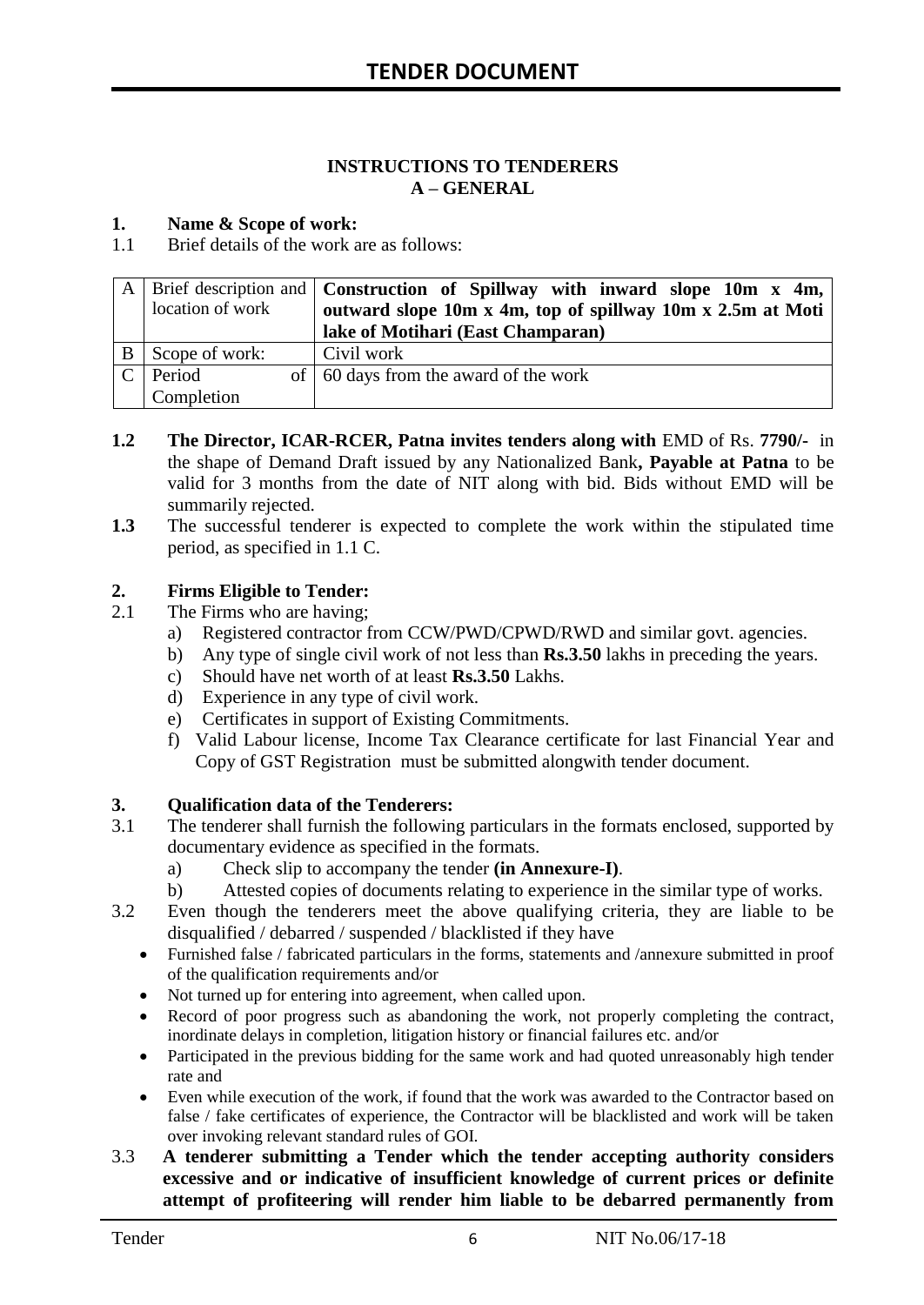#### **INSTRUCTIONS TO TENDERERS A – GENERAL**

#### **1. Name & Scope of work:**

1.1 Brief details of the work are as follows:

|   | location of work | A   Brief description and   Construction of Spillway with inward slope 10m x 4m,  <br>outward slope 10m x 4m, top of spillway 10m x 2.5m at Moti<br>lake of Motihari (East Champaran) |
|---|------------------|---------------------------------------------------------------------------------------------------------------------------------------------------------------------------------------|
| B | Scope of work:   | Civil work                                                                                                                                                                            |
|   | Period           | of $\vert$ 60 days from the award of the work                                                                                                                                         |
|   | Completion       |                                                                                                                                                                                       |

- **1.2** The Director, ICAR-RCER, Patna invites tenders along with EMD of Rs. 7790/- in the shape of Demand Draft issued by any Nationalized Bank**, Payable at Patna** to be valid for 3 months from the date of NIT along with bid. Bids without EMD will be summarily rejected.
- **1.3** The successful tenderer is expected to complete the work within the stipulated time period, as specified in 1.1 C.

#### **2. Firms Eligible to Tender:**

- 2.1 The Firms who are having;
	- a) Registered contractor from CCW/PWD/CPWD/RWD and similar govt. agencies.
	- b) Any type of single civil work of not less than **Rs.3.50** lakhs in preceding the years.
	- c) Should have net worth of at least **Rs.3.50** Lakhs.
	- d) Experience in any type of civil work.
	- e) Certificates in support of Existing Commitments.
	- f) Valid Labour license, Income Tax Clearance certificate for last Financial Year and Copy of GST Registration must be submitted alongwith tender document.

# **3. Qualification data of the Tenderers:**<br>3.1 The tenderer shall furnish the followin

- The tenderer shall furnish the following particulars in the formats enclosed, supported by documentary evidence as specified in the formats.
	- a) Check slip to accompany the tender **(in Annexure-I)**.
	- b) Attested copies of documents relating to experience in the similar type of works.
- 3.2 Even though the tenderers meet the above qualifying criteria, they are liable to be disqualified / debarred / suspended / blacklisted if they have
	- Furnished false / fabricated particulars in the forms, statements and /annexure submitted in proof of the qualification requirements and/or
	- Not turned up for entering into agreement, when called upon.
	- Record of poor progress such as abandoning the work, not properly completing the contract, inordinate delays in completion, litigation history or financial failures etc. and/or
	- Participated in the previous bidding for the same work and had quoted unreasonably high tender rate and
	- Even while execution of the work, if found that the work was awarded to the Contractor based on false / fake certificates of experience, the Contractor will be blacklisted and work will be taken over invoking relevant standard rules of GOI.
- 3.3 **A tenderer submitting a Tender which the tender accepting authority considers excessive and or indicative of insufficient knowledge of current prices or definite attempt of profiteering will render him liable to be debarred permanently from**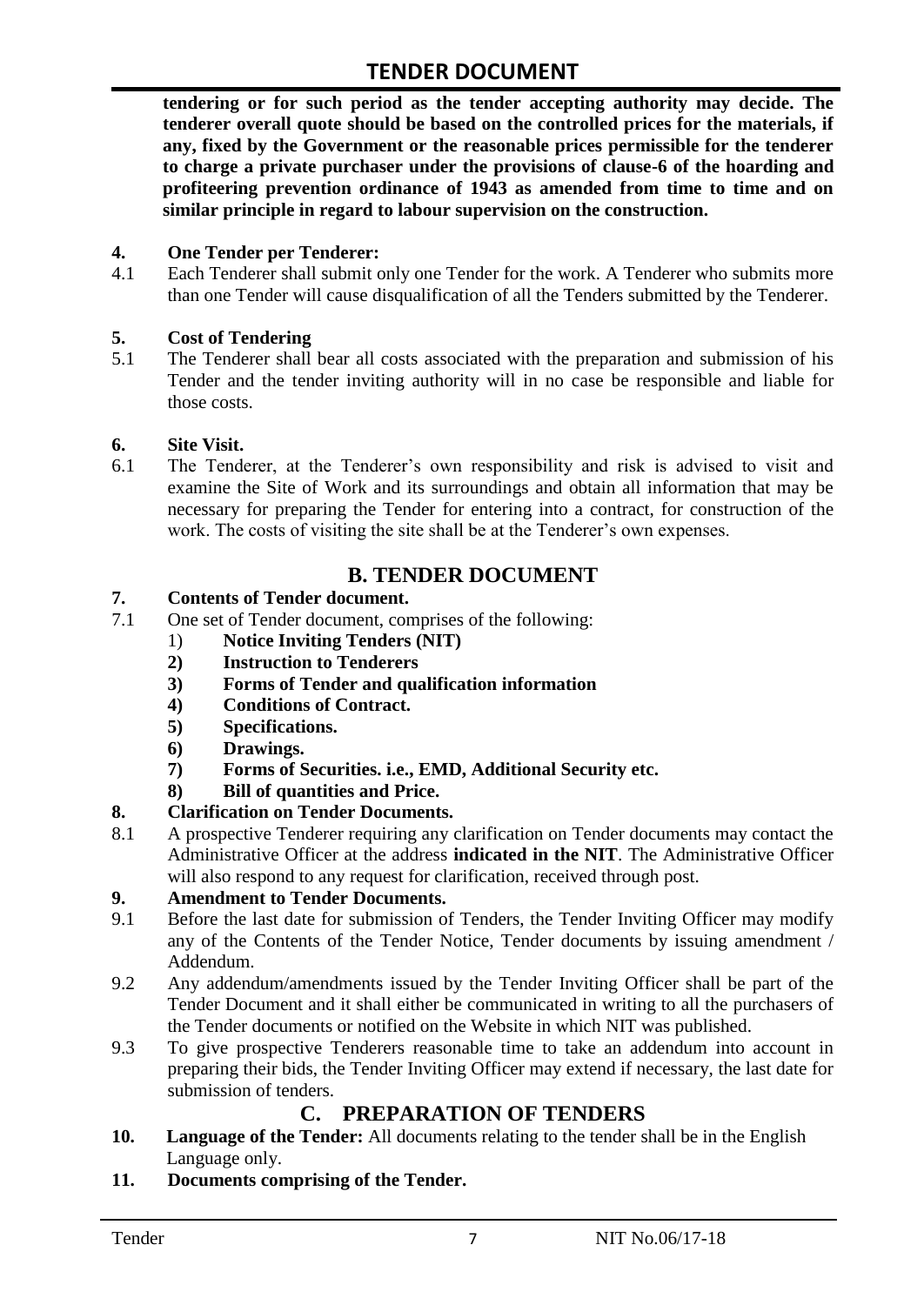**tendering or for such period as the tender accepting authority may decide. The tenderer overall quote should be based on the controlled prices for the materials, if any, fixed by the Government or the reasonable prices permissible for the tenderer to charge a private purchaser under the provisions of clause-6 of the hoarding and profiteering prevention ordinance of 1943 as amended from time to time and on similar principle in regard to labour supervision on the construction.**

#### **4. One Tender per Tenderer:**

4.1 Each Tenderer shall submit only one Tender for the work. A Tenderer who submits more than one Tender will cause disqualification of all the Tenders submitted by the Tenderer.

#### **5. Cost of Tendering**

5.1 The Tenderer shall bear all costs associated with the preparation and submission of his Tender and the tender inviting authority will in no case be responsible and liable for those costs.

#### **6. Site Visit.**

6.1 The Tenderer, at the Tenderer"s own responsibility and risk is advised to visit and examine the Site of Work and its surroundings and obtain all information that may be necessary for preparing the Tender for entering into a contract, for construction of the work. The costs of visiting the site shall be at the Tenderer's own expenses.

# **B. TENDER DOCUMENT**

#### **7. Contents of Tender document.**

- 7.1 One set of Tender document, comprises of the following:
	- 1) **Notice Inviting Tenders (NIT)**
		- **2) Instruction to Tenderers**
		- **3) Forms of Tender and qualification information**
		- **4) Conditions of Contract.**
		- **5) Specifications.**
		- **6) Drawings.**
		- **7) Forms of Securities. i.e., EMD, Additional Security etc.**
	- **8) Bill of quantities and Price.**

## **8. Clarification on Tender Documents.**

8.1 A prospective Tenderer requiring any clarification on Tender documents may contact the Administrative Officer at the address **indicated in the NIT**. The Administrative Officer will also respond to any request for clarification, received through post.

## **9. Amendment to Tender Documents.**

- 9.1 Before the last date for submission of Tenders, the Tender Inviting Officer may modify any of the Contents of the Tender Notice, Tender documents by issuing amendment / Addendum.
- 9.2 Any addendum/amendments issued by the Tender Inviting Officer shall be part of the Tender Document and it shall either be communicated in writing to all the purchasers of the Tender documents or notified on the Website in which NIT was published.
- 9.3 To give prospective Tenderers reasonable time to take an addendum into account in preparing their bids, the Tender Inviting Officer may extend if necessary, the last date for submission of tenders.

# **C. PREPARATION OF TENDERS**

- **10. Language of the Tender:** All documents relating to the tender shall be in the English Language only.
- **11. Documents comprising of the Tender.**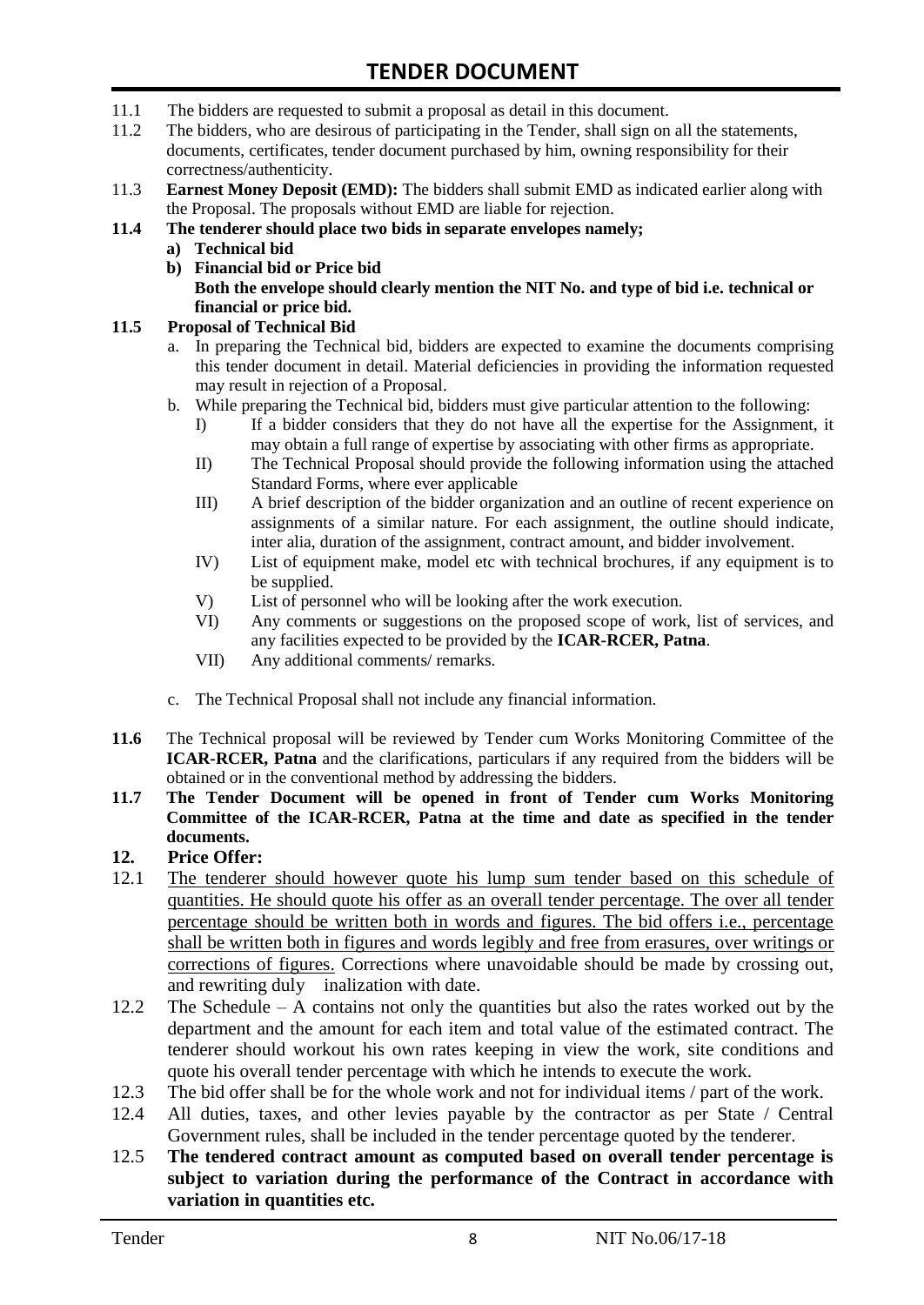- 11.1 The bidders are requested to submit a proposal as detail in this document.
- 11.2 The bidders, who are desirous of participating in the Tender, shall sign on all the statements, documents, certificates, tender document purchased by him, owning responsibility for their correctness/authenticity.
- 11.3 **Earnest Money Deposit (EMD):** The bidders shall submit EMD as indicated earlier along with the Proposal. The proposals without EMD are liable for rejection.

#### **11.4 The tenderer should place two bids in separate envelopes namely;**

- **a) Technical bid**
- **b) Financial bid or Price bid Both the envelope should clearly mention the NIT No. and type of bid i.e. technical or financial or price bid.**

#### **11.5 Proposal of Technical Bid**

- a. In preparing the Technical bid, bidders are expected to examine the documents comprising this tender document in detail. Material deficiencies in providing the information requested may result in rejection of a Proposal.
- b. While preparing the Technical bid, bidders must give particular attention to the following:
	- I) If a bidder considers that they do not have all the expertise for the Assignment, it may obtain a full range of expertise by associating with other firms as appropriate.
	- II) The Technical Proposal should provide the following information using the attached Standard Forms, where ever applicable
	- III) A brief description of the bidder organization and an outline of recent experience on assignments of a similar nature. For each assignment, the outline should indicate, inter alia, duration of the assignment, contract amount, and bidder involvement.
	- IV) List of equipment make, model etc with technical brochures, if any equipment is to be supplied.
	- V) List of personnel who will be looking after the work execution.
	- VI) Any comments or suggestions on the proposed scope of work, list of services, and any facilities expected to be provided by the **ICAR-RCER, Patna**.
	- VII) Any additional comments/ remarks.
- c. The Technical Proposal shall not include any financial information.
- **11.6** The Technical proposal will be reviewed by Tender cum Works Monitoring Committee of the **ICAR-RCER, Patna** and the clarifications, particulars if any required from the bidders will be obtained or in the conventional method by addressing the bidders.
- **11.7 The Tender Document will be opened in front of Tender cum Works Monitoring Committee of the ICAR-RCER, Patna at the time and date as specified in the tender documents.**

#### **12. Price Offer:**

- 12.1 The tenderer should however quote his lump sum tender based on this schedule of quantities. He should quote his offer as an overall tender percentage. The over all tender percentage should be written both in words and figures. The bid offers i.e., percentage shall be written both in figures and words legibly and free from erasures, over writings or corrections of figures. Corrections where unavoidable should be made by crossing out, and rewriting duly inalization with date.
- 12.2 The Schedule A contains not only the quantities but also the rates worked out by the department and the amount for each item and total value of the estimated contract. The tenderer should workout his own rates keeping in view the work, site conditions and quote his overall tender percentage with which he intends to execute the work.
- 12.3 The bid offer shall be for the whole work and not for individual items / part of the work.
- 12.4 All duties, taxes, and other levies payable by the contractor as per State / Central Government rules, shall be included in the tender percentage quoted by the tenderer.
- 12.5 **The tendered contract amount as computed based on overall tender percentage is subject to variation during the performance of the Contract in accordance with variation in quantities etc.**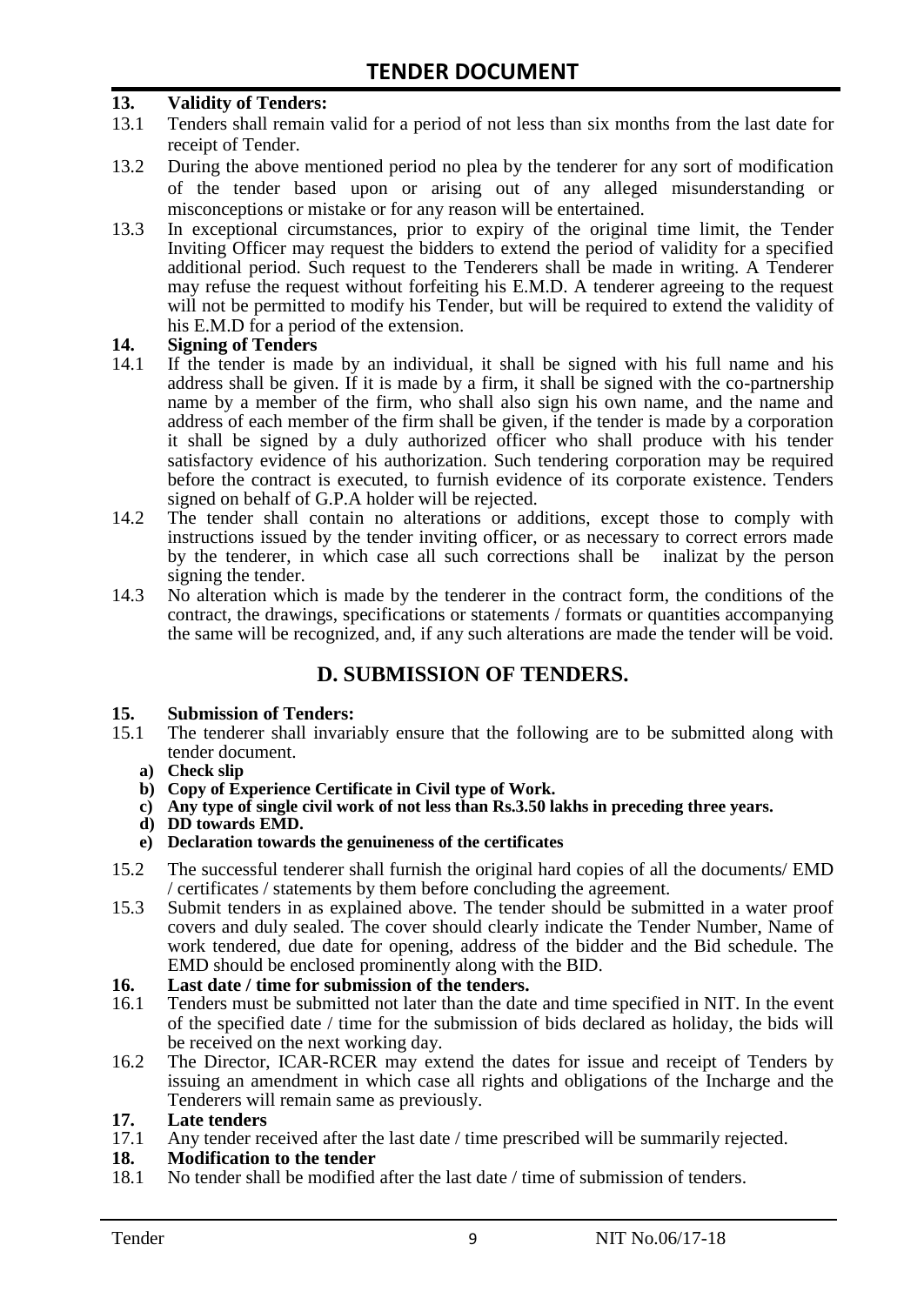#### **13. Validity of Tenders:**

- 13.1 Tenders shall remain valid for a period of not less than six months from the last date for receipt of Tender.
- 13.2 During the above mentioned period no plea by the tenderer for any sort of modification of the tender based upon or arising out of any alleged misunderstanding or misconceptions or mistake or for any reason will be entertained.
- 13.3 In exceptional circumstances, prior to expiry of the original time limit, the Tender Inviting Officer may request the bidders to extend the period of validity for a specified additional period. Such request to the Tenderers shall be made in writing. A Tenderer may refuse the request without forfeiting his E.M.D. A tenderer agreeing to the request will not be permitted to modify his Tender, but will be required to extend the validity of his E.M.D for a period of the extension.

# **14.** Signing of Tenders<br>14.1 If the tender is made

- If the tender is made by an individual, it shall be signed with his full name and his address shall be given. If it is made by a firm, it shall be signed with the co-partnership name by a member of the firm, who shall also sign his own name, and the name and address of each member of the firm shall be given, if the tender is made by a corporation it shall be signed by a duly authorized officer who shall produce with his tender satisfactory evidence of his authorization. Such tendering corporation may be required before the contract is executed, to furnish evidence of its corporate existence. Tenders signed on behalf of G.P.A holder will be rejected.
- 14.2 The tender shall contain no alterations or additions, except those to comply with instructions issued by the tender inviting officer, or as necessary to correct errors made by the tenderer, in which case all such corrections shall be inalizat by the person signing the tender.
- 14.3 No alteration which is made by the tenderer in the contract form, the conditions of the contract, the drawings, specifications or statements / formats or quantities accompanying the same will be recognized, and, if any such alterations are made the tender will be void.

## **D. SUBMISSION OF TENDERS.**

# **15. Submission of Tenders:**

- The tenderer shall invariably ensure that the following are to be submitted along with tender document.
	- **a) Check slip**
	- **b) Copy of Experience Certificate in Civil type of Work.**
	- **c) Any type of single civil work of not less than Rs.3.50 lakhs in preceding three years.**
	- **d) DD towards EMD.**
	- **e) Declaration towards the genuineness of the certificates**
- 15.2 The successful tenderer shall furnish the original hard copies of all the documents/ EMD / certificates / statements by them before concluding the agreement.
- 15.3 Submit tenders in as explained above. The tender should be submitted in a water proof covers and duly sealed. The cover should clearly indicate the Tender Number, Name of work tendered, due date for opening, address of the bidder and the Bid schedule. The EMD should be enclosed prominently along with the BID.

# **16. Last date / time for submission of the tenders.**<br>**16.1** Tenders must be submitted not later than the date

- 16.1 Tenders must be submitted not later than the date and time specified in NIT. In the event of the specified date / time for the submission of bids declared as holiday, the bids will be received on the next working day.
- 16.2 The Director, ICAR-RCER may extend the dates for issue and receipt of Tenders by issuing an amendment in which case all rights and obligations of the Incharge and the Tenderers will remain same as previously.

# **17. Late tenders**

Any tender received after the last date / time prescribed will be summarily rejected.

# **18. Modification to the tender**<br>18.1 No tender shall be modified

No tender shall be modified after the last date / time of submission of tenders.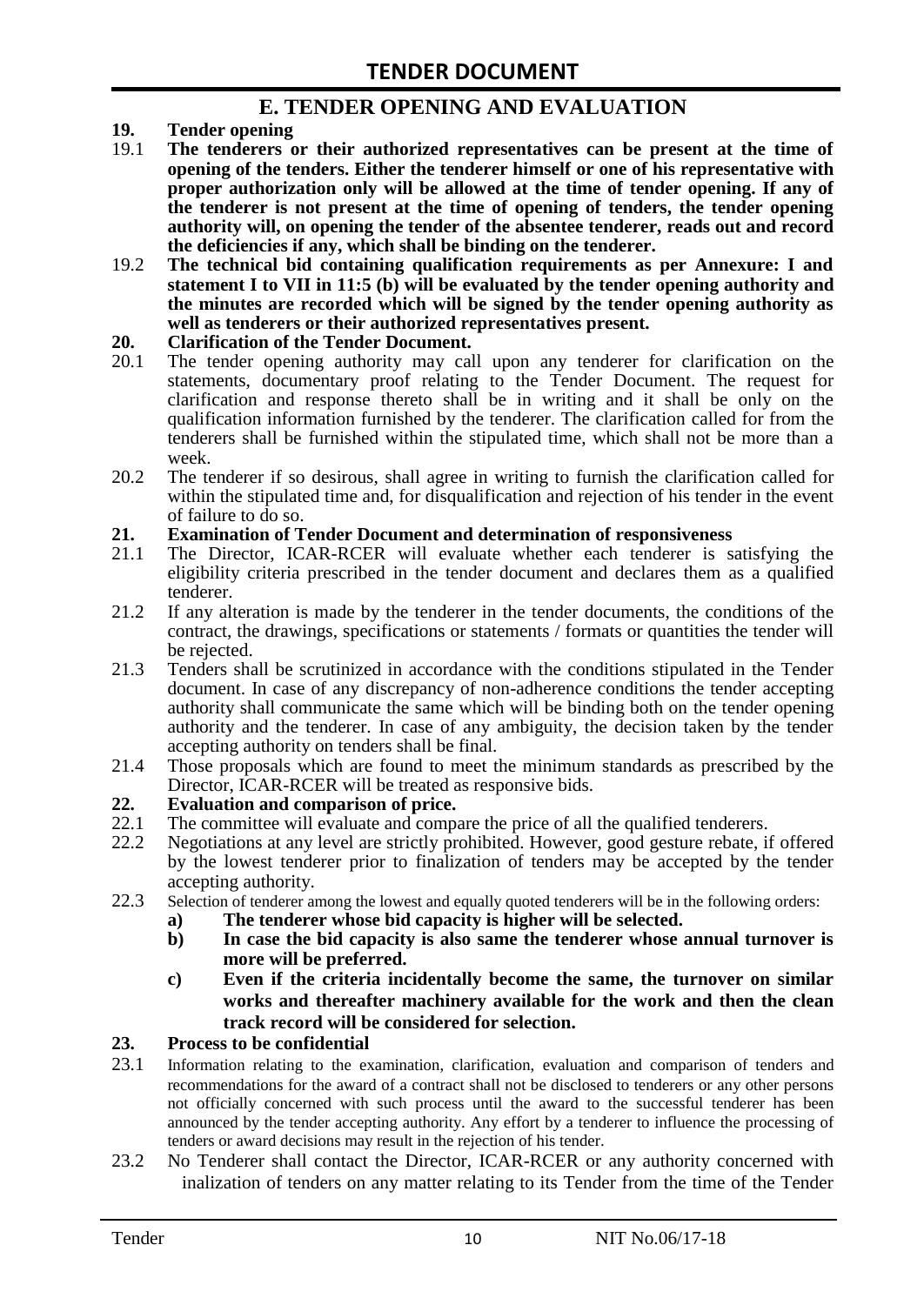# **E. TENDER OPENING AND EVALUATION**

- **19. Tender opening**
- 19.1 **The tenderers or their authorized representatives can be present at the time of opening of the tenders. Either the tenderer himself or one of his representative with proper authorization only will be allowed at the time of tender opening. If any of the tenderer is not present at the time of opening of tenders, the tender opening authority will, on opening the tender of the absentee tenderer, reads out and record the deficiencies if any, which shall be binding on the tenderer.**
- 19.2 **The technical bid containing qualification requirements as per Annexure: I and statement I to VII in 11:5 (b) will be evaluated by the tender opening authority and the minutes are recorded which will be signed by the tender opening authority as well as tenderers or their authorized representatives present.**

#### **20. Clarification of the Tender Document.**

- 20.1 The tender opening authority may call upon any tenderer for clarification on the statements, documentary proof relating to the Tender Document. The request for clarification and response thereto shall be in writing and it shall be only on the qualification information furnished by the tenderer. The clarification called for from the tenderers shall be furnished within the stipulated time, which shall not be more than a week.
- 20.2 The tenderer if so desirous, shall agree in writing to furnish the clarification called for within the stipulated time and, for disqualification and rejection of his tender in the event of failure to do so.

# **21. Examination of Tender Document and determination of responsiveness**

- 21.1 The Director, ICAR-RCER will evaluate whether each tenderer is satisfying the eligibility criteria prescribed in the tender document and declares them as a qualified tenderer.
- 21.2 If any alteration is made by the tenderer in the tender documents, the conditions of the contract, the drawings, specifications or statements / formats or quantities the tender will be rejected.
- 21.3 Tenders shall be scrutinized in accordance with the conditions stipulated in the Tender document. In case of any discrepancy of non-adherence conditions the tender accepting authority shall communicate the same which will be binding both on the tender opening authority and the tenderer. In case of any ambiguity, the decision taken by the tender accepting authority on tenders shall be final.
- 21.4 Those proposals which are found to meet the minimum standards as prescribed by the Director, ICAR-RCER will be treated as responsive bids.

# **22. Evaluation and comparison of price.**

- The committee will evaluate and compare the price of all the qualified tenderers.
- 22.2 Negotiations at any level are strictly prohibited. However, good gesture rebate, if offered by the lowest tenderer prior to finalization of tenders may be accepted by the tender accepting authority.
- 22.3 Selection of tenderer among the lowest and equally quoted tenderers will be in the following orders:
	- **a) The tenderer whose bid capacity is higher will be selected.**
	- **b) In case the bid capacity is also same the tenderer whose annual turnover is more will be preferred.**
	- **c) Even if the criteria incidentally become the same, the turnover on similar works and thereafter machinery available for the work and then the clean track record will be considered for selection.**

#### **23. Process to be confidential**

- 23.1 Information relating to the examination, clarification, evaluation and comparison of tenders and recommendations for the award of a contract shall not be disclosed to tenderers or any other persons not officially concerned with such process until the award to the successful tenderer has been announced by the tender accepting authority. Any effort by a tenderer to influence the processing of tenders or award decisions may result in the rejection of his tender.
- 23.2 No Tenderer shall contact the Director, ICAR-RCER or any authority concerned with inalization of tenders on any matter relating to its Tender from the time of the Tender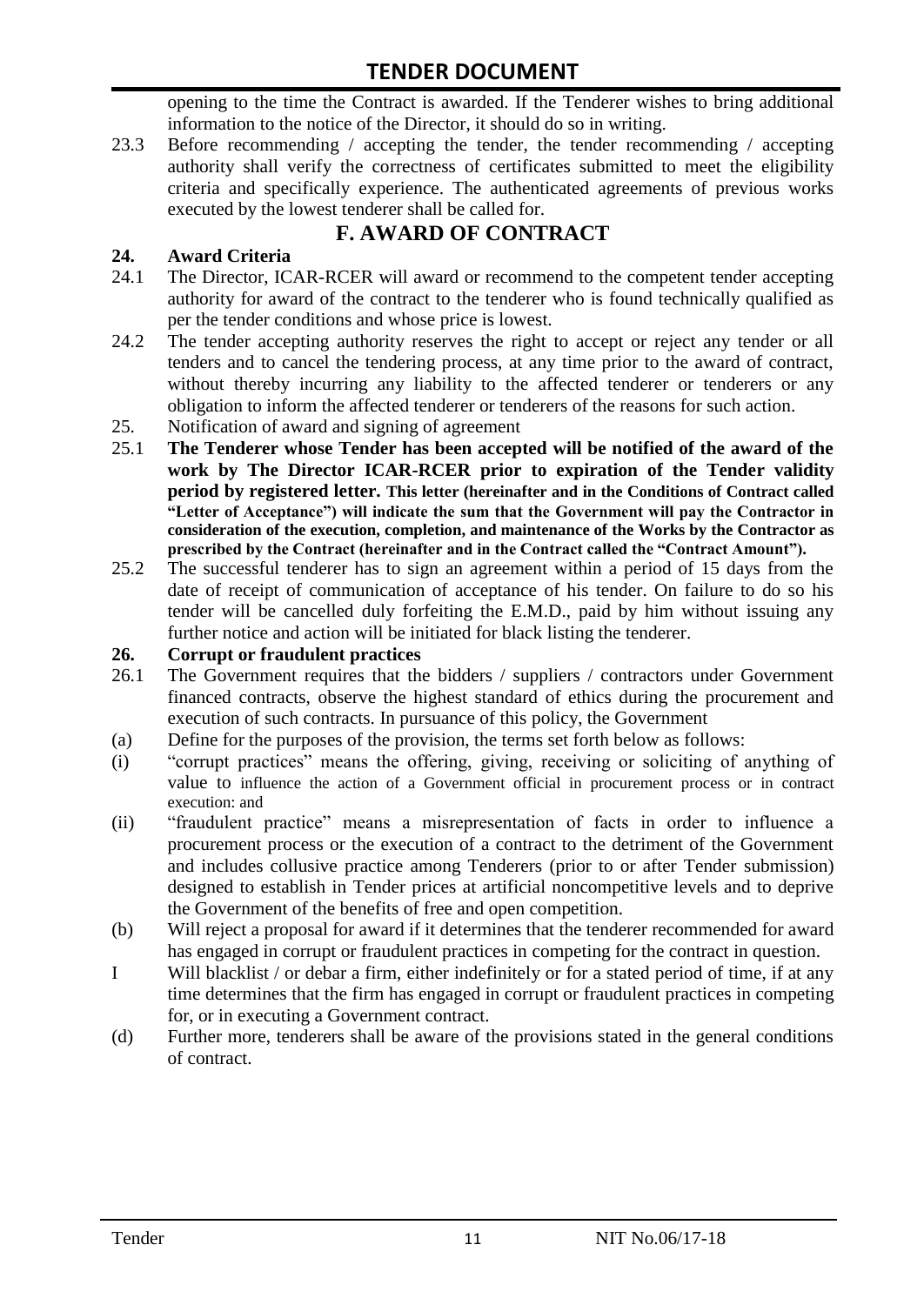opening to the time the Contract is awarded. If the Tenderer wishes to bring additional information to the notice of the Director, it should do so in writing.

23.3 Before recommending / accepting the tender, the tender recommending / accepting authority shall verify the correctness of certificates submitted to meet the eligibility criteria and specifically experience. The authenticated agreements of previous works executed by the lowest tenderer shall be called for.

# **F. AWARD OF CONTRACT**

## **24. Award Criteria**

- 24.1 The Director, ICAR-RCER will award or recommend to the competent tender accepting authority for award of the contract to the tenderer who is found technically qualified as per the tender conditions and whose price is lowest.
- 24.2 The tender accepting authority reserves the right to accept or reject any tender or all tenders and to cancel the tendering process, at any time prior to the award of contract, without thereby incurring any liability to the affected tenderer or tenderers or any obligation to inform the affected tenderer or tenderers of the reasons for such action.
- 25. Notification of award and signing of agreement
- 25.1 **The Tenderer whose Tender has been accepted will be notified of the award of the work by The Director ICAR-RCER prior to expiration of the Tender validity period by registered letter. This letter (hereinafter and in the Conditions of Contract called "Letter of Acceptance") will indicate the sum that the Government will pay the Contractor in consideration of the execution, completion, and maintenance of the Works by the Contractor as prescribed by the Contract (hereinafter and in the Contract called the "Contract Amount").**
- 25.2 The successful tenderer has to sign an agreement within a period of 15 days from the date of receipt of communication of acceptance of his tender. On failure to do so his tender will be cancelled duly forfeiting the E.M.D., paid by him without issuing any further notice and action will be initiated for black listing the tenderer.

#### **26. Corrupt or fraudulent practices**

- 26.1 The Government requires that the bidders / suppliers / contractors under Government financed contracts, observe the highest standard of ethics during the procurement and execution of such contracts. In pursuance of this policy, the Government
- (a) Define for the purposes of the provision, the terms set forth below as follows:
- (i) "corrupt practices" means the offering, giving, receiving or soliciting of anything of value to influence the action of a Government official in procurement process or in contract execution: and
- (ii) "fraudulent practice" means a misrepresentation of facts in order to influence a procurement process or the execution of a contract to the detriment of the Government and includes collusive practice among Tenderers (prior to or after Tender submission) designed to establish in Tender prices at artificial noncompetitive levels and to deprive the Government of the benefits of free and open competition.
- (b) Will reject a proposal for award if it determines that the tenderer recommended for award has engaged in corrupt or fraudulent practices in competing for the contract in question.
- I Will blacklist / or debar a firm, either indefinitely or for a stated period of time, if at any time determines that the firm has engaged in corrupt or fraudulent practices in competing for, or in executing a Government contract.
- (d) Further more, tenderers shall be aware of the provisions stated in the general conditions of contract.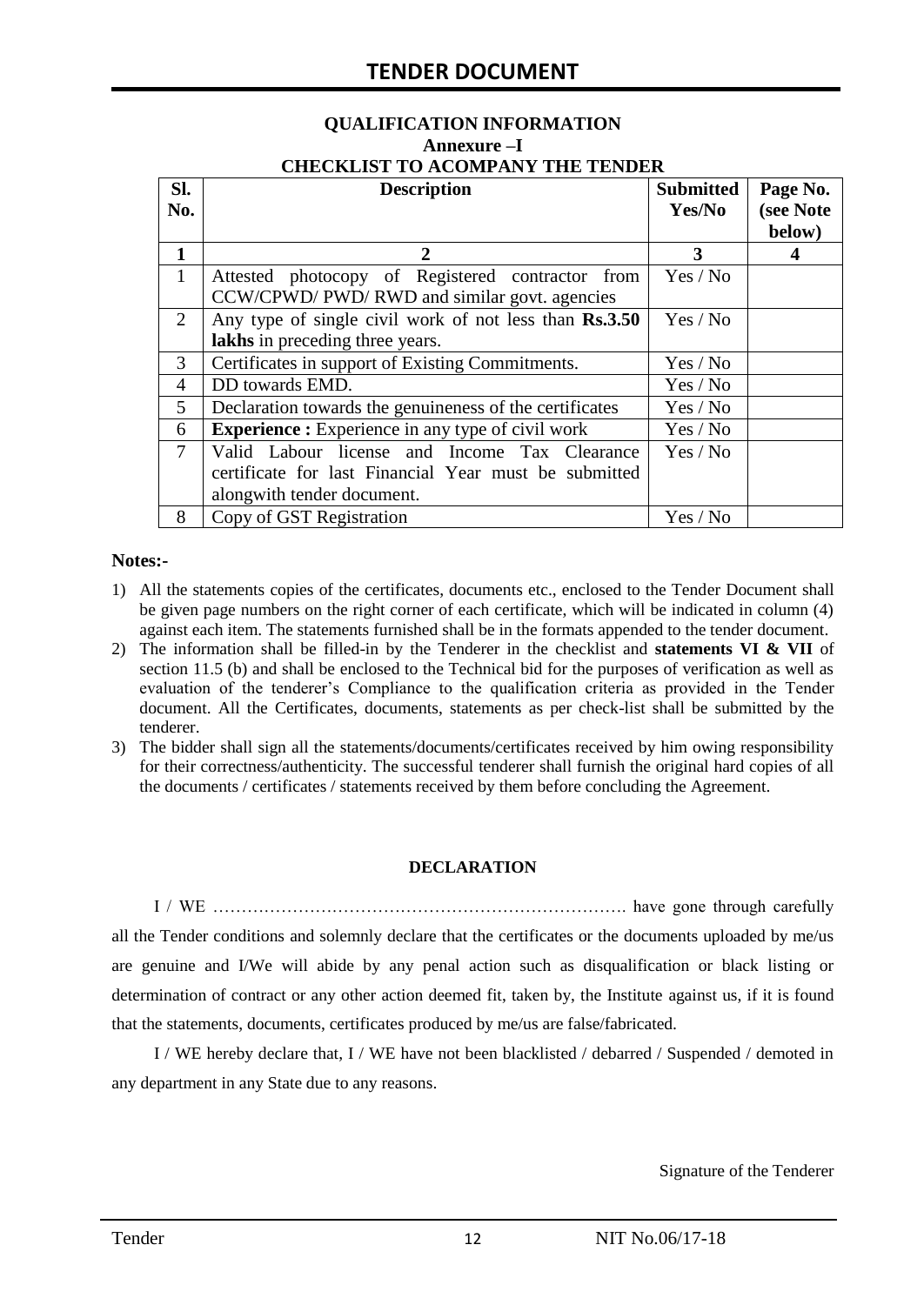#### **QUALIFICATION INFORMATION Annexure –I CHECKLIST TO ACOMPANY THE TENDER**

| Sl.<br>No.     | <b>Description</b>                                       | <b>Submitted</b><br>Yes/No | Page No.<br>(see Note |
|----------------|----------------------------------------------------------|----------------------------|-----------------------|
|                |                                                          |                            | below)                |
| 1              | 2                                                        | 3                          | 4                     |
| $\mathbf{1}$   | Attested photocopy of Registered contractor from         | Yes / No                   |                       |
|                | CCW/CPWD/ PWD/ RWD and similar govt. agencies            |                            |                       |
| 2              | Any type of single civil work of not less than Rs.3.50   | Yes / No                   |                       |
|                | lakhs in preceding three years.                          |                            |                       |
| 3              | Certificates in support of Existing Commitments.         | Yes / No                   |                       |
| 4              | DD towards EMD.                                          | Yes / No                   |                       |
| 5              | Declaration towards the genuineness of the certificates  | Yes / No                   |                       |
| 6              | <b>Experience :</b> Experience in any type of civil work | Yes / No                   |                       |
| $\overline{7}$ | Valid Labour license and Income Tax Clearance            | Yes / No                   |                       |
|                | certificate for last Financial Year must be submitted    |                            |                       |
|                | alongwith tender document.                               |                            |                       |
| 8              | Copy of GST Registration                                 | Yes / No                   |                       |

#### **Notes:-**

- 1) All the statements copies of the certificates, documents etc., enclosed to the Tender Document shall be given page numbers on the right corner of each certificate, which will be indicated in column (4) against each item. The statements furnished shall be in the formats appended to the tender document.
- 2) The information shall be filled-in by the Tenderer in the checklist and **statements VI & VII** of section 11.5 (b) and shall be enclosed to the Technical bid for the purposes of verification as well as evaluation of the tenderer"s Compliance to the qualification criteria as provided in the Tender document. All the Certificates, documents, statements as per check-list shall be submitted by the tenderer.
- 3) The bidder shall sign all the statements/documents/certificates received by him owing responsibility for their correctness/authenticity. The successful tenderer shall furnish the original hard copies of all the documents / certificates / statements received by them before concluding the Agreement.

#### **DECLARATION**

I / WE ………………………………………………………………. have gone through carefully all the Tender conditions and solemnly declare that the certificates or the documents uploaded by me/us are genuine and I/We will abide by any penal action such as disqualification or black listing or determination of contract or any other action deemed fit, taken by, the Institute against us, if it is found that the statements, documents, certificates produced by me/us are false/fabricated.

I / WE hereby declare that, I / WE have not been blacklisted / debarred / Suspended / demoted in any department in any State due to any reasons.

Signature of the Tenderer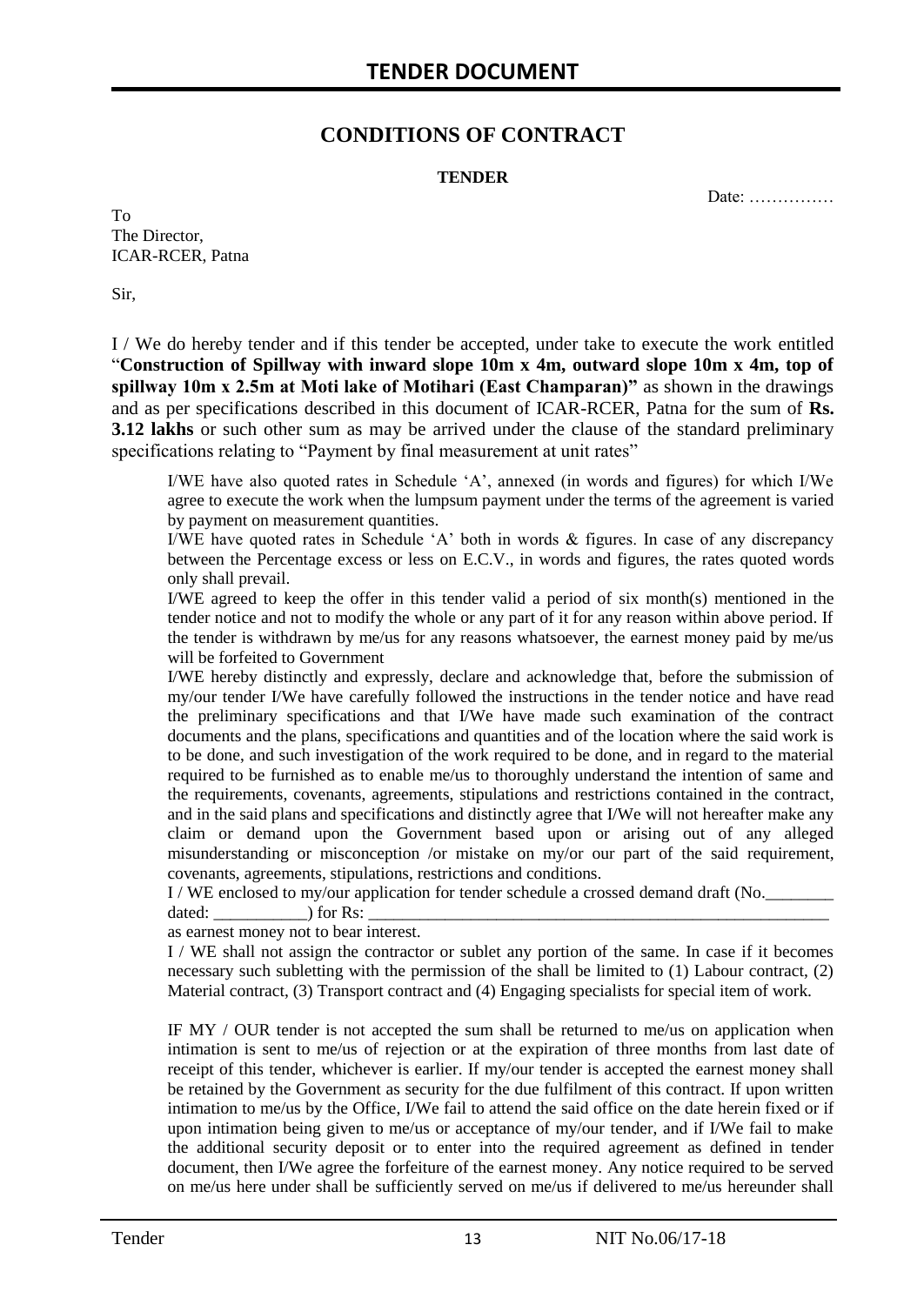# **CONDITIONS OF CONTRACT**

#### **TENDER**

Date: ……………

To The Director, ICAR-RCER, Patna

Sir,

I / We do hereby tender and if this tender be accepted, under take to execute the work entitled "**Construction of Spillway with inward slope 10m x 4m, outward slope 10m x 4m, top of spillway 10m x 2.5m at Moti lake of Motihari (East Champaran)"** as shown in the drawings and as per specifications described in this document of ICAR-RCER, Patna for the sum of **Rs. 3.12 lakhs** or such other sum as may be arrived under the clause of the standard preliminary specifications relating to "Payment by final measurement at unit rates"

I/WE have also quoted rates in Schedule "A", annexed (in words and figures) for which I/We agree to execute the work when the lumpsum payment under the terms of the agreement is varied by payment on measurement quantities.

I/WE have quoted rates in Schedule "A" both in words & figures. In case of any discrepancy between the Percentage excess or less on E.C.V., in words and figures, the rates quoted words only shall prevail.

I/WE agreed to keep the offer in this tender valid a period of six month(s) mentioned in the tender notice and not to modify the whole or any part of it for any reason within above period. If the tender is withdrawn by me/us for any reasons whatsoever, the earnest money paid by me/us will be forfeited to Government

I/WE hereby distinctly and expressly, declare and acknowledge that, before the submission of my/our tender I/We have carefully followed the instructions in the tender notice and have read the preliminary specifications and that I/We have made such examination of the contract documents and the plans, specifications and quantities and of the location where the said work is to be done, and such investigation of the work required to be done, and in regard to the material required to be furnished as to enable me/us to thoroughly understand the intention of same and the requirements, covenants, agreements, stipulations and restrictions contained in the contract, and in the said plans and specifications and distinctly agree that I/We will not hereafter make any claim or demand upon the Government based upon or arising out of any alleged misunderstanding or misconception /or mistake on my/or our part of the said requirement, covenants, agreements, stipulations, restrictions and conditions.

I / WE enclosed to my/our application for tender schedule a crossed demand draft (No.

dated:  $\qquad \qquad$  ) for Rs:

as earnest money not to bear interest.

I / WE shall not assign the contractor or sublet any portion of the same. In case if it becomes necessary such subletting with the permission of the shall be limited to (1) Labour contract, (2) Material contract, (3) Transport contract and (4) Engaging specialists for special item of work.

IF MY / OUR tender is not accepted the sum shall be returned to me/us on application when intimation is sent to me/us of rejection or at the expiration of three months from last date of receipt of this tender, whichever is earlier. If my/our tender is accepted the earnest money shall be retained by the Government as security for the due fulfilment of this contract. If upon written intimation to me/us by the Office, I/We fail to attend the said office on the date herein fixed or if upon intimation being given to me/us or acceptance of my/our tender, and if I/We fail to make the additional security deposit or to enter into the required agreement as defined in tender document, then I/We agree the forfeiture of the earnest money. Any notice required to be served on me/us here under shall be sufficiently served on me/us if delivered to me/us hereunder shall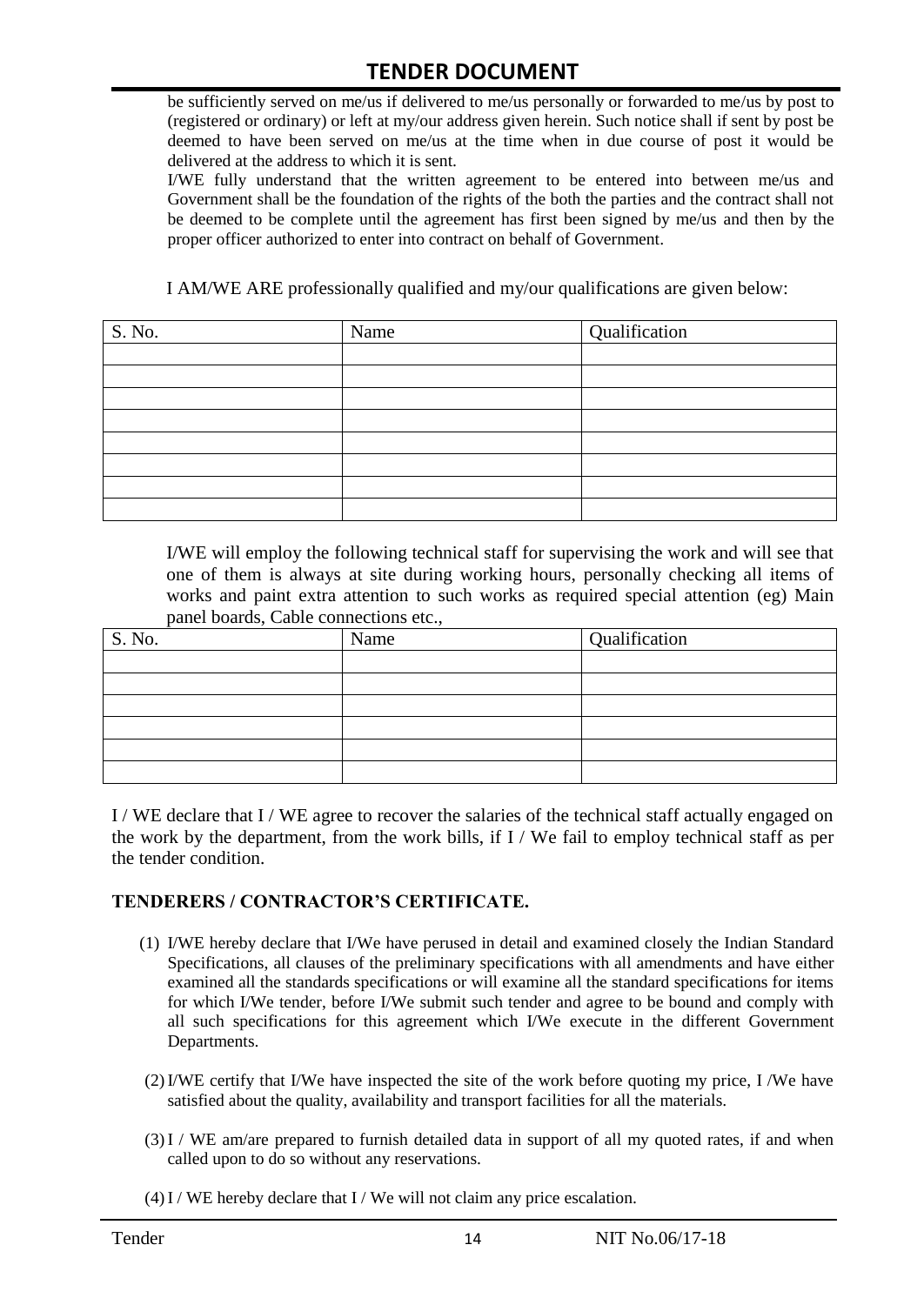be sufficiently served on me/us if delivered to me/us personally or forwarded to me/us by post to (registered or ordinary) or left at my/our address given herein. Such notice shall if sent by post be deemed to have been served on me/us at the time when in due course of post it would be delivered at the address to which it is sent.

I/WE fully understand that the written agreement to be entered into between me/us and Government shall be the foundation of the rights of the both the parties and the contract shall not be deemed to be complete until the agreement has first been signed by me/us and then by the proper officer authorized to enter into contract on behalf of Government.

I AM/WE ARE professionally qualified and my/our qualifications are given below:

| S. No. | Name | Qualification |
|--------|------|---------------|
|        |      |               |
|        |      |               |
|        |      |               |
|        |      |               |
|        |      |               |
|        |      |               |
|        |      |               |
|        |      |               |

I/WE will employ the following technical staff for supervising the work and will see that one of them is always at site during working hours, personally checking all items of works and paint extra attention to such works as required special attention (eg) Main panel boards, Cable connections etc.,

| S. No. | Name | Qualification |
|--------|------|---------------|
|        |      |               |
|        |      |               |
|        |      |               |
|        |      |               |
|        |      |               |
|        |      |               |

I / WE declare that I / WE agree to recover the salaries of the technical staff actually engaged on the work by the department, from the work bills, if I / We fail to employ technical staff as per the tender condition.

#### **TENDERERS / CONTRACTOR'S CERTIFICATE.**

- (1) I/WE hereby declare that I/We have perused in detail and examined closely the Indian Standard Specifications, all clauses of the preliminary specifications with all amendments and have either examined all the standards specifications or will examine all the standard specifications for items for which I/We tender, before I/We submit such tender and agree to be bound and comply with all such specifications for this agreement which I/We execute in the different Government Departments.
- (2)I/WE certify that I/We have inspected the site of the work before quoting my price, I /We have satisfied about the quality, availability and transport facilities for all the materials.
- (3)I / WE am/are prepared to furnish detailed data in support of all my quoted rates, if and when called upon to do so without any reservations.
- $(4)$  I / WE hereby declare that I / We will not claim any price escalation.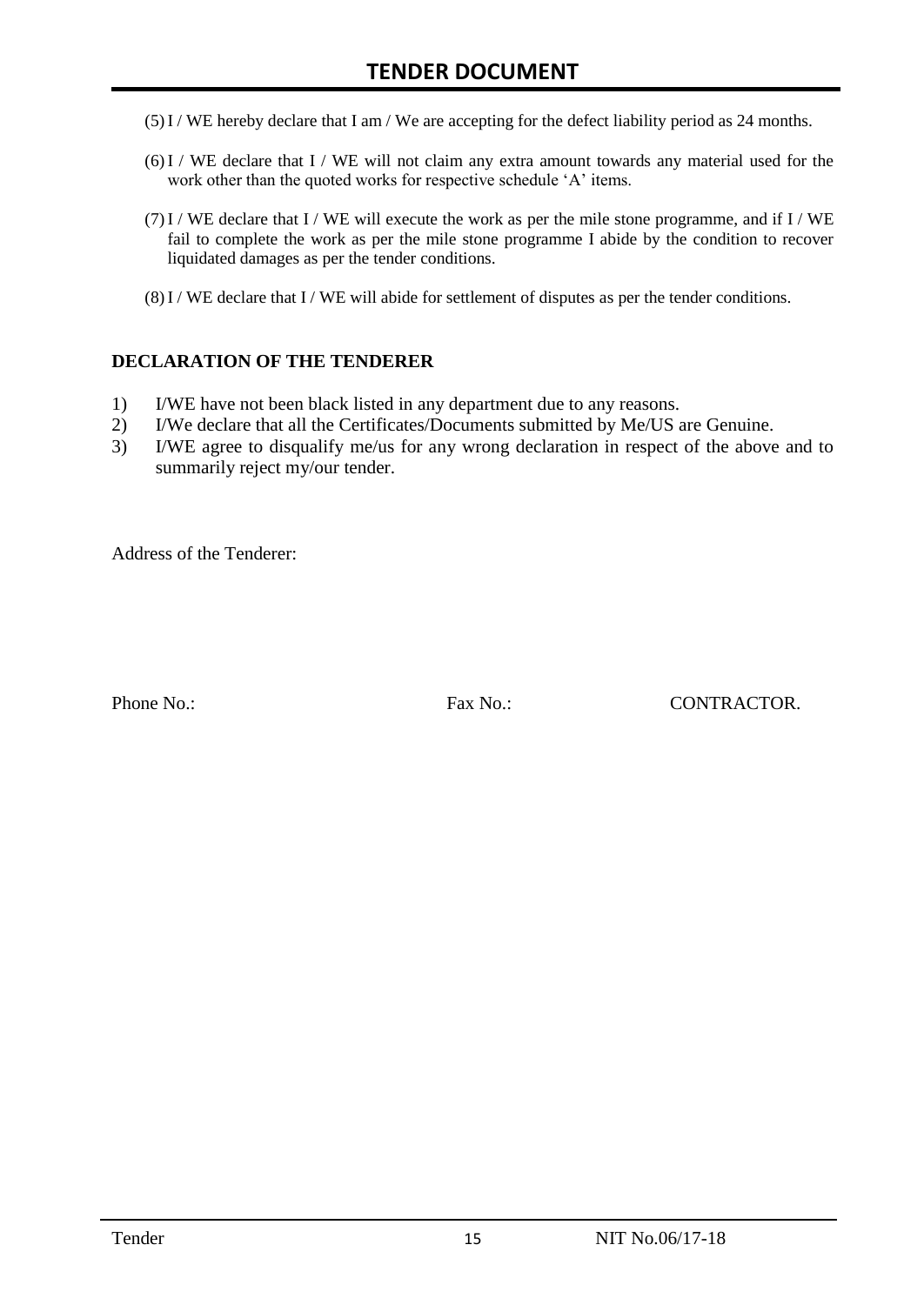- (5)I / WE hereby declare that I am / We are accepting for the defect liability period as 24 months.
- (6)I / WE declare that I / WE will not claim any extra amount towards any material used for the work other than the quoted works for respective schedule 'A' items.
- $(7)$ I / WE declare that I / WE will execute the work as per the mile stone programme, and if I / WE fail to complete the work as per the mile stone programme I abide by the condition to recover liquidated damages as per the tender conditions.
- $(8)$  I / WE declare that I / WE will abide for settlement of disputes as per the tender conditions.

#### **DECLARATION OF THE TENDERER**

- 1) I/WE have not been black listed in any department due to any reasons.
- 2) I/We declare that all the Certificates/Documents submitted by Me/US are Genuine.
- 3) I/WE agree to disqualify me/us for any wrong declaration in respect of the above and to summarily reject my/our tender.

Address of the Tenderer:

Phone No.: Fax No.: CONTRACTOR.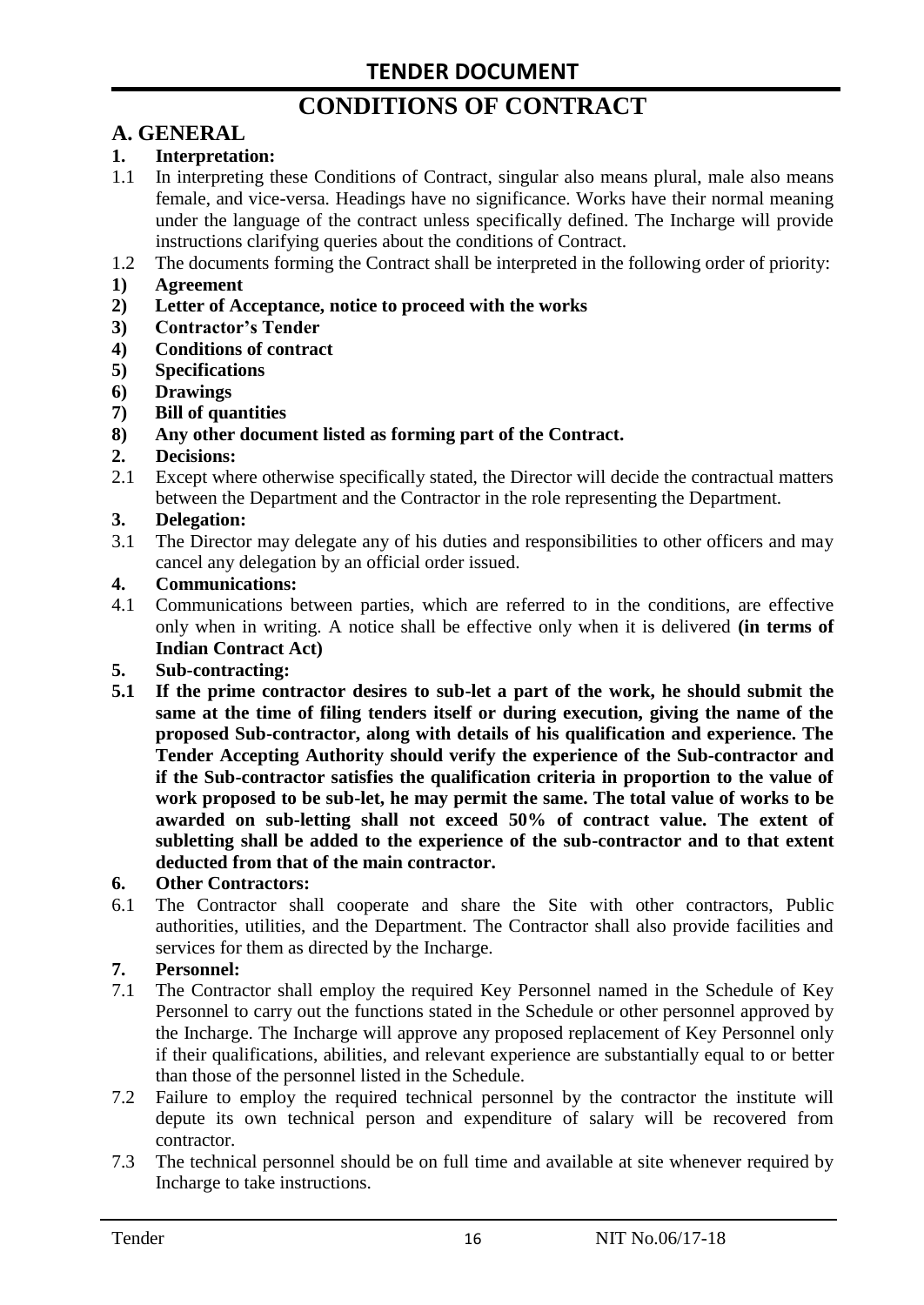# **CONDITIONS OF CONTRACT**

# **A. GENERAL**

#### **1. Interpretation:**

- 1.1 In interpreting these Conditions of Contract, singular also means plural, male also means female, and vice-versa. Headings have no significance. Works have their normal meaning under the language of the contract unless specifically defined. The Incharge will provide instructions clarifying queries about the conditions of Contract.
- 1.2 The documents forming the Contract shall be interpreted in the following order of priority:
- **1) Agreement**
- **2) Letter of Acceptance, notice to proceed with the works**
- **3) Contractor's Tender**
- **4) Conditions of contract**
- **5) Specifications**
- **6) Drawings**
- **7) Bill of quantities**
- **8) Any other document listed as forming part of the Contract.**

#### **2. Decisions:**

2.1 Except where otherwise specifically stated, the Director will decide the contractual matters between the Department and the Contractor in the role representing the Department.

#### **3. Delegation:**

3.1 The Director may delegate any of his duties and responsibilities to other officers and may cancel any delegation by an official order issued.

#### **4. Communications:**

4.1 Communications between parties, which are referred to in the conditions, are effective only when in writing. A notice shall be effective only when it is delivered **(in terms of Indian Contract Act)**

#### **5. Sub-contracting:**

**5.1 If the prime contractor desires to sub-let a part of the work, he should submit the same at the time of filing tenders itself or during execution, giving the name of the proposed Sub-contractor, along with details of his qualification and experience. The Tender Accepting Authority should verify the experience of the Sub-contractor and if the Sub-contractor satisfies the qualification criteria in proportion to the value of work proposed to be sub-let, he may permit the same. The total value of works to be awarded on sub-letting shall not exceed 50% of contract value. The extent of subletting shall be added to the experience of the sub-contractor and to that extent deducted from that of the main contractor.**

#### **6. Other Contractors:**

6.1 The Contractor shall cooperate and share the Site with other contractors, Public authorities, utilities, and the Department. The Contractor shall also provide facilities and services for them as directed by the Incharge.

#### **7. Personnel:**

- 7.1 The Contractor shall employ the required Key Personnel named in the Schedule of Key Personnel to carry out the functions stated in the Schedule or other personnel approved by the Incharge. The Incharge will approve any proposed replacement of Key Personnel only if their qualifications, abilities, and relevant experience are substantially equal to or better than those of the personnel listed in the Schedule.
- 7.2 Failure to employ the required technical personnel by the contractor the institute will depute its own technical person and expenditure of salary will be recovered from contractor.
- 7.3 The technical personnel should be on full time and available at site whenever required by Incharge to take instructions.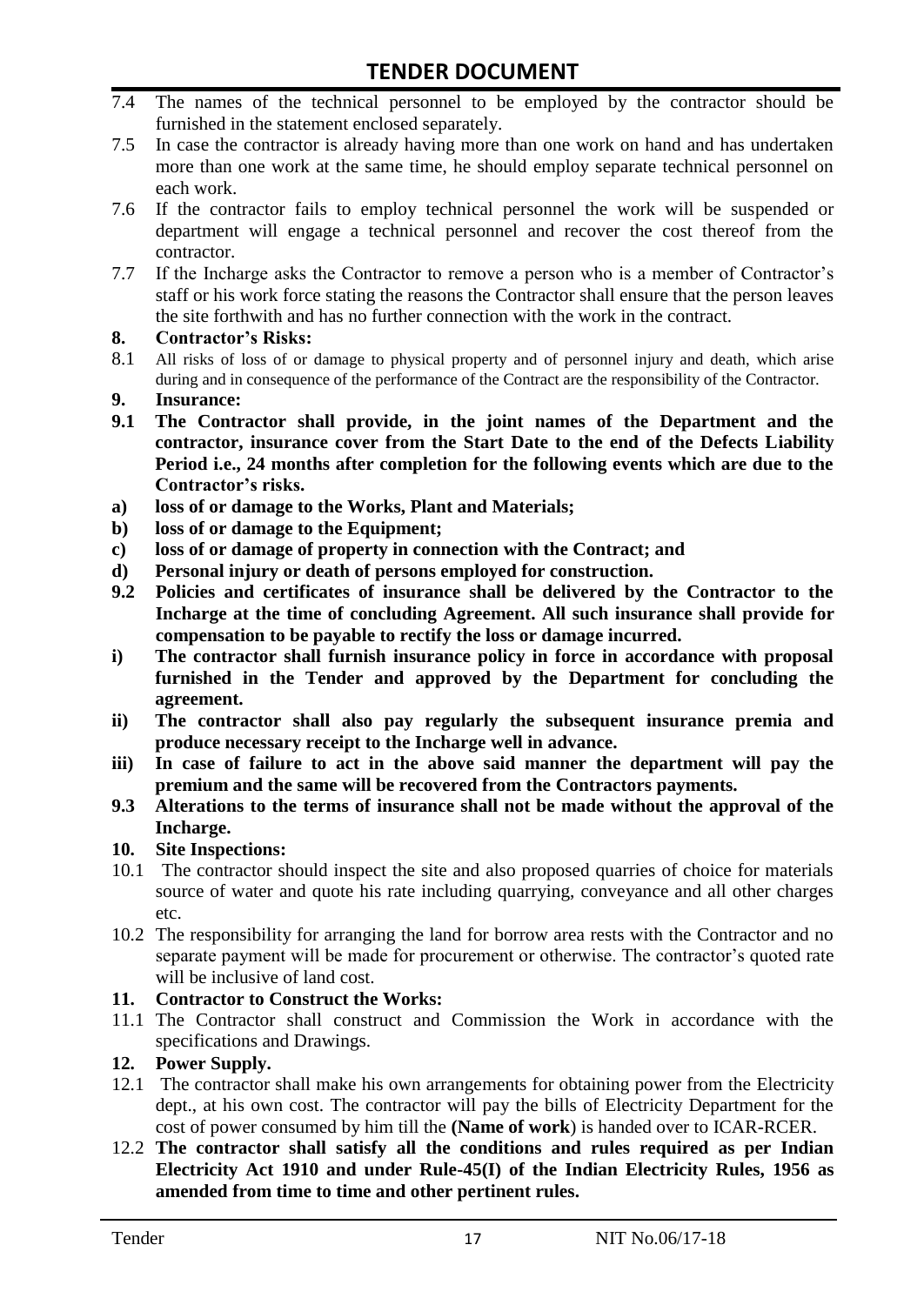- 7.4 The names of the technical personnel to be employed by the contractor should be furnished in the statement enclosed separately.
- 7.5 In case the contractor is already having more than one work on hand and has undertaken more than one work at the same time, he should employ separate technical personnel on each work.
- 7.6 If the contractor fails to employ technical personnel the work will be suspended or department will engage a technical personnel and recover the cost thereof from the contractor.
- 7.7 If the Incharge asks the Contractor to remove a person who is a member of Contractor"s staff or his work force stating the reasons the Contractor shall ensure that the person leaves the site forthwith and has no further connection with the work in the contract.

#### **8. Contractor's Risks:**

- 8.1 All risks of loss of or damage to physical property and of personnel injury and death, which arise during and in consequence of the performance of the Contract are the responsibility of the Contractor.
- **9. Insurance:**
- **9.1 The Contractor shall provide, in the joint names of the Department and the contractor, insurance cover from the Start Date to the end of the Defects Liability Period i.e., 24 months after completion for the following events which are due to the Contractor's risks.**
- **a) loss of or damage to the Works, Plant and Materials;**
- **b) loss of or damage to the Equipment;**
- **c) loss of or damage of property in connection with the Contract; and**
- **d) Personal injury or death of persons employed for construction.**
- **9.2 Policies and certificates of insurance shall be delivered by the Contractor to the Incharge at the time of concluding Agreement. All such insurance shall provide for compensation to be payable to rectify the loss or damage incurred.**
- **i) The contractor shall furnish insurance policy in force in accordance with proposal furnished in the Tender and approved by the Department for concluding the agreement.**
- **ii) The contractor shall also pay regularly the subsequent insurance premia and produce necessary receipt to the Incharge well in advance.**
- **iii) In case of failure to act in the above said manner the department will pay the premium and the same will be recovered from the Contractors payments.**
- **9.3 Alterations to the terms of insurance shall not be made without the approval of the Incharge.**

#### **10. Site Inspections:**

- 10.1 The contractor should inspect the site and also proposed quarries of choice for materials source of water and quote his rate including quarrying, conveyance and all other charges etc.
- 10.2 The responsibility for arranging the land for borrow area rests with the Contractor and no separate payment will be made for procurement or otherwise. The contractor's quoted rate will be inclusive of land cost.

#### **11. Contractor to Construct the Works:**

11.1 The Contractor shall construct and Commission the Work in accordance with the specifications and Drawings.

## **12. Power Supply.**

- 12.1 The contractor shall make his own arrangements for obtaining power from the Electricity dept., at his own cost. The contractor will pay the bills of Electricity Department for the cost of power consumed by him till the **(Name of work**) is handed over to ICAR-RCER.
- 12.2 **The contractor shall satisfy all the conditions and rules required as per Indian Electricity Act 1910 and under Rule-45(I) of the Indian Electricity Rules, 1956 as amended from time to time and other pertinent rules.**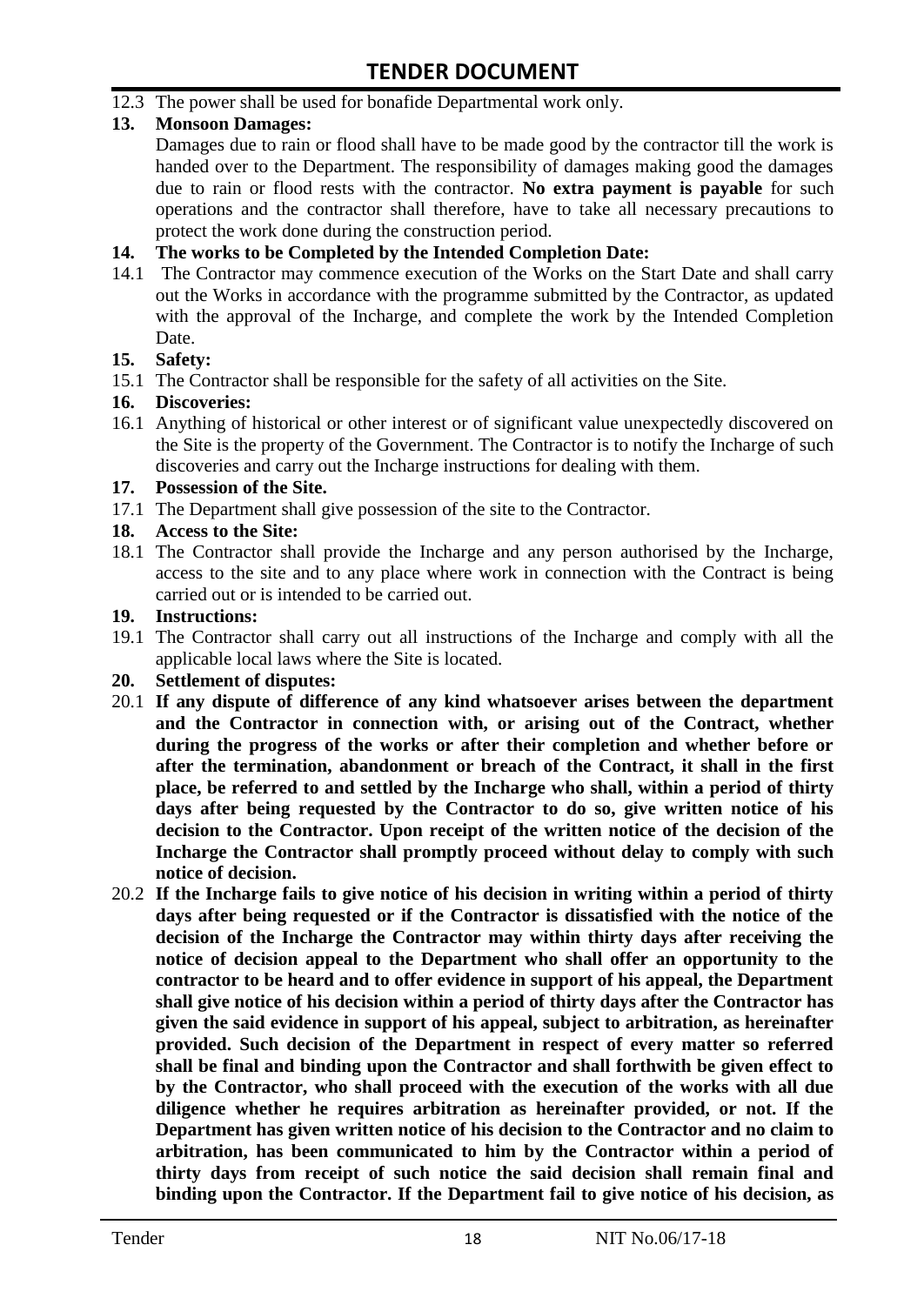12.3 The power shall be used for bonafide Departmental work only.

## **13. Monsoon Damages:**

Damages due to rain or flood shall have to be made good by the contractor till the work is handed over to the Department. The responsibility of damages making good the damages due to rain or flood rests with the contractor. **No extra payment is payable** for such operations and the contractor shall therefore, have to take all necessary precautions to protect the work done during the construction period.

#### **14. The works to be Completed by the Intended Completion Date:**

14.1 The Contractor may commence execution of the Works on the Start Date and shall carry out the Works in accordance with the programme submitted by the Contractor, as updated with the approval of the Incharge, and complete the work by the Intended Completion Date.

#### **15. Safety:**

15.1 The Contractor shall be responsible for the safety of all activities on the Site.

#### **16. Discoveries:**

16.1 Anything of historical or other interest or of significant value unexpectedly discovered on the Site is the property of the Government. The Contractor is to notify the Incharge of such discoveries and carry out the Incharge instructions for dealing with them.

#### **17. Possession of the Site.**

17.1 The Department shall give possession of the site to the Contractor.

## **18. Access to the Site:**

18.1 The Contractor shall provide the Incharge and any person authorised by the Incharge, access to the site and to any place where work in connection with the Contract is being carried out or is intended to be carried out.

#### **19. Instructions:**

- 19.1 The Contractor shall carry out all instructions of the Incharge and comply with all the applicable local laws where the Site is located.
- **20. Settlement of disputes:**
- 20.1 **If any dispute of difference of any kind whatsoever arises between the department and the Contractor in connection with, or arising out of the Contract, whether during the progress of the works or after their completion and whether before or after the termination, abandonment or breach of the Contract, it shall in the first place, be referred to and settled by the Incharge who shall, within a period of thirty days after being requested by the Contractor to do so, give written notice of his decision to the Contractor. Upon receipt of the written notice of the decision of the Incharge the Contractor shall promptly proceed without delay to comply with such notice of decision.**
- 20.2 **If the Incharge fails to give notice of his decision in writing within a period of thirty days after being requested or if the Contractor is dissatisfied with the notice of the decision of the Incharge the Contractor may within thirty days after receiving the notice of decision appeal to the Department who shall offer an opportunity to the contractor to be heard and to offer evidence in support of his appeal, the Department shall give notice of his decision within a period of thirty days after the Contractor has given the said evidence in support of his appeal, subject to arbitration, as hereinafter provided. Such decision of the Department in respect of every matter so referred shall be final and binding upon the Contractor and shall forthwith be given effect to by the Contractor, who shall proceed with the execution of the works with all due diligence whether he requires arbitration as hereinafter provided, or not. If the Department has given written notice of his decision to the Contractor and no claim to arbitration, has been communicated to him by the Contractor within a period of thirty days from receipt of such notice the said decision shall remain final and binding upon the Contractor. If the Department fail to give notice of his decision, as**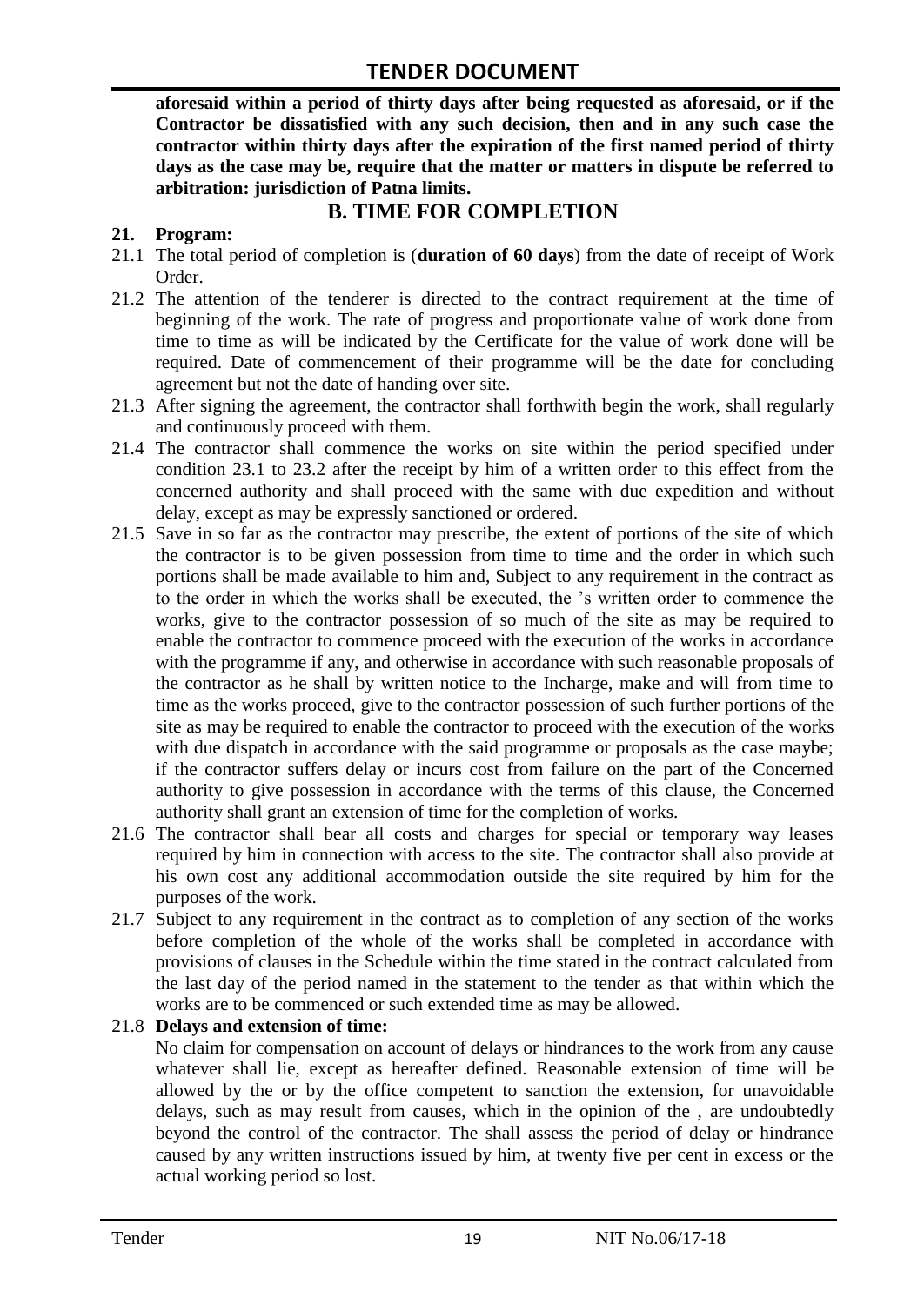**aforesaid within a period of thirty days after being requested as aforesaid, or if the Contractor be dissatisfied with any such decision, then and in any such case the contractor within thirty days after the expiration of the first named period of thirty days as the case may be, require that the matter or matters in dispute be referred to arbitration: jurisdiction of Patna limits.**

# **B. TIME FOR COMPLETION**

### **21. Program:**

- 21.1 The total period of completion is (**duration of 60 days**) from the date of receipt of Work Order.
- 21.2 The attention of the tenderer is directed to the contract requirement at the time of beginning of the work. The rate of progress and proportionate value of work done from time to time as will be indicated by the Certificate for the value of work done will be required. Date of commencement of their programme will be the date for concluding agreement but not the date of handing over site.
- 21.3 After signing the agreement, the contractor shall forthwith begin the work, shall regularly and continuously proceed with them.
- 21.4 The contractor shall commence the works on site within the period specified under condition 23.1 to 23.2 after the receipt by him of a written order to this effect from the concerned authority and shall proceed with the same with due expedition and without delay, except as may be expressly sanctioned or ordered.
- 21.5 Save in so far as the contractor may prescribe, the extent of portions of the site of which the contractor is to be given possession from time to time and the order in which such portions shall be made available to him and, Subject to any requirement in the contract as to the order in which the works shall be executed, the "s written order to commence the works, give to the contractor possession of so much of the site as may be required to enable the contractor to commence proceed with the execution of the works in accordance with the programme if any, and otherwise in accordance with such reasonable proposals of the contractor as he shall by written notice to the Incharge, make and will from time to time as the works proceed, give to the contractor possession of such further portions of the site as may be required to enable the contractor to proceed with the execution of the works with due dispatch in accordance with the said programme or proposals as the case maybe; if the contractor suffers delay or incurs cost from failure on the part of the Concerned authority to give possession in accordance with the terms of this clause, the Concerned authority shall grant an extension of time for the completion of works.
- 21.6 The contractor shall bear all costs and charges for special or temporary way leases required by him in connection with access to the site. The contractor shall also provide at his own cost any additional accommodation outside the site required by him for the purposes of the work.
- 21.7 Subject to any requirement in the contract as to completion of any section of the works before completion of the whole of the works shall be completed in accordance with provisions of clauses in the Schedule within the time stated in the contract calculated from the last day of the period named in the statement to the tender as that within which the works are to be commenced or such extended time as may be allowed.

#### 21.8 **Delays and extension of time:**

No claim for compensation on account of delays or hindrances to the work from any cause whatever shall lie, except as hereafter defined. Reasonable extension of time will be allowed by the or by the office competent to sanction the extension, for unavoidable delays, such as may result from causes, which in the opinion of the , are undoubtedly beyond the control of the contractor. The shall assess the period of delay or hindrance caused by any written instructions issued by him, at twenty five per cent in excess or the actual working period so lost.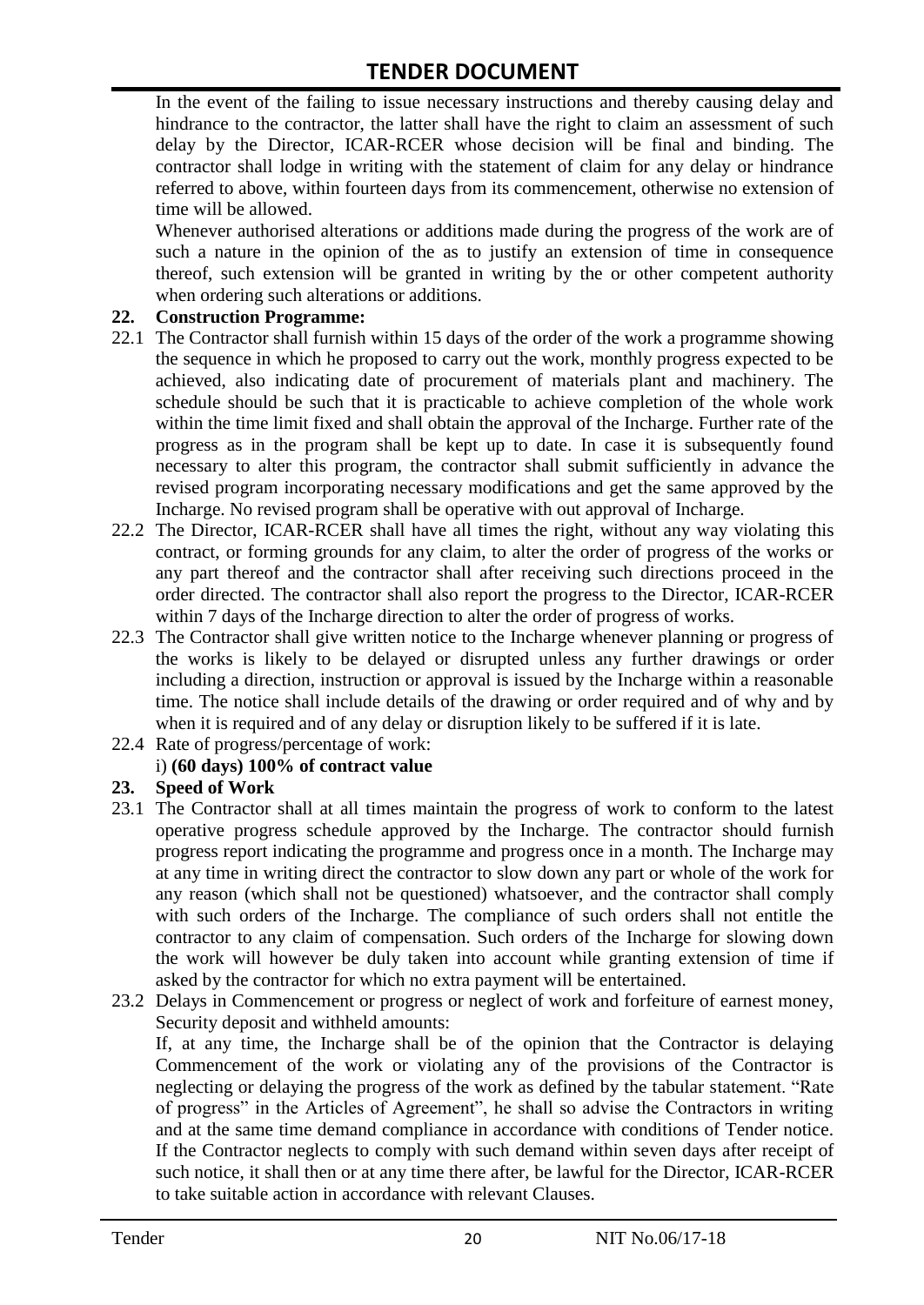In the event of the failing to issue necessary instructions and thereby causing delay and hindrance to the contractor, the latter shall have the right to claim an assessment of such delay by the Director, ICAR-RCER whose decision will be final and binding. The contractor shall lodge in writing with the statement of claim for any delay or hindrance referred to above, within fourteen days from its commencement, otherwise no extension of time will be allowed.

Whenever authorised alterations or additions made during the progress of the work are of such a nature in the opinion of the as to justify an extension of time in consequence thereof, such extension will be granted in writing by the or other competent authority when ordering such alterations or additions.

#### **22. Construction Programme:**

- 22.1 The Contractor shall furnish within 15 days of the order of the work a programme showing the sequence in which he proposed to carry out the work, monthly progress expected to be achieved, also indicating date of procurement of materials plant and machinery. The schedule should be such that it is practicable to achieve completion of the whole work within the time limit fixed and shall obtain the approval of the Incharge. Further rate of the progress as in the program shall be kept up to date. In case it is subsequently found necessary to alter this program, the contractor shall submit sufficiently in advance the revised program incorporating necessary modifications and get the same approved by the Incharge. No revised program shall be operative with out approval of Incharge.
- 22.2 The Director, ICAR-RCER shall have all times the right, without any way violating this contract, or forming grounds for any claim, to alter the order of progress of the works or any part thereof and the contractor shall after receiving such directions proceed in the order directed. The contractor shall also report the progress to the Director, ICAR-RCER within 7 days of the Incharge direction to alter the order of progress of works.
- 22.3 The Contractor shall give written notice to the Incharge whenever planning or progress of the works is likely to be delayed or disrupted unless any further drawings or order including a direction, instruction or approval is issued by the Incharge within a reasonable time. The notice shall include details of the drawing or order required and of why and by when it is required and of any delay or disruption likely to be suffered if it is late.
- 22.4 Rate of progress/percentage of work:

## i) **(60 days) 100% of contract value**

#### **23. Speed of Work**

- 23.1 The Contractor shall at all times maintain the progress of work to conform to the latest operative progress schedule approved by the Incharge. The contractor should furnish progress report indicating the programme and progress once in a month. The Incharge may at any time in writing direct the contractor to slow down any part or whole of the work for any reason (which shall not be questioned) whatsoever, and the contractor shall comply with such orders of the Incharge. The compliance of such orders shall not entitle the contractor to any claim of compensation. Such orders of the Incharge for slowing down the work will however be duly taken into account while granting extension of time if asked by the contractor for which no extra payment will be entertained.
- 23.2 Delays in Commencement or progress or neglect of work and forfeiture of earnest money, Security deposit and withheld amounts:

If, at any time, the Incharge shall be of the opinion that the Contractor is delaying Commencement of the work or violating any of the provisions of the Contractor is neglecting or delaying the progress of the work as defined by the tabular statement. "Rate of progress" in the Articles of Agreement", he shall so advise the Contractors in writing and at the same time demand compliance in accordance with conditions of Tender notice. If the Contractor neglects to comply with such demand within seven days after receipt of such notice, it shall then or at any time there after, be lawful for the Director, ICAR-RCER to take suitable action in accordance with relevant Clauses.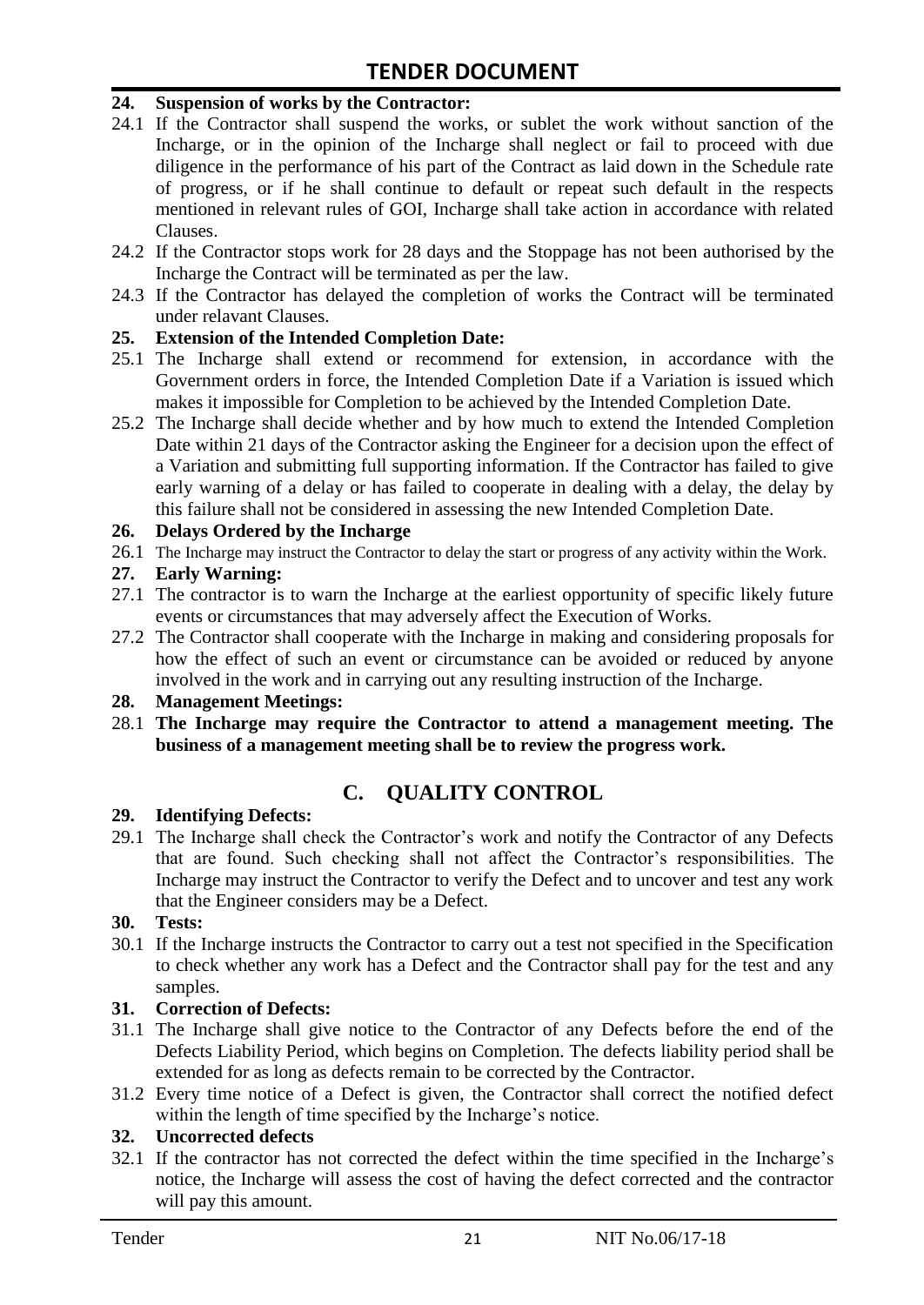#### **24. Suspension of works by the Contractor:**

- 24.1 If the Contractor shall suspend the works, or sublet the work without sanction of the Incharge, or in the opinion of the Incharge shall neglect or fail to proceed with due diligence in the performance of his part of the Contract as laid down in the Schedule rate of progress, or if he shall continue to default or repeat such default in the respects mentioned in relevant rules of GOI, Incharge shall take action in accordance with related Clauses.
- 24.2 If the Contractor stops work for 28 days and the Stoppage has not been authorised by the Incharge the Contract will be terminated as per the law.
- 24.3 If the Contractor has delayed the completion of works the Contract will be terminated under relavant Clauses.

#### **25. Extension of the Intended Completion Date:**

- 25.1 The Incharge shall extend or recommend for extension, in accordance with the Government orders in force, the Intended Completion Date if a Variation is issued which makes it impossible for Completion to be achieved by the Intended Completion Date.
- 25.2 The Incharge shall decide whether and by how much to extend the Intended Completion Date within 21 days of the Contractor asking the Engineer for a decision upon the effect of a Variation and submitting full supporting information. If the Contractor has failed to give early warning of a delay or has failed to cooperate in dealing with a delay, the delay by this failure shall not be considered in assessing the new Intended Completion Date.

#### **26. Delays Ordered by the Incharge**

26.1 The Incharge may instruct the Contractor to delay the start or progress of any activity within the Work.

#### **27. Early Warning:**

- 27.1 The contractor is to warn the Incharge at the earliest opportunity of specific likely future events or circumstances that may adversely affect the Execution of Works.
- 27.2 The Contractor shall cooperate with the Incharge in making and considering proposals for how the effect of such an event or circumstance can be avoided or reduced by anyone involved in the work and in carrying out any resulting instruction of the Incharge.

#### **28. Management Meetings:**

28.1 **The Incharge may require the Contractor to attend a management meeting. The business of a management meeting shall be to review the progress work.**

# **C. QUALITY CONTROL**

#### **29. Identifying Defects:**

29.1 The Incharge shall check the Contractor's work and notify the Contractor of any Defects that are found. Such checking shall not affect the Contractor"s responsibilities. The Incharge may instruct the Contractor to verify the Defect and to uncover and test any work that the Engineer considers may be a Defect.

#### **30. Tests:**

30.1 If the Incharge instructs the Contractor to carry out a test not specified in the Specification to check whether any work has a Defect and the Contractor shall pay for the test and any samples.

#### **31. Correction of Defects:**

- 31.1 The Incharge shall give notice to the Contractor of any Defects before the end of the Defects Liability Period, which begins on Completion. The defects liability period shall be extended for as long as defects remain to be corrected by the Contractor.
- 31.2 Every time notice of a Defect is given, the Contractor shall correct the notified defect within the length of time specified by the Incharge's notice.

## **32. Uncorrected defects**

32.1 If the contractor has not corrected the defect within the time specified in the Incharge"s notice, the Incharge will assess the cost of having the defect corrected and the contractor will pay this amount.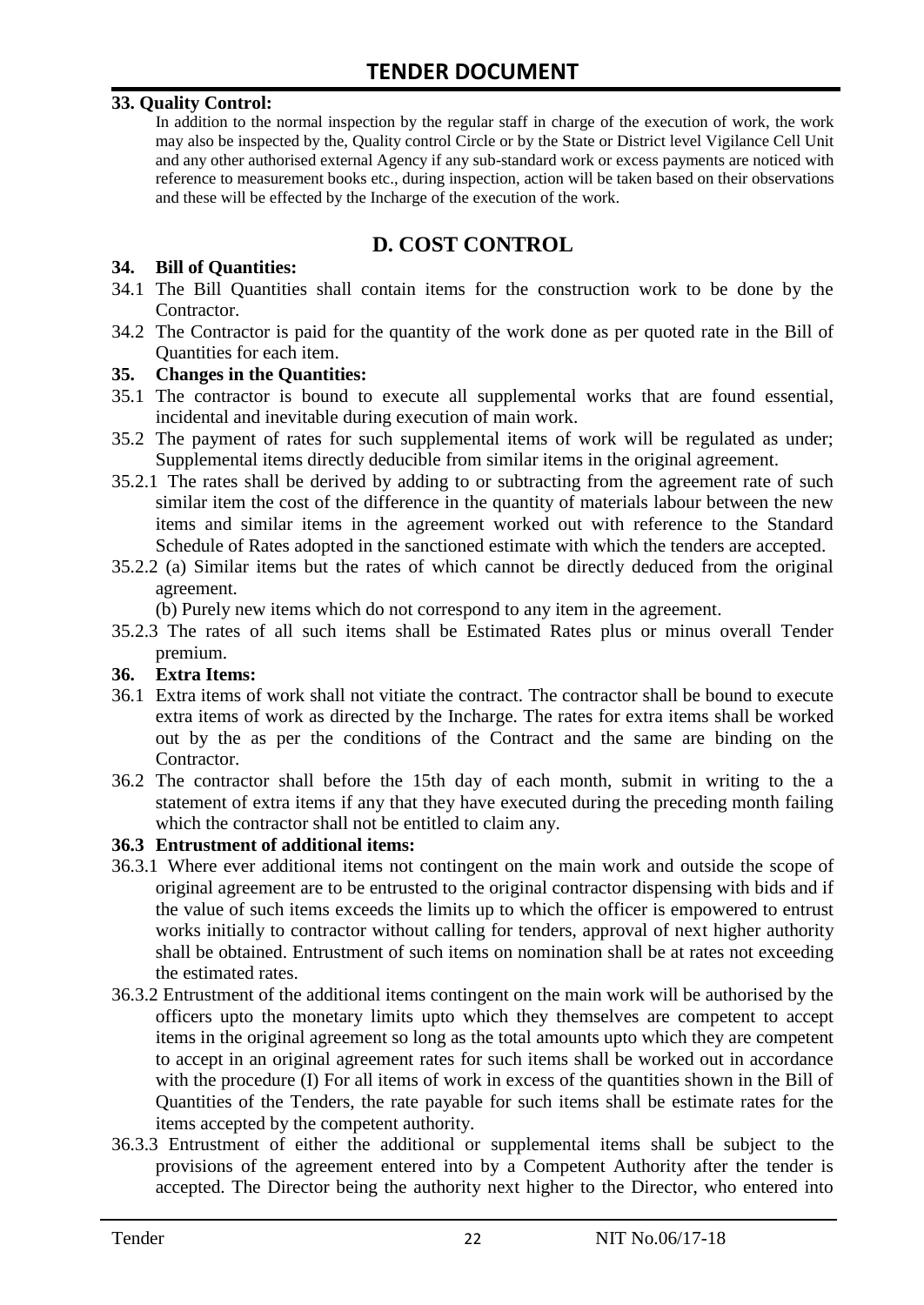#### **33. Quality Control:**

In addition to the normal inspection by the regular staff in charge of the execution of work, the work may also be inspected by the, Quality control Circle or by the State or District level Vigilance Cell Unit and any other authorised external Agency if any sub-standard work or excess payments are noticed with reference to measurement books etc., during inspection, action will be taken based on their observations and these will be effected by the Incharge of the execution of the work.

# **D. COST CONTROL**

#### **34. Bill of Quantities:**

- 34.1 The Bill Quantities shall contain items for the construction work to be done by the Contractor.
- 34.2 The Contractor is paid for the quantity of the work done as per quoted rate in the Bill of Quantities for each item.

#### **35. Changes in the Quantities:**

- 35.1 The contractor is bound to execute all supplemental works that are found essential, incidental and inevitable during execution of main work.
- 35.2 The payment of rates for such supplemental items of work will be regulated as under; Supplemental items directly deducible from similar items in the original agreement.
- 35.2.1 The rates shall be derived by adding to or subtracting from the agreement rate of such similar item the cost of the difference in the quantity of materials labour between the new items and similar items in the agreement worked out with reference to the Standard Schedule of Rates adopted in the sanctioned estimate with which the tenders are accepted.
- 35.2.2 (a) Similar items but the rates of which cannot be directly deduced from the original agreement.

(b) Purely new items which do not correspond to any item in the agreement.

35.2.3 The rates of all such items shall be Estimated Rates plus or minus overall Tender premium.

#### **36. Extra Items:**

- 36.1 Extra items of work shall not vitiate the contract. The contractor shall be bound to execute extra items of work as directed by the Incharge. The rates for extra items shall be worked out by the as per the conditions of the Contract and the same are binding on the Contractor.
- 36.2 The contractor shall before the 15th day of each month, submit in writing to the a statement of extra items if any that they have executed during the preceding month failing which the contractor shall not be entitled to claim any.

#### **36.3 Entrustment of additional items:**

- 36.3.1 Where ever additional items not contingent on the main work and outside the scope of original agreement are to be entrusted to the original contractor dispensing with bids and if the value of such items exceeds the limits up to which the officer is empowered to entrust works initially to contractor without calling for tenders, approval of next higher authority shall be obtained. Entrustment of such items on nomination shall be at rates not exceeding the estimated rates.
- 36.3.2 Entrustment of the additional items contingent on the main work will be authorised by the officers upto the monetary limits upto which they themselves are competent to accept items in the original agreement so long as the total amounts upto which they are competent to accept in an original agreement rates for such items shall be worked out in accordance with the procedure (I) For all items of work in excess of the quantities shown in the Bill of Quantities of the Tenders, the rate payable for such items shall be estimate rates for the items accepted by the competent authority.
- 36.3.3 Entrustment of either the additional or supplemental items shall be subject to the provisions of the agreement entered into by a Competent Authority after the tender is accepted. The Director being the authority next higher to the Director, who entered into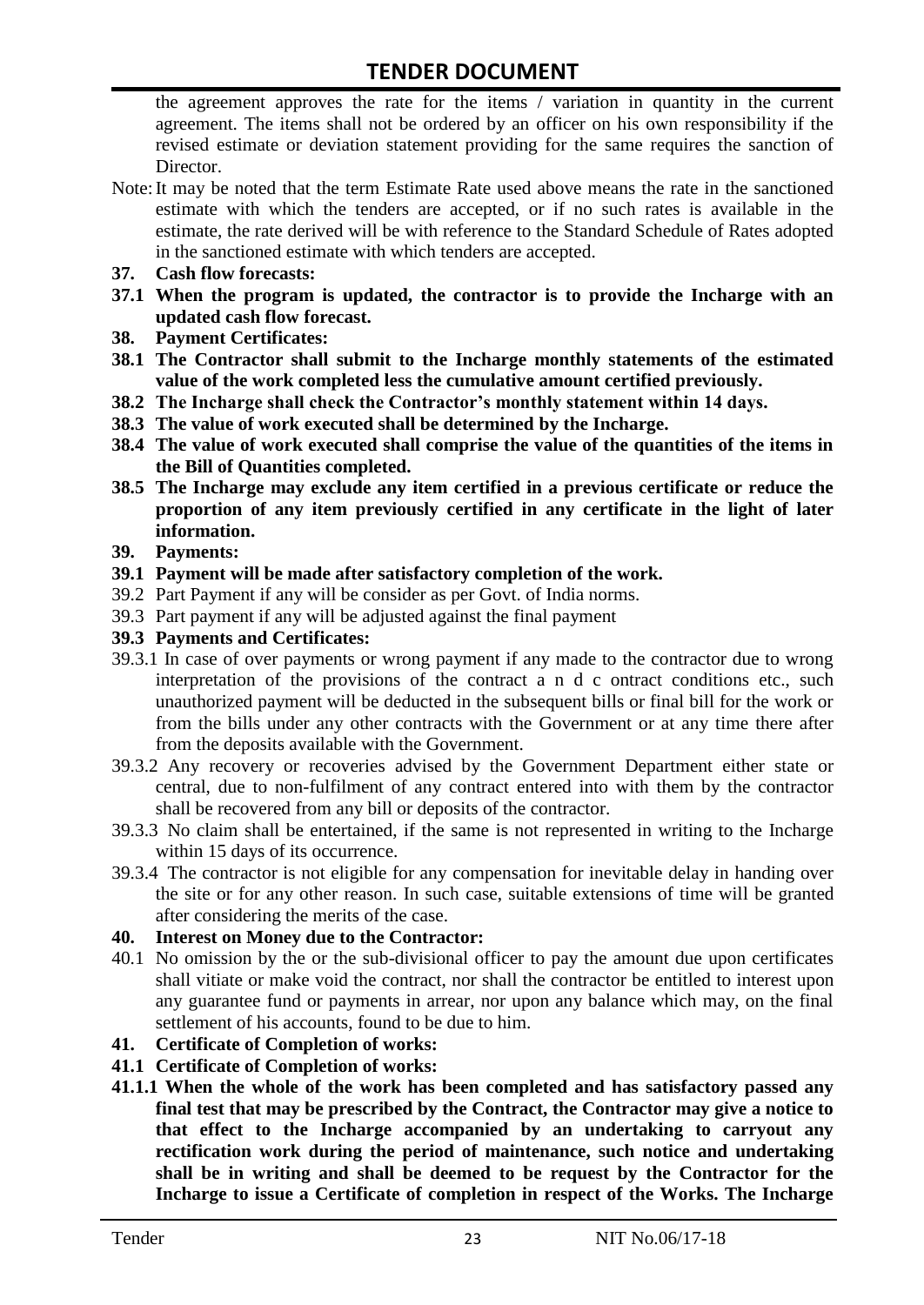the agreement approves the rate for the items / variation in quantity in the current agreement. The items shall not be ordered by an officer on his own responsibility if the revised estimate or deviation statement providing for the same requires the sanction of Director.

- Note:It may be noted that the term Estimate Rate used above means the rate in the sanctioned estimate with which the tenders are accepted, or if no such rates is available in the estimate, the rate derived will be with reference to the Standard Schedule of Rates adopted in the sanctioned estimate with which tenders are accepted.
- **37. Cash flow forecasts:**
- **37.1 When the program is updated, the contractor is to provide the Incharge with an updated cash flow forecast.**
- **38. Payment Certificates:**
- **38.1 The Contractor shall submit to the Incharge monthly statements of the estimated value of the work completed less the cumulative amount certified previously.**
- **38.2 The Incharge shall check the Contractor's monthly statement within 14 days.**
- **38.3 The value of work executed shall be determined by the Incharge.**
- **38.4 The value of work executed shall comprise the value of the quantities of the items in the Bill of Quantities completed.**
- **38.5 The Incharge may exclude any item certified in a previous certificate or reduce the proportion of any item previously certified in any certificate in the light of later information.**
- **39. Payments:**
- **39.1 Payment will be made after satisfactory completion of the work.**
- 39.2 Part Payment if any will be consider as per Govt. of India norms.
- 39.3 Part payment if any will be adjusted against the final payment
- **39.3 Payments and Certificates:**
- 39.3.1 In case of over payments or wrong payment if any made to the contractor due to wrong interpretation of the provisions of the contract a n d c ontract conditions etc., such unauthorized payment will be deducted in the subsequent bills or final bill for the work or from the bills under any other contracts with the Government or at any time there after from the deposits available with the Government.
- 39.3.2 Any recovery or recoveries advised by the Government Department either state or central, due to non-fulfilment of any contract entered into with them by the contractor shall be recovered from any bill or deposits of the contractor.
- 39.3.3 No claim shall be entertained, if the same is not represented in writing to the Incharge within 15 days of its occurrence.
- 39.3.4 The contractor is not eligible for any compensation for inevitable delay in handing over the site or for any other reason. In such case, suitable extensions of time will be granted after considering the merits of the case.

#### **40. Interest on Money due to the Contractor:**

- 40.1 No omission by the or the sub-divisional officer to pay the amount due upon certificates shall vitiate or make void the contract, nor shall the contractor be entitled to interest upon any guarantee fund or payments in arrear, nor upon any balance which may, on the final settlement of his accounts, found to be due to him.
- **41. Certificate of Completion of works:**
- **41.1 Certificate of Completion of works:**
- **41.1.1 When the whole of the work has been completed and has satisfactory passed any final test that may be prescribed by the Contract, the Contractor may give a notice to that effect to the Incharge accompanied by an undertaking to carryout any rectification work during the period of maintenance, such notice and undertaking shall be in writing and shall be deemed to be request by the Contractor for the Incharge to issue a Certificate of completion in respect of the Works. The Incharge**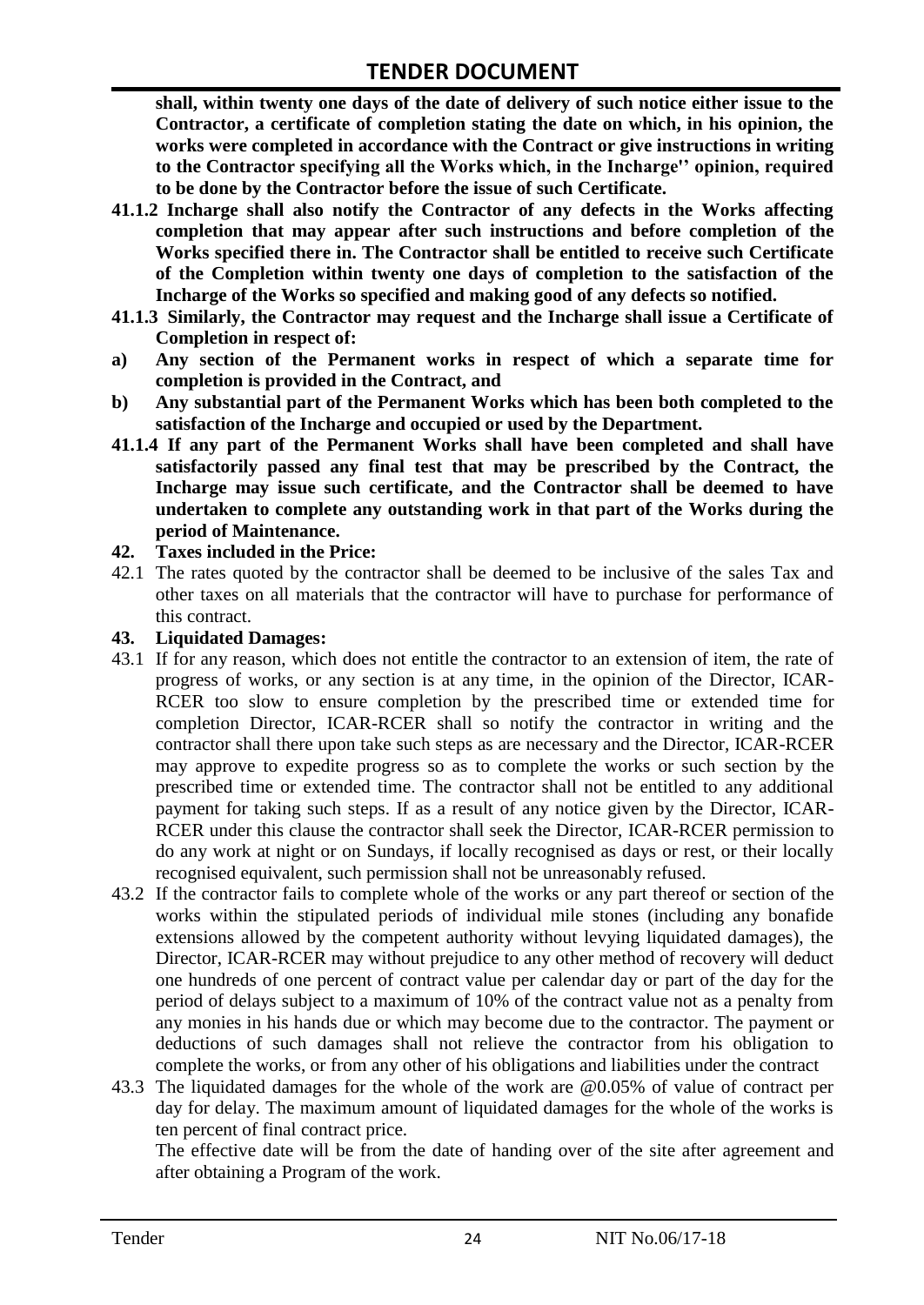**shall, within twenty one days of the date of delivery of such notice either issue to the Contractor, a certificate of completion stating the date on which, in his opinion, the works were completed in accordance with the Contract or give instructions in writing to the Contractor specifying all the Works which, in the Incharge'' opinion, required to be done by the Contractor before the issue of such Certificate.**

- **41.1.2 Incharge shall also notify the Contractor of any defects in the Works affecting completion that may appear after such instructions and before completion of the Works specified there in. The Contractor shall be entitled to receive such Certificate of the Completion within twenty one days of completion to the satisfaction of the Incharge of the Works so specified and making good of any defects so notified.**
- **41.1.3 Similarly, the Contractor may request and the Incharge shall issue a Certificate of Completion in respect of:**
- **a) Any section of the Permanent works in respect of which a separate time for completion is provided in the Contract, and**
- **b) Any substantial part of the Permanent Works which has been both completed to the satisfaction of the Incharge and occupied or used by the Department.**
- **41.1.4 If any part of the Permanent Works shall have been completed and shall have satisfactorily passed any final test that may be prescribed by the Contract, the Incharge may issue such certificate, and the Contractor shall be deemed to have undertaken to complete any outstanding work in that part of the Works during the period of Maintenance.**

#### **42. Taxes included in the Price:**

42.1 The rates quoted by the contractor shall be deemed to be inclusive of the sales Tax and other taxes on all materials that the contractor will have to purchase for performance of this contract.

#### **43. Liquidated Damages:**

- 43.1 If for any reason, which does not entitle the contractor to an extension of item, the rate of progress of works, or any section is at any time, in the opinion of the Director, ICAR-RCER too slow to ensure completion by the prescribed time or extended time for completion Director, ICAR-RCER shall so notify the contractor in writing and the contractor shall there upon take such steps as are necessary and the Director, ICAR-RCER may approve to expedite progress so as to complete the works or such section by the prescribed time or extended time. The contractor shall not be entitled to any additional payment for taking such steps. If as a result of any notice given by the Director, ICAR-RCER under this clause the contractor shall seek the Director, ICAR-RCER permission to do any work at night or on Sundays, if locally recognised as days or rest, or their locally recognised equivalent, such permission shall not be unreasonably refused.
- 43.2 If the contractor fails to complete whole of the works or any part thereof or section of the works within the stipulated periods of individual mile stones (including any bonafide extensions allowed by the competent authority without levying liquidated damages), the Director, ICAR-RCER may without prejudice to any other method of recovery will deduct one hundreds of one percent of contract value per calendar day or part of the day for the period of delays subject to a maximum of 10% of the contract value not as a penalty from any monies in his hands due or which may become due to the contractor. The payment or deductions of such damages shall not relieve the contractor from his obligation to complete the works, or from any other of his obligations and liabilities under the contract
- 43.3 The liquidated damages for the whole of the work are @0.05% of value of contract per day for delay. The maximum amount of liquidated damages for the whole of the works is ten percent of final contract price.

The effective date will be from the date of handing over of the site after agreement and after obtaining a Program of the work.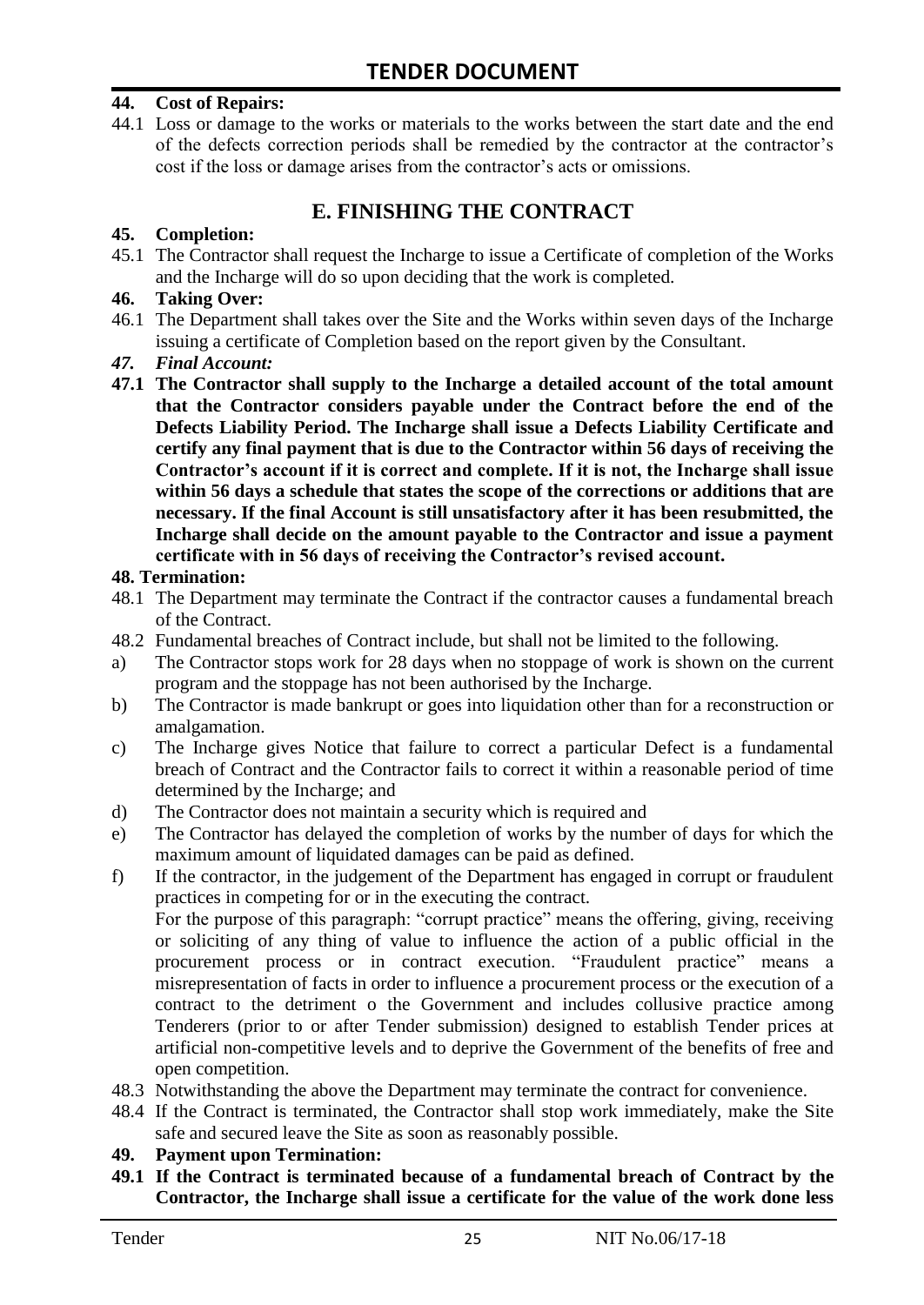#### **44. Cost of Repairs:**

44.1 Loss or damage to the works or materials to the works between the start date and the end of the defects correction periods shall be remedied by the contractor at the contractor"s cost if the loss or damage arises from the contractor's acts or omissions.

# **E. FINISHING THE CONTRACT**

#### **45. Completion:**

45.1 The Contractor shall request the Incharge to issue a Certificate of completion of the Works and the Incharge will do so upon deciding that the work is completed.

#### **46. Taking Over:**

- 46.1 The Department shall takes over the Site and the Works within seven days of the Incharge issuing a certificate of Completion based on the report given by the Consultant.
- *47. Final Account:*
- **47.1 The Contractor shall supply to the Incharge a detailed account of the total amount that the Contractor considers payable under the Contract before the end of the Defects Liability Period. The Incharge shall issue a Defects Liability Certificate and certify any final payment that is due to the Contractor within 56 days of receiving the Contractor's account if it is correct and complete. If it is not, the Incharge shall issue within 56 days a schedule that states the scope of the corrections or additions that are necessary. If the final Account is still unsatisfactory after it has been resubmitted, the Incharge shall decide on the amount payable to the Contractor and issue a payment certificate with in 56 days of receiving the Contractor's revised account.**

#### **48. Termination:**

- 48.1 The Department may terminate the Contract if the contractor causes a fundamental breach of the Contract.
- 48.2 Fundamental breaches of Contract include, but shall not be limited to the following.
- a) The Contractor stops work for 28 days when no stoppage of work is shown on the current program and the stoppage has not been authorised by the Incharge.
- b) The Contractor is made bankrupt or goes into liquidation other than for a reconstruction or amalgamation.
- c) The Incharge gives Notice that failure to correct a particular Defect is a fundamental breach of Contract and the Contractor fails to correct it within a reasonable period of time determined by the Incharge; and
- d) The Contractor does not maintain a security which is required and
- e) The Contractor has delayed the completion of works by the number of days for which the maximum amount of liquidated damages can be paid as defined.
- f) If the contractor, in the judgement of the Department has engaged in corrupt or fraudulent practices in competing for or in the executing the contract.

For the purpose of this paragraph: "corrupt practice" means the offering, giving, receiving or soliciting of any thing of value to influence the action of a public official in the procurement process or in contract execution. "Fraudulent practice" means a misrepresentation of facts in order to influence a procurement process or the execution of a contract to the detriment o the Government and includes collusive practice among Tenderers (prior to or after Tender submission) designed to establish Tender prices at artificial non-competitive levels and to deprive the Government of the benefits of free and open competition.

- 48.3 Notwithstanding the above the Department may terminate the contract for convenience.
- 48.4 If the Contract is terminated, the Contractor shall stop work immediately, make the Site safe and secured leave the Site as soon as reasonably possible.

#### **49. Payment upon Termination:**

**49.1 If the Contract is terminated because of a fundamental breach of Contract by the Contractor, the Incharge shall issue a certificate for the value of the work done less**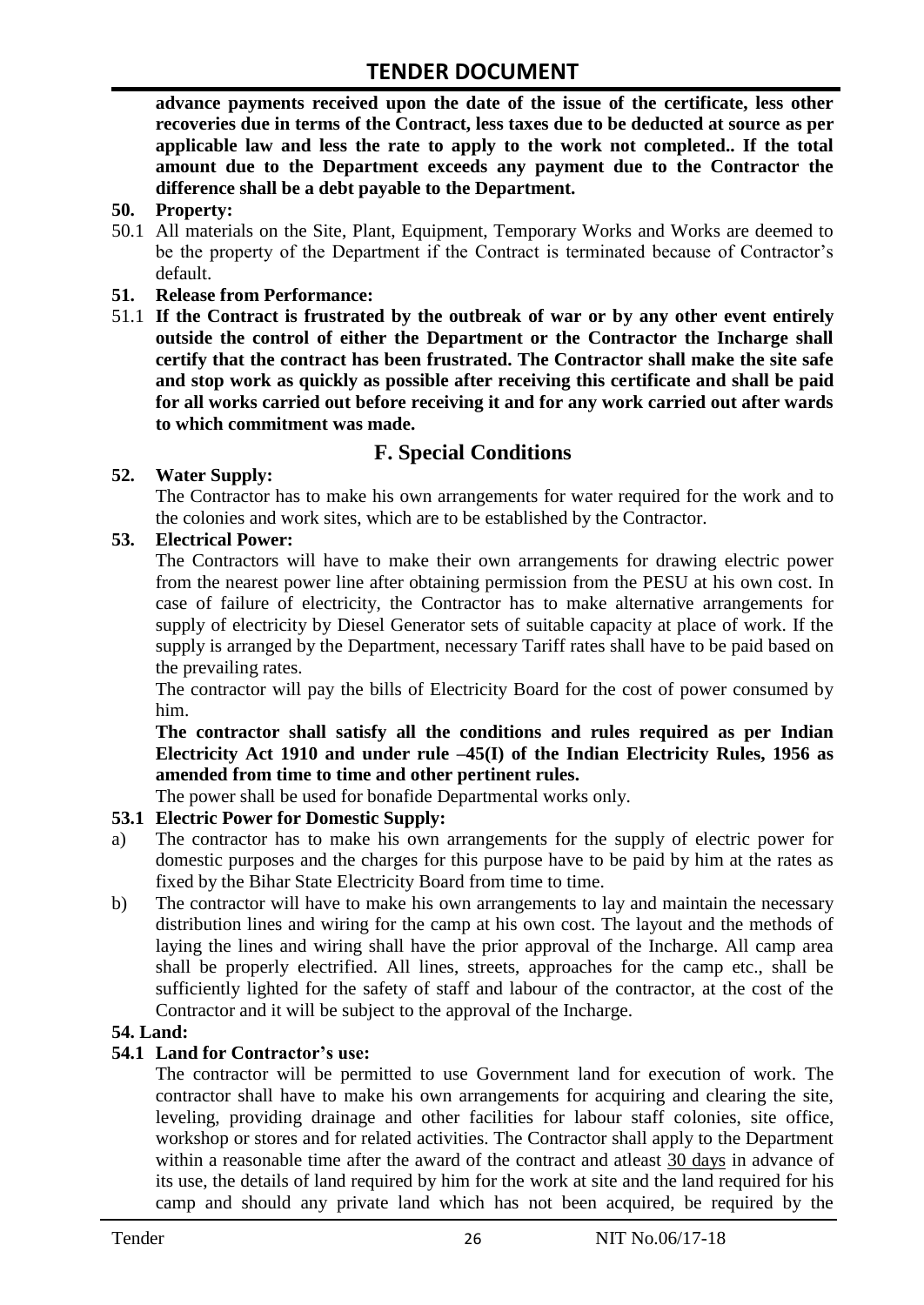**advance payments received upon the date of the issue of the certificate, less other recoveries due in terms of the Contract, less taxes due to be deducted at source as per applicable law and less the rate to apply to the work not completed.. If the total amount due to the Department exceeds any payment due to the Contractor the difference shall be a debt payable to the Department.**

- **50. Property:**
- 50.1 All materials on the Site, Plant, Equipment, Temporary Works and Works are deemed to be the property of the Department if the Contract is terminated because of Contractor's default.
- **51. Release from Performance:**
- 51.1 **If the Contract is frustrated by the outbreak of war or by any other event entirely outside the control of either the Department or the Contractor the Incharge shall certify that the contract has been frustrated. The Contractor shall make the site safe and stop work as quickly as possible after receiving this certificate and shall be paid for all works carried out before receiving it and for any work carried out after wards to which commitment was made.**

# **F. Special Conditions**

#### **52. Water Supply:**

The Contractor has to make his own arrangements for water required for the work and to the colonies and work sites, which are to be established by the Contractor.

#### **53. Electrical Power:**

The Contractors will have to make their own arrangements for drawing electric power from the nearest power line after obtaining permission from the PESU at his own cost. In case of failure of electricity, the Contractor has to make alternative arrangements for supply of electricity by Diesel Generator sets of suitable capacity at place of work. If the supply is arranged by the Department, necessary Tariff rates shall have to be paid based on the prevailing rates.

The contractor will pay the bills of Electricity Board for the cost of power consumed by him.

**The contractor shall satisfy all the conditions and rules required as per Indian Electricity Act 1910 and under rule –45(I) of the Indian Electricity Rules, 1956 as amended from time to time and other pertinent rules.**

The power shall be used for bonafide Departmental works only.

## **53.1 Electric Power for Domestic Supply:**

- a) The contractor has to make his own arrangements for the supply of electric power for domestic purposes and the charges for this purpose have to be paid by him at the rates as fixed by the Bihar State Electricity Board from time to time.
- b) The contractor will have to make his own arrangements to lay and maintain the necessary distribution lines and wiring for the camp at his own cost. The layout and the methods of laying the lines and wiring shall have the prior approval of the Incharge. All camp area shall be properly electrified. All lines, streets, approaches for the camp etc., shall be sufficiently lighted for the safety of staff and labour of the contractor, at the cost of the Contractor and it will be subject to the approval of the Incharge.

#### **54. Land:**

#### **54.1 Land for Contractor's use:**

The contractor will be permitted to use Government land for execution of work. The contractor shall have to make his own arrangements for acquiring and clearing the site, leveling, providing drainage and other facilities for labour staff colonies, site office, workshop or stores and for related activities. The Contractor shall apply to the Department within a reasonable time after the award of the contract and atleast 30 days in advance of its use, the details of land required by him for the work at site and the land required for his camp and should any private land which has not been acquired, be required by the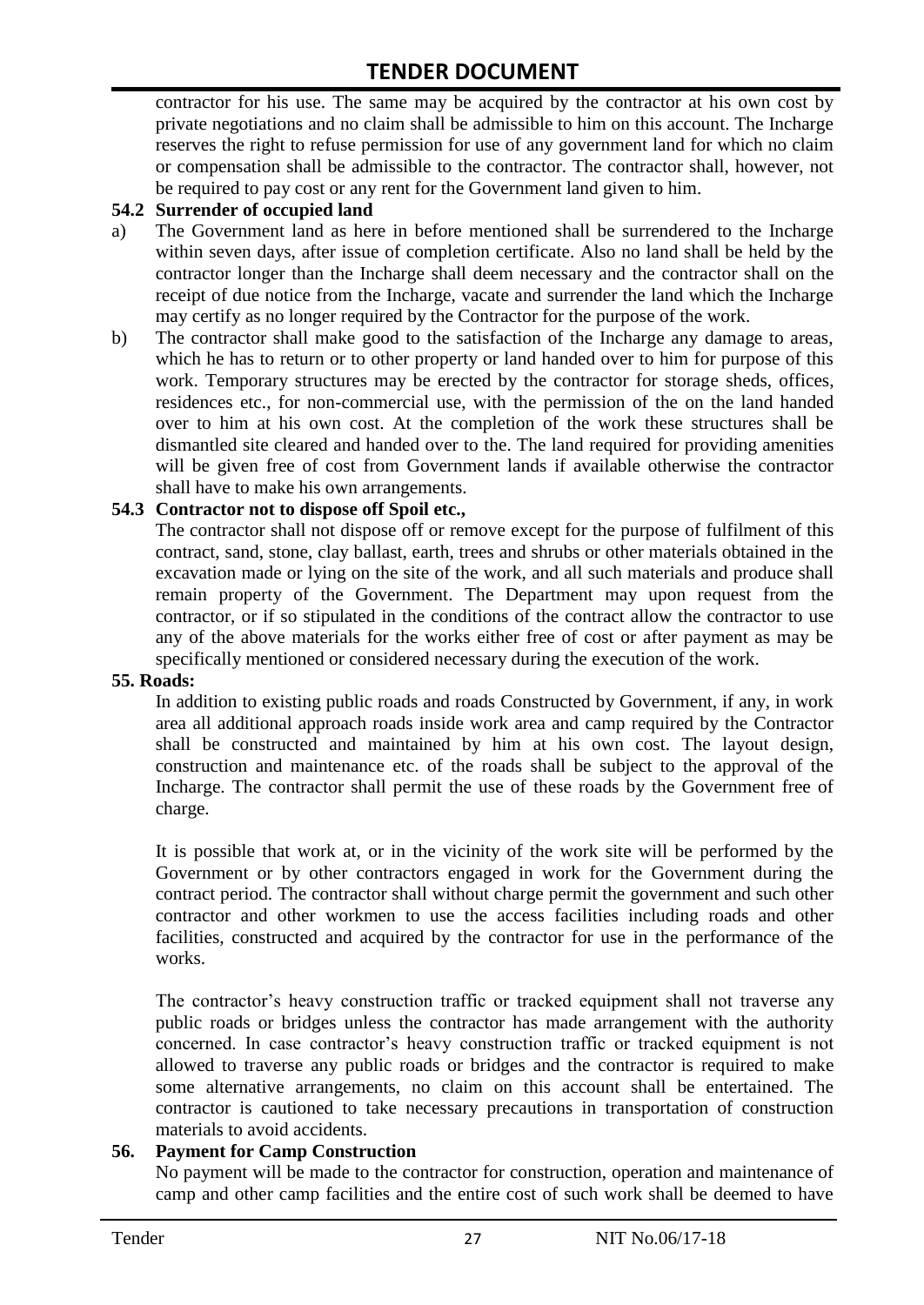contractor for his use. The same may be acquired by the contractor at his own cost by private negotiations and no claim shall be admissible to him on this account. The Incharge reserves the right to refuse permission for use of any government land for which no claim or compensation shall be admissible to the contractor. The contractor shall, however, not be required to pay cost or any rent for the Government land given to him.

#### **54.2 Surrender of occupied land**

- a) The Government land as here in before mentioned shall be surrendered to the Incharge within seven days, after issue of completion certificate. Also no land shall be held by the contractor longer than the Incharge shall deem necessary and the contractor shall on the receipt of due notice from the Incharge, vacate and surrender the land which the Incharge may certify as no longer required by the Contractor for the purpose of the work.
- b) The contractor shall make good to the satisfaction of the Incharge any damage to areas, which he has to return or to other property or land handed over to him for purpose of this work. Temporary structures may be erected by the contractor for storage sheds, offices, residences etc., for non-commercial use, with the permission of the on the land handed over to him at his own cost. At the completion of the work these structures shall be dismantled site cleared and handed over to the. The land required for providing amenities will be given free of cost from Government lands if available otherwise the contractor shall have to make his own arrangements.

#### **54.3 Contractor not to dispose off Spoil etc.,**

The contractor shall not dispose off or remove except for the purpose of fulfilment of this contract, sand, stone, clay ballast, earth, trees and shrubs or other materials obtained in the excavation made or lying on the site of the work, and all such materials and produce shall remain property of the Government. The Department may upon request from the contractor, or if so stipulated in the conditions of the contract allow the contractor to use any of the above materials for the works either free of cost or after payment as may be specifically mentioned or considered necessary during the execution of the work.

#### **55. Roads:**

In addition to existing public roads and roads Constructed by Government, if any, in work area all additional approach roads inside work area and camp required by the Contractor shall be constructed and maintained by him at his own cost. The layout design, construction and maintenance etc. of the roads shall be subject to the approval of the Incharge. The contractor shall permit the use of these roads by the Government free of charge.

It is possible that work at, or in the vicinity of the work site will be performed by the Government or by other contractors engaged in work for the Government during the contract period. The contractor shall without charge permit the government and such other contractor and other workmen to use the access facilities including roads and other facilities, constructed and acquired by the contractor for use in the performance of the works.

The contractor's heavy construction traffic or tracked equipment shall not traverse any public roads or bridges unless the contractor has made arrangement with the authority concerned. In case contractor"s heavy construction traffic or tracked equipment is not allowed to traverse any public roads or bridges and the contractor is required to make some alternative arrangements, no claim on this account shall be entertained. The contractor is cautioned to take necessary precautions in transportation of construction materials to avoid accidents.

#### **56. Payment for Camp Construction**

No payment will be made to the contractor for construction, operation and maintenance of camp and other camp facilities and the entire cost of such work shall be deemed to have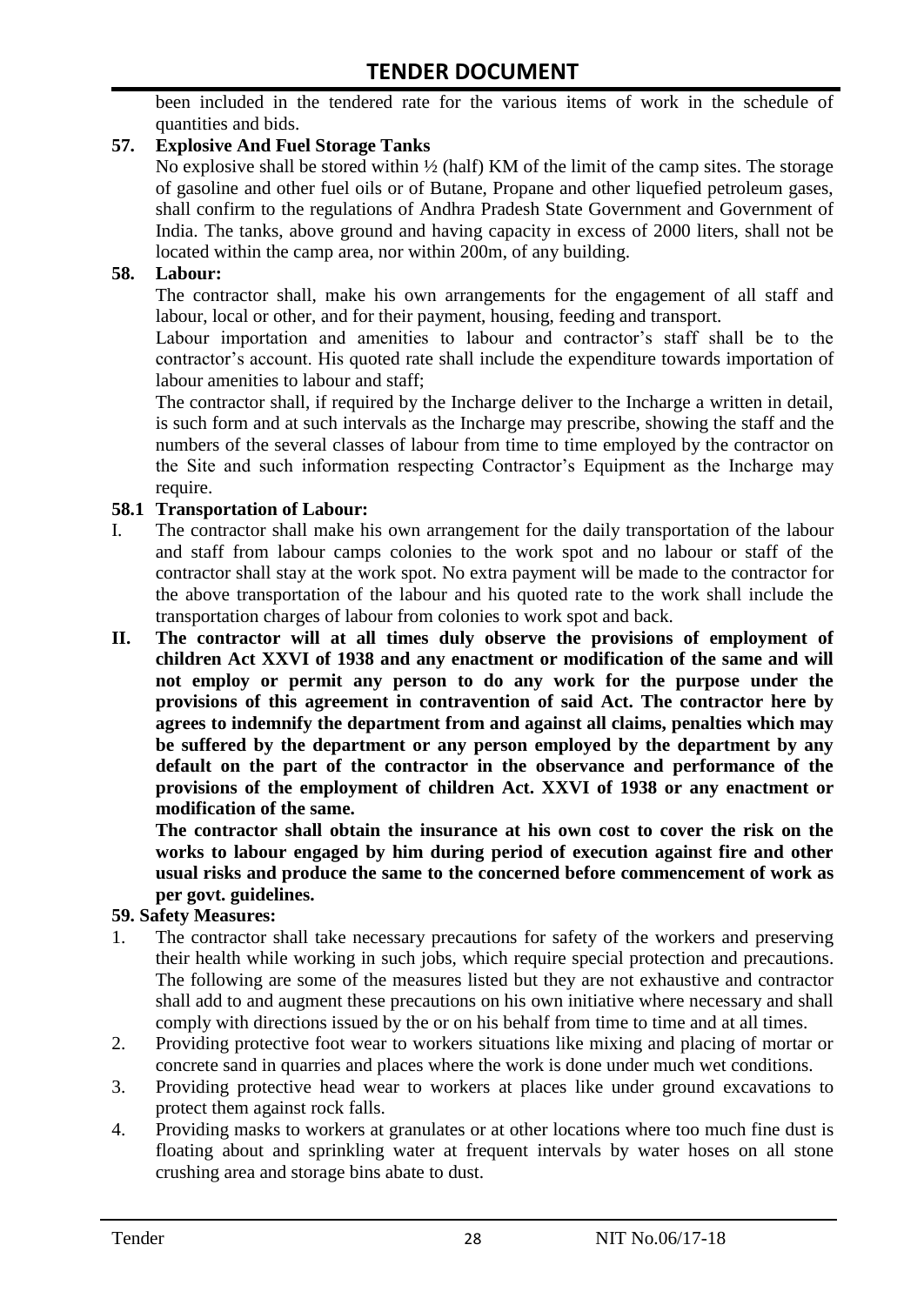been included in the tendered rate for the various items of work in the schedule of quantities and bids.

### **57. Explosive And Fuel Storage Tanks**

No explosive shall be stored within ½ (half) KM of the limit of the camp sites. The storage of gasoline and other fuel oils or of Butane, Propane and other liquefied petroleum gases, shall confirm to the regulations of Andhra Pradesh State Government and Government of India. The tanks, above ground and having capacity in excess of 2000 liters, shall not be located within the camp area, nor within 200m, of any building.

#### **58. Labour:**

The contractor shall, make his own arrangements for the engagement of all staff and labour, local or other, and for their payment, housing, feeding and transport.

Labour importation and amenities to labour and contractor's staff shall be to the contractor's account. His quoted rate shall include the expenditure towards importation of labour amenities to labour and staff;

The contractor shall, if required by the Incharge deliver to the Incharge a written in detail, is such form and at such intervals as the Incharge may prescribe, showing the staff and the numbers of the several classes of labour from time to time employed by the contractor on the Site and such information respecting Contractor"s Equipment as the Incharge may require.

#### **58.1 Transportation of Labour:**

- I. The contractor shall make his own arrangement for the daily transportation of the labour and staff from labour camps colonies to the work spot and no labour or staff of the contractor shall stay at the work spot. No extra payment will be made to the contractor for the above transportation of the labour and his quoted rate to the work shall include the transportation charges of labour from colonies to work spot and back.
- **II. The contractor will at all times duly observe the provisions of employment of children Act XXVI of 1938 and any enactment or modification of the same and will not employ or permit any person to do any work for the purpose under the provisions of this agreement in contravention of said Act. The contractor here by agrees to indemnify the department from and against all claims, penalties which may be suffered by the department or any person employed by the department by any default on the part of the contractor in the observance and performance of the provisions of the employment of children Act. XXVI of 1938 or any enactment or modification of the same.**

**The contractor shall obtain the insurance at his own cost to cover the risk on the works to labour engaged by him during period of execution against fire and other usual risks and produce the same to the concerned before commencement of work as per govt. guidelines.**

#### **59. Safety Measures:**

- 1. The contractor shall take necessary precautions for safety of the workers and preserving their health while working in such jobs, which require special protection and precautions. The following are some of the measures listed but they are not exhaustive and contractor shall add to and augment these precautions on his own initiative where necessary and shall comply with directions issued by the or on his behalf from time to time and at all times.
- 2. Providing protective foot wear to workers situations like mixing and placing of mortar or concrete sand in quarries and places where the work is done under much wet conditions.
- 3. Providing protective head wear to workers at places like under ground excavations to protect them against rock falls.
- 4. Providing masks to workers at granulates or at other locations where too much fine dust is floating about and sprinkling water at frequent intervals by water hoses on all stone crushing area and storage bins abate to dust.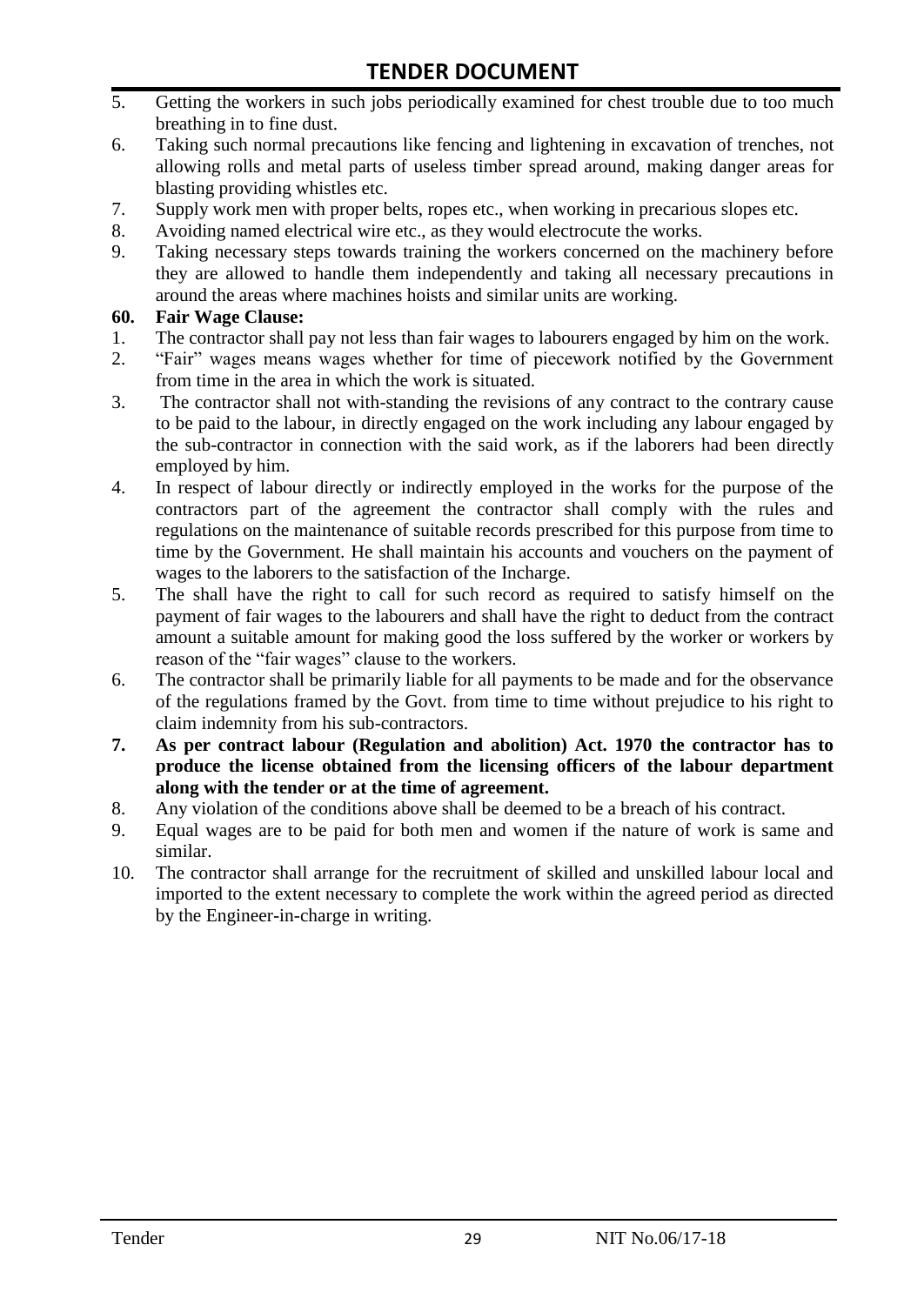- 5. Getting the workers in such jobs periodically examined for chest trouble due to too much breathing in to fine dust.
- 6. Taking such normal precautions like fencing and lightening in excavation of trenches, not allowing rolls and metal parts of useless timber spread around, making danger areas for blasting providing whistles etc.
- 7. Supply work men with proper belts, ropes etc., when working in precarious slopes etc.
- 8. Avoiding named electrical wire etc., as they would electrocute the works.
- 9. Taking necessary steps towards training the workers concerned on the machinery before they are allowed to handle them independently and taking all necessary precautions in around the areas where machines hoists and similar units are working.

#### **60. Fair Wage Clause:**

- 1. The contractor shall pay not less than fair wages to labourers engaged by him on the work.
- 2. "Fair" wages means wages whether for time of piecework notified by the Government from time in the area in which the work is situated.
- 3. The contractor shall not with-standing the revisions of any contract to the contrary cause to be paid to the labour, in directly engaged on the work including any labour engaged by the sub-contractor in connection with the said work, as if the laborers had been directly employed by him.
- 4. In respect of labour directly or indirectly employed in the works for the purpose of the contractors part of the agreement the contractor shall comply with the rules and regulations on the maintenance of suitable records prescribed for this purpose from time to time by the Government. He shall maintain his accounts and vouchers on the payment of wages to the laborers to the satisfaction of the Incharge.
- 5. The shall have the right to call for such record as required to satisfy himself on the payment of fair wages to the labourers and shall have the right to deduct from the contract amount a suitable amount for making good the loss suffered by the worker or workers by reason of the "fair wages" clause to the workers.
- 6. The contractor shall be primarily liable for all payments to be made and for the observance of the regulations framed by the Govt. from time to time without prejudice to his right to claim indemnity from his sub-contractors.
- **7. As per contract labour (Regulation and abolition) Act. 1970 the contractor has to produce the license obtained from the licensing officers of the labour department along with the tender or at the time of agreement.**
- 8. Any violation of the conditions above shall be deemed to be a breach of his contract.
- 9. Equal wages are to be paid for both men and women if the nature of work is same and similar.
- 10. The contractor shall arrange for the recruitment of skilled and unskilled labour local and imported to the extent necessary to complete the work within the agreed period as directed by the Engineer-in-charge in writing.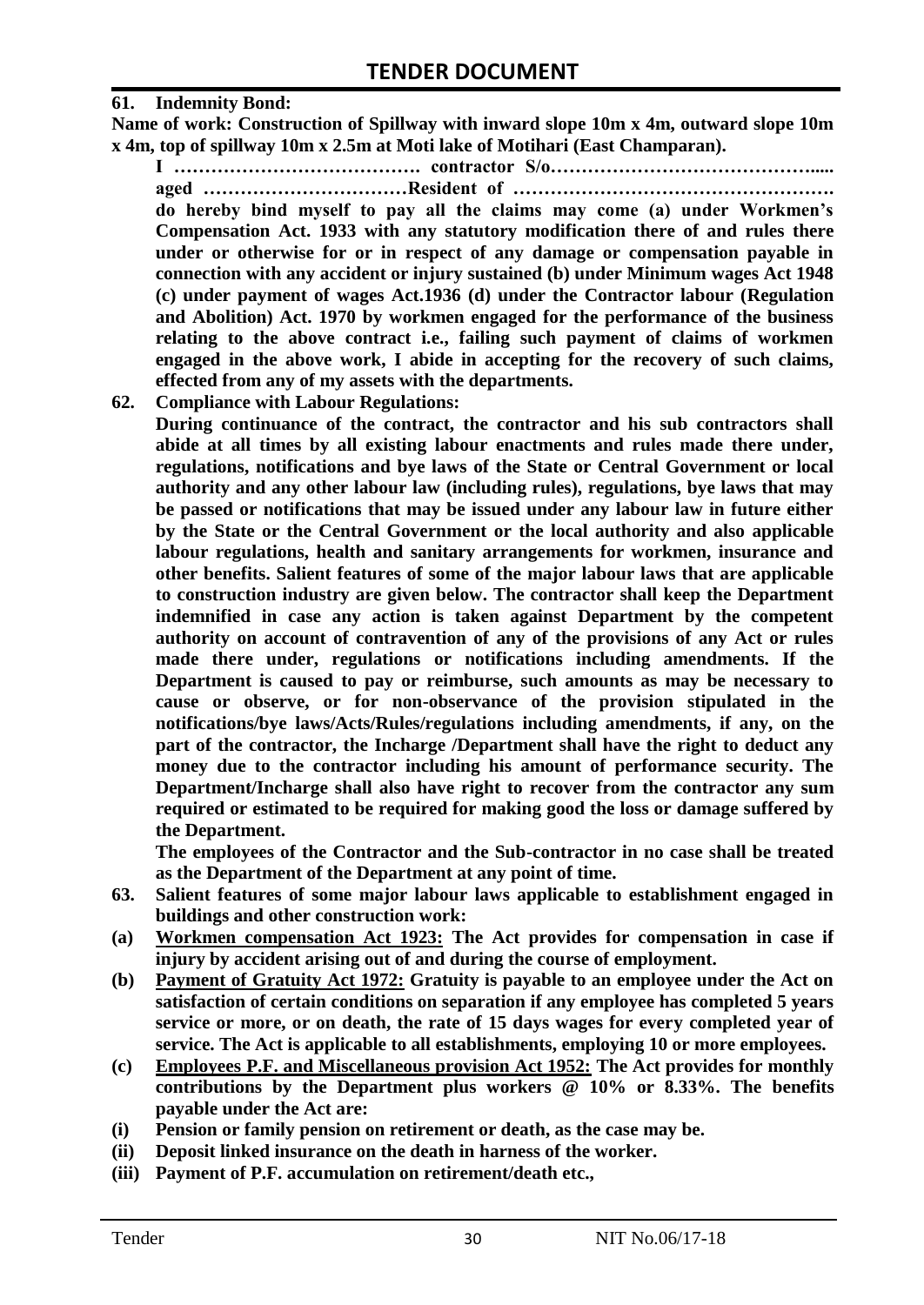#### **61. Indemnity Bond:**

**Name of work: Construction of Spillway with inward slope 10m x 4m, outward slope 10m x 4m, top of spillway 10m x 2.5m at Moti lake of Motihari (East Champaran).**

**I …………………………………. contractor S/o……………………………………..... aged ……………………………Resident of ……………………………………………. do hereby bind myself to pay all the claims may come (a) under Workmen's Compensation Act. 1933 with any statutory modification there of and rules there under or otherwise for or in respect of any damage or compensation payable in connection with any accident or injury sustained (b) under Minimum wages Act 1948 (c) under payment of wages Act.1936 (d) under the Contractor labour (Regulation and Abolition) Act. 1970 by workmen engaged for the performance of the business relating to the above contract i.e., failing such payment of claims of workmen engaged in the above work, I abide in accepting for the recovery of such claims, effected from any of my assets with the departments.**

**62. Compliance with Labour Regulations:**

**During continuance of the contract, the contractor and his sub contractors shall abide at all times by all existing labour enactments and rules made there under, regulations, notifications and bye laws of the State or Central Government or local authority and any other labour law (including rules), regulations, bye laws that may be passed or notifications that may be issued under any labour law in future either by the State or the Central Government or the local authority and also applicable labour regulations, health and sanitary arrangements for workmen, insurance and other benefits. Salient features of some of the major labour laws that are applicable to construction industry are given below. The contractor shall keep the Department indemnified in case any action is taken against Department by the competent authority on account of contravention of any of the provisions of any Act or rules made there under, regulations or notifications including amendments. If the Department is caused to pay or reimburse, such amounts as may be necessary to cause or observe, or for non-observance of the provision stipulated in the notifications/bye laws/Acts/Rules/regulations including amendments, if any, on the part of the contractor, the Incharge /Department shall have the right to deduct any money due to the contractor including his amount of performance security. The Department/Incharge shall also have right to recover from the contractor any sum required or estimated to be required for making good the loss or damage suffered by the Department.**

**The employees of the Contractor and the Sub-contractor in no case shall be treated as the Department of the Department at any point of time.**

- **63. Salient features of some major labour laws applicable to establishment engaged in buildings and other construction work:**
- **(a) Workmen compensation Act 1923: The Act provides for compensation in case if injury by accident arising out of and during the course of employment.**
- **(b) Payment of Gratuity Act 1972: Gratuity is payable to an employee under the Act on satisfaction of certain conditions on separation if any employee has completed 5 years service or more, or on death, the rate of 15 days wages for every completed year of service. The Act is applicable to all establishments, employing 10 or more employees.**
- **(c) Employees P.F. and Miscellaneous provision Act 1952: The Act provides for monthly contributions by the Department plus workers @ 10% or 8.33%. The benefits payable under the Act are:**
- **(i) Pension or family pension on retirement or death, as the case may be.**
- **(ii) Deposit linked insurance on the death in harness of the worker.**
- **(iii) Payment of P.F. accumulation on retirement/death etc.,**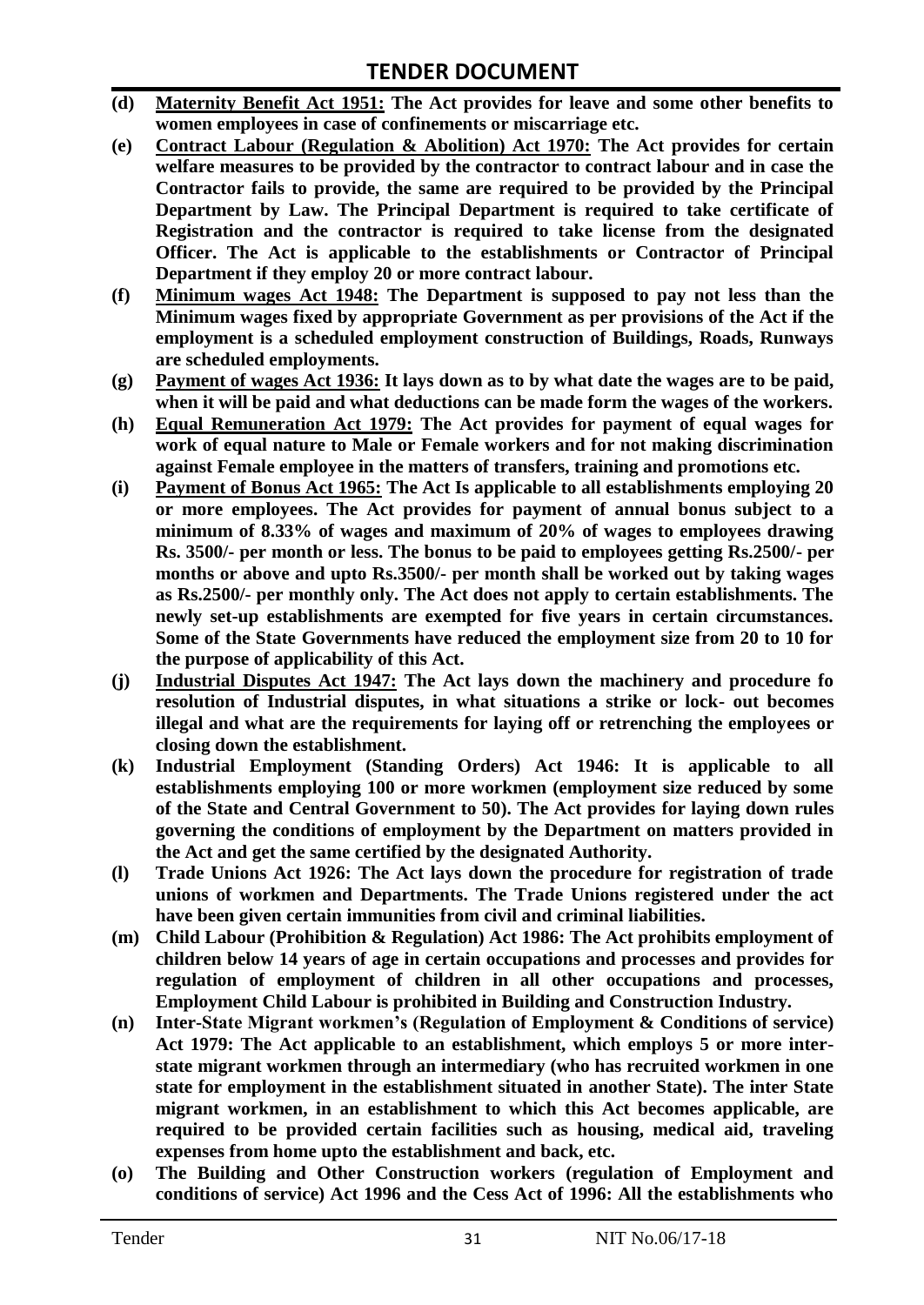- **(d) Maternity Benefit Act 1951: The Act provides for leave and some other benefits to women employees in case of confinements or miscarriage etc.**
- **(e) Contract Labour (Regulation & Abolition) Act 1970: The Act provides for certain**  welfare measures to be provided by the contractor to contract labour and in case the **Contractor fails to provide, the same are required to be provided by the Principal Department by Law. The Principal Department is required to take certificate of Registration and the contractor is required to take license from the designated Officer. The Act is applicable to the establishments or Contractor of Principal Department if they employ 20 or more contract labour.**
- **(f) Minimum wages Act 1948: The Department is supposed to pay not less than the Minimum wages fixed by appropriate Government as per provisions of the Act if the employment is a scheduled employment construction of Buildings, Roads, Runways are scheduled employments.**
- **(g) Payment of wages Act 1936: It lays down as to by what date the wages are to be paid, when it will be paid and what deductions can be made form the wages of the workers.**
- **(h) Equal Remuneration Act 1979: The Act provides for payment of equal wages for work of equal nature to Male or Female workers and for not making discrimination against Female employee in the matters of transfers, training and promotions etc.**
- **(i) Payment of Bonus Act 1965: The Act Is applicable to all establishments employing 20 or more employees. The Act provides for payment of annual bonus subject to a minimum of 8.33% of wages and maximum of 20% of wages to employees drawing Rs. 3500/- per month or less. The bonus to be paid to employees getting Rs.2500/- per months or above and upto Rs.3500/- per month shall be worked out by taking wages as Rs.2500/- per monthly only. The Act does not apply to certain establishments. The newly set-up establishments are exempted for five years in certain circumstances. Some of the State Governments have reduced the employment size from 20 to 10 for the purpose of applicability of this Act.**
- **(j) Industrial Disputes Act 1947: The Act lays down the machinery and procedure fo resolution of Industrial disputes, in what situations a strike or lock- out becomes illegal and what are the requirements for laying off or retrenching the employees or closing down the establishment.**
- **(k) Industrial Employment (Standing Orders) Act 1946: It is applicable to all establishments employing 100 or more workmen (employment size reduced by some of the State and Central Government to 50). The Act provides for laying down rules governing the conditions of employment by the Department on matters provided in the Act and get the same certified by the designated Authority.**
- **(l) Trade Unions Act 1926: The Act lays down the procedure for registration of trade unions of workmen and Departments. The Trade Unions registered under the act have been given certain immunities from civil and criminal liabilities.**
- **(m) Child Labour (Prohibition & Regulation) Act 1986: The Act prohibits employment of children below 14 years of age in certain occupations and processes and provides for regulation of employment of children in all other occupations and processes, Employment Child Labour is prohibited in Building and Construction Industry.**
- **(n) Inter-State Migrant workmen's (Regulation of Employment & Conditions of service) Act 1979: The Act applicable to an establishment, which employs 5 or more interstate migrant workmen through an intermediary (who has recruited workmen in one state for employment in the establishment situated in another State). The inter State migrant workmen, in an establishment to which this Act becomes applicable, are required to be provided certain facilities such as housing, medical aid, traveling expenses from home upto the establishment and back, etc.**
- **(o) The Building and Other Construction workers (regulation of Employment and conditions of service) Act 1996 and the Cess Act of 1996: All the establishments who**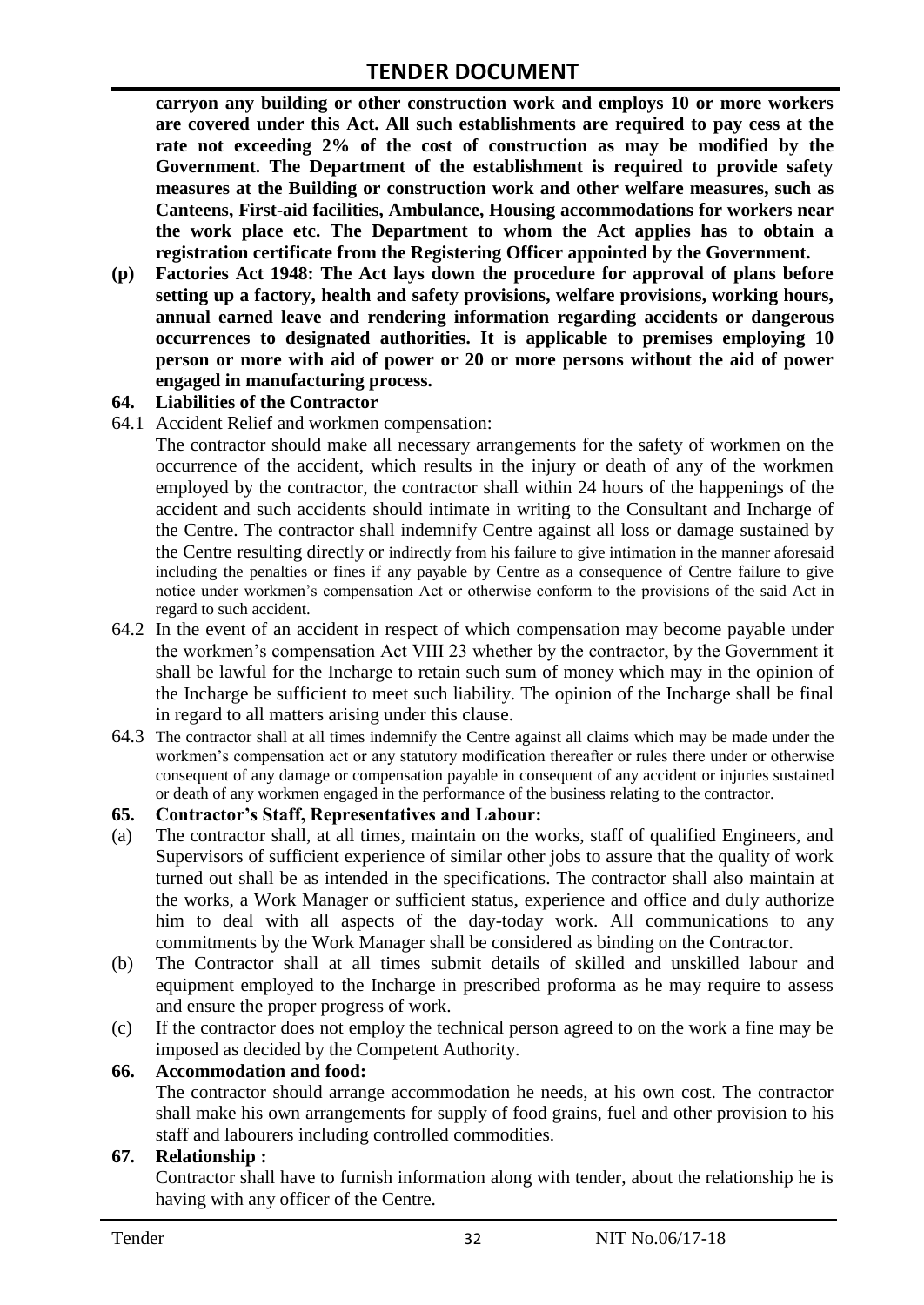**carryon any building or other construction work and employs 10 or more workers are covered under this Act. All such establishments are required to pay cess at the rate not exceeding 2% of the cost of construction as may be modified by the Government. The Department of the establishment is required to provide safety measures at the Building or construction work and other welfare measures, such as Canteens, First-aid facilities, Ambulance, Housing accommodations for workers near the work place etc. The Department to whom the Act applies has to obtain a registration certificate from the Registering Officer appointed by the Government.**

**(p) Factories Act 1948: The Act lays down the procedure for approval of plans before setting up a factory, health and safety provisions, welfare provisions, working hours, annual earned leave and rendering information regarding accidents or dangerous occurrences to designated authorities. It is applicable to premises employing 10 person or more with aid of power or 20 or more persons without the aid of power engaged in manufacturing process.**

#### **64. Liabilities of the Contractor**

64.1 Accident Relief and workmen compensation:

The contractor should make all necessary arrangements for the safety of workmen on the occurrence of the accident, which results in the injury or death of any of the workmen employed by the contractor, the contractor shall within 24 hours of the happenings of the accident and such accidents should intimate in writing to the Consultant and Incharge of the Centre. The contractor shall indemnify Centre against all loss or damage sustained by the Centre resulting directly or indirectly from his failure to give intimation in the manner aforesaid including the penalties or fines if any payable by Centre as a consequence of Centre failure to give notice under workmen"s compensation Act or otherwise conform to the provisions of the said Act in regard to such accident.

- 64.2 In the event of an accident in respect of which compensation may become payable under the workmen"s compensation Act VIII 23 whether by the contractor, by the Government it shall be lawful for the Incharge to retain such sum of money which may in the opinion of the Incharge be sufficient to meet such liability. The opinion of the Incharge shall be final in regard to all matters arising under this clause.
- 64.3 The contractor shall at all times indemnify the Centre against all claims which may be made under the workmen"s compensation act or any statutory modification thereafter or rules there under or otherwise consequent of any damage or compensation payable in consequent of any accident or injuries sustained or death of any workmen engaged in the performance of the business relating to the contractor.

#### **65. Contractor's Staff, Representatives and Labour:**

- (a) The contractor shall, at all times, maintain on the works, staff of qualified Engineers, and Supervisors of sufficient experience of similar other jobs to assure that the quality of work turned out shall be as intended in the specifications. The contractor shall also maintain at the works, a Work Manager or sufficient status, experience and office and duly authorize him to deal with all aspects of the day-today work. All communications to any commitments by the Work Manager shall be considered as binding on the Contractor.
- (b) The Contractor shall at all times submit details of skilled and unskilled labour and equipment employed to the Incharge in prescribed proforma as he may require to assess and ensure the proper progress of work.
- (c) If the contractor does not employ the technical person agreed to on the work a fine may be imposed as decided by the Competent Authority.

#### **66. Accommodation and food:**

The contractor should arrange accommodation he needs, at his own cost. The contractor shall make his own arrangements for supply of food grains, fuel and other provision to his staff and labourers including controlled commodities.

#### **67. Relationship :**

Contractor shall have to furnish information along with tender, about the relationship he is having with any officer of the Centre.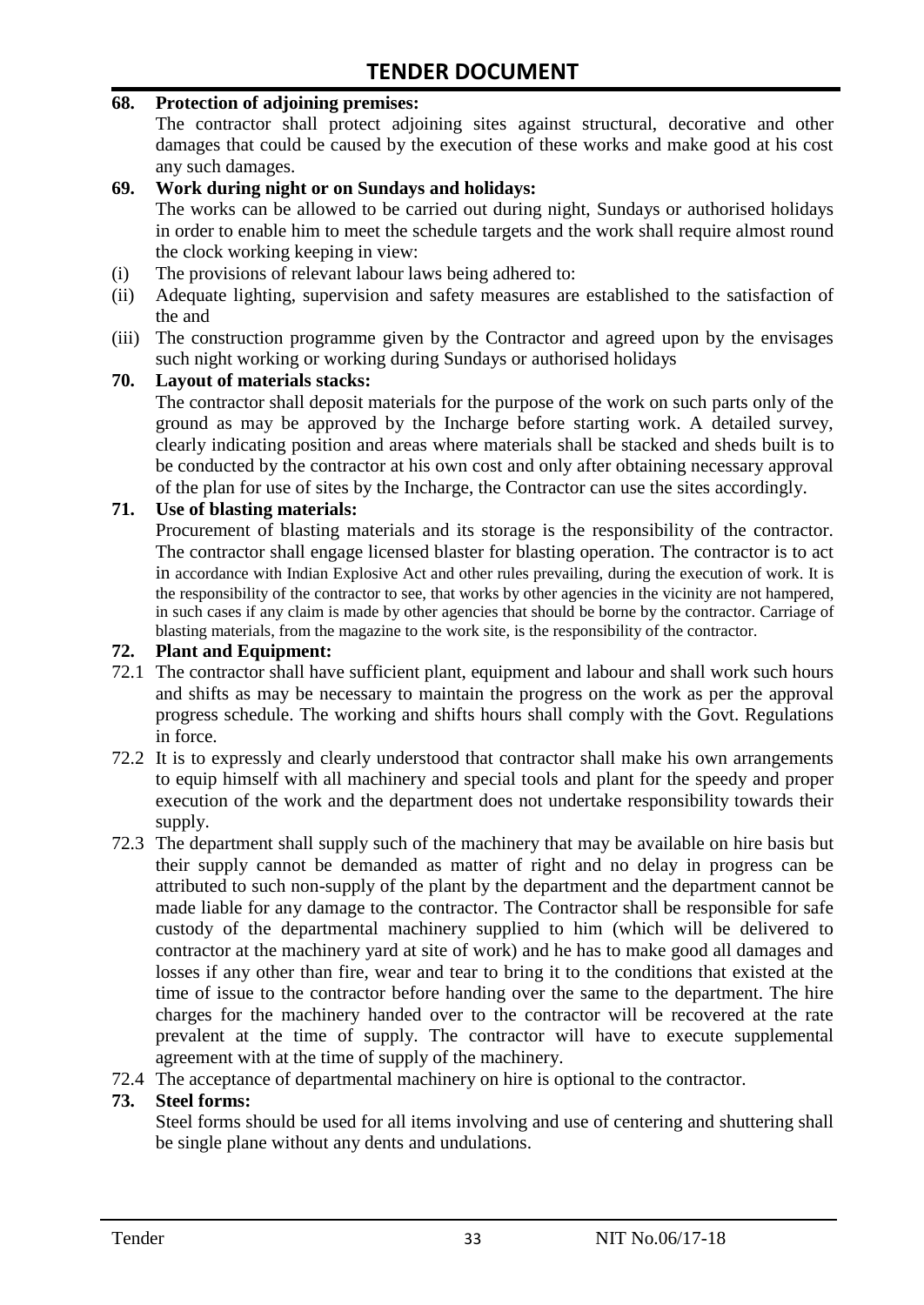#### **68. Protection of adjoining premises:**

The contractor shall protect adjoining sites against structural, decorative and other damages that could be caused by the execution of these works and make good at his cost any such damages.

#### **69. Work during night or on Sundays and holidays:**

The works can be allowed to be carried out during night, Sundays or authorised holidays in order to enable him to meet the schedule targets and the work shall require almost round the clock working keeping in view:

- (i) The provisions of relevant labour laws being adhered to:
- (ii) Adequate lighting, supervision and safety measures are established to the satisfaction of the and
- (iii) The construction programme given by the Contractor and agreed upon by the envisages such night working or working during Sundays or authorised holidays

#### **70. Layout of materials stacks:**

The contractor shall deposit materials for the purpose of the work on such parts only of the ground as may be approved by the Incharge before starting work. A detailed survey, clearly indicating position and areas where materials shall be stacked and sheds built is to be conducted by the contractor at his own cost and only after obtaining necessary approval of the plan for use of sites by the Incharge, the Contractor can use the sites accordingly.

#### **71. Use of blasting materials:**

Procurement of blasting materials and its storage is the responsibility of the contractor. The contractor shall engage licensed blaster for blasting operation. The contractor is to act in accordance with Indian Explosive Act and other rules prevailing, during the execution of work. It is the responsibility of the contractor to see, that works by other agencies in the vicinity are not hampered, in such cases if any claim is made by other agencies that should be borne by the contractor. Carriage of blasting materials, from the magazine to the work site, is the responsibility of the contractor.

#### **72. Plant and Equipment:**

- 72.1 The contractor shall have sufficient plant, equipment and labour and shall work such hours and shifts as may be necessary to maintain the progress on the work as per the approval progress schedule. The working and shifts hours shall comply with the Govt. Regulations in force.
- 72.2 It is to expressly and clearly understood that contractor shall make his own arrangements to equip himself with all machinery and special tools and plant for the speedy and proper execution of the work and the department does not undertake responsibility towards their supply.
- 72.3 The department shall supply such of the machinery that may be available on hire basis but their supply cannot be demanded as matter of right and no delay in progress can be attributed to such non-supply of the plant by the department and the department cannot be made liable for any damage to the contractor. The Contractor shall be responsible for safe custody of the departmental machinery supplied to him (which will be delivered to contractor at the machinery yard at site of work) and he has to make good all damages and losses if any other than fire, wear and tear to bring it to the conditions that existed at the time of issue to the contractor before handing over the same to the department. The hire charges for the machinery handed over to the contractor will be recovered at the rate prevalent at the time of supply. The contractor will have to execute supplemental agreement with at the time of supply of the machinery.
- 72.4 The acceptance of departmental machinery on hire is optional to the contractor.

#### **73. Steel forms:**

Steel forms should be used for all items involving and use of centering and shuttering shall be single plane without any dents and undulations.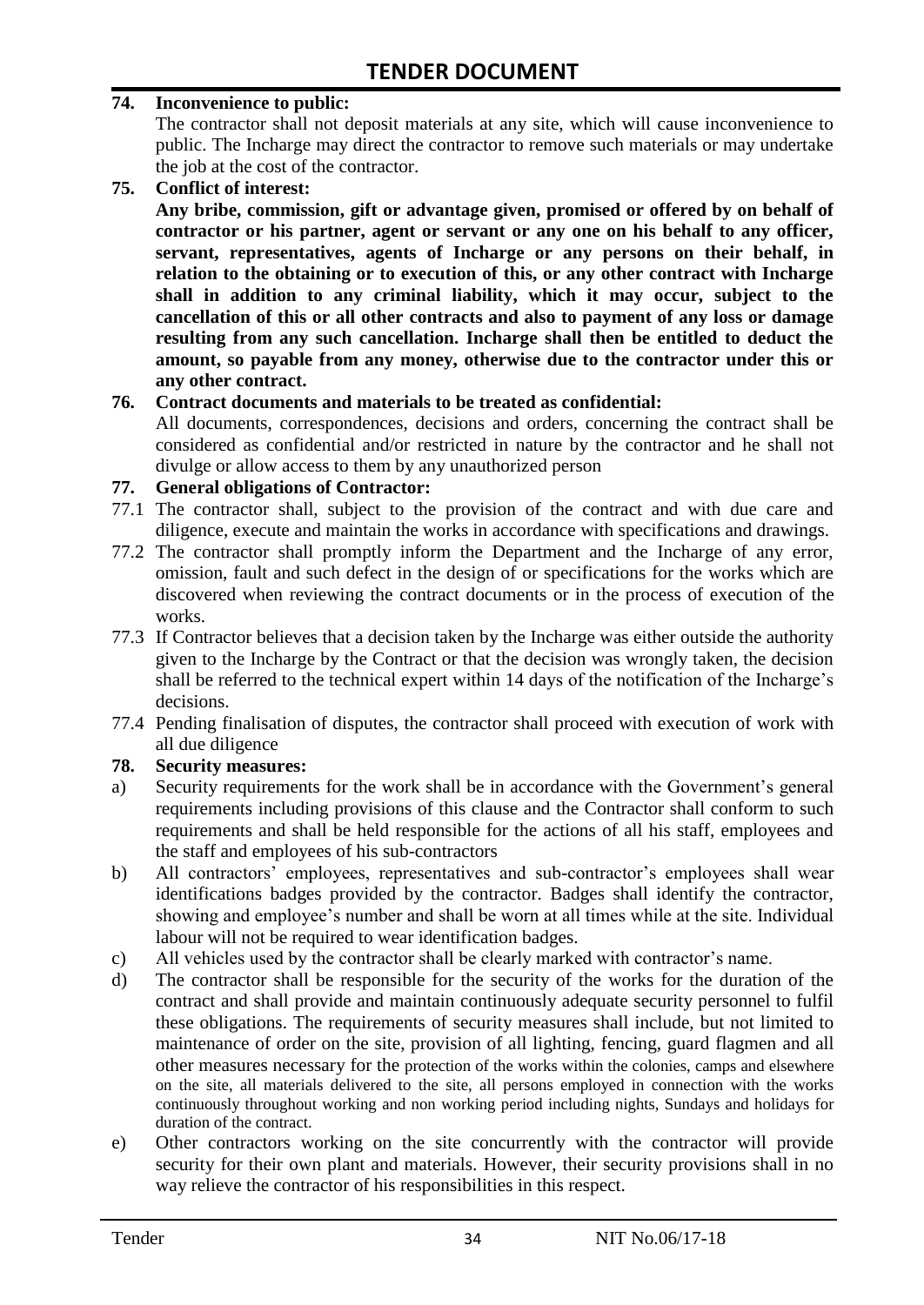#### **74. Inconvenience to public:**

The contractor shall not deposit materials at any site, which will cause inconvenience to public. The Incharge may direct the contractor to remove such materials or may undertake the job at the cost of the contractor.

**75. Conflict of interest:**

**Any bribe, commission, gift or advantage given, promised or offered by on behalf of contractor or his partner, agent or servant or any one on his behalf to any officer, servant, representatives, agents of Incharge or any persons on their behalf, in relation to the obtaining or to execution of this, or any other contract with Incharge shall in addition to any criminal liability, which it may occur, subject to the cancellation of this or all other contracts and also to payment of any loss or damage resulting from any such cancellation. Incharge shall then be entitled to deduct the amount, so payable from any money, otherwise due to the contractor under this or any other contract.**

#### **76. Contract documents and materials to be treated as confidential:**

All documents, correspondences, decisions and orders, concerning the contract shall be considered as confidential and/or restricted in nature by the contractor and he shall not divulge or allow access to them by any unauthorized person

#### **77. General obligations of Contractor:**

- 77.1 The contractor shall, subject to the provision of the contract and with due care and diligence, execute and maintain the works in accordance with specifications and drawings.
- 77.2 The contractor shall promptly inform the Department and the Incharge of any error, omission, fault and such defect in the design of or specifications for the works which are discovered when reviewing the contract documents or in the process of execution of the works.
- 77.3 If Contractor believes that a decision taken by the Incharge was either outside the authority given to the Incharge by the Contract or that the decision was wrongly taken, the decision shall be referred to the technical expert within 14 days of the notification of the Incharge"s decisions.
- 77.4 Pending finalisation of disputes, the contractor shall proceed with execution of work with all due diligence

#### **78. Security measures:**

- a) Security requirements for the work shall be in accordance with the Government's general requirements including provisions of this clause and the Contractor shall conform to such requirements and shall be held responsible for the actions of all his staff, employees and the staff and employees of his sub-contractors
- b) All contractors' employees, representatives and sub-contractor's employees shall wear identifications badges provided by the contractor. Badges shall identify the contractor, showing and employee"s number and shall be worn at all times while at the site. Individual labour will not be required to wear identification badges.
- c) All vehicles used by the contractor shall be clearly marked with contractor"s name.
- d) The contractor shall be responsible for the security of the works for the duration of the contract and shall provide and maintain continuously adequate security personnel to fulfil these obligations. The requirements of security measures shall include, but not limited to maintenance of order on the site, provision of all lighting, fencing, guard flagmen and all other measures necessary for the protection of the works within the colonies, camps and elsewhere on the site, all materials delivered to the site, all persons employed in connection with the works continuously throughout working and non working period including nights, Sundays and holidays for duration of the contract.
- e) Other contractors working on the site concurrently with the contractor will provide security for their own plant and materials. However, their security provisions shall in no way relieve the contractor of his responsibilities in this respect.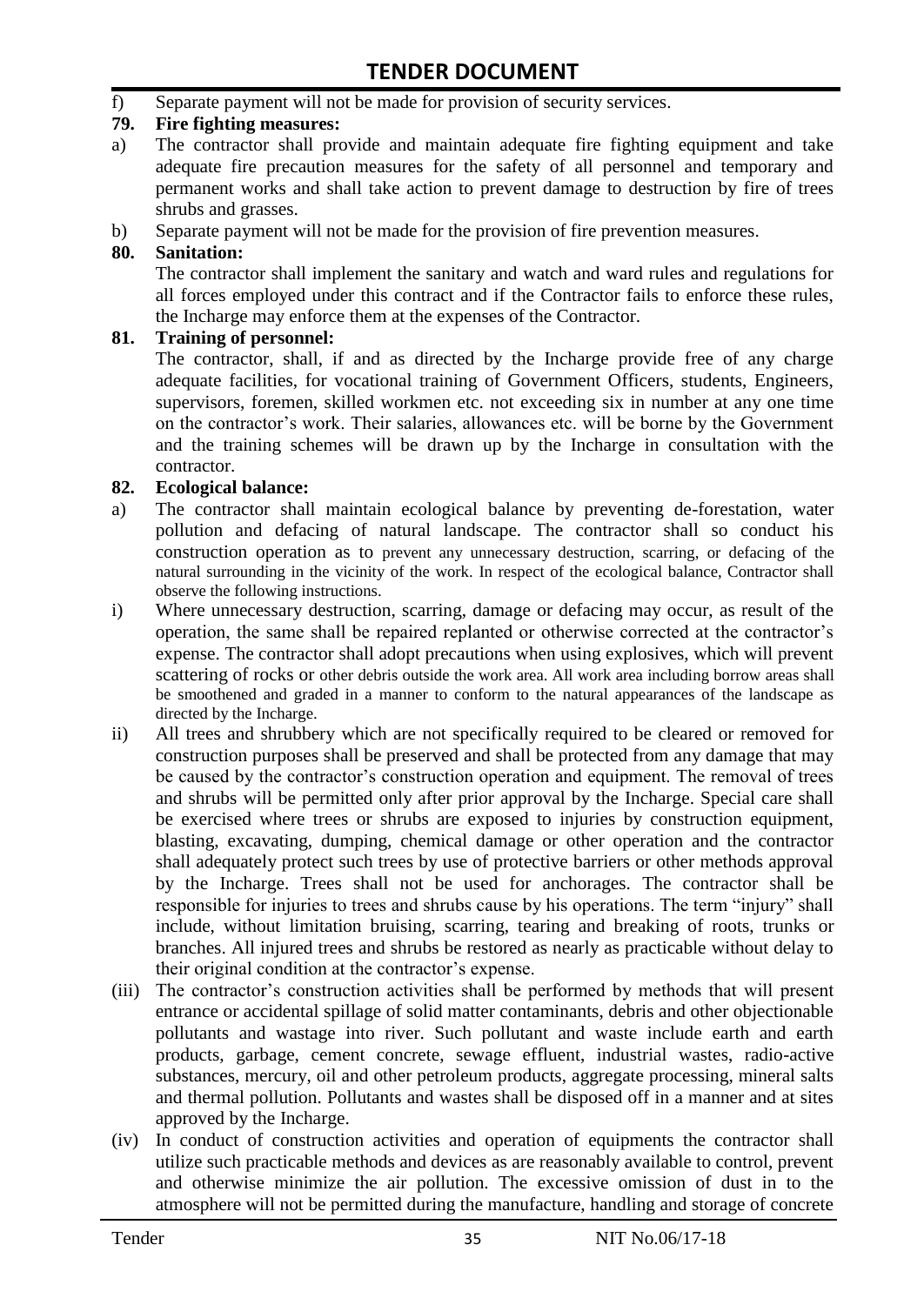f) Separate payment will not be made for provision of security services.

#### **79. Fire fighting measures:**

- a) The contractor shall provide and maintain adequate fire fighting equipment and take adequate fire precaution measures for the safety of all personnel and temporary and permanent works and shall take action to prevent damage to destruction by fire of trees shrubs and grasses.
- b) Separate payment will not be made for the provision of fire prevention measures.

#### **80. Sanitation:**

The contractor shall implement the sanitary and watch and ward rules and regulations for all forces employed under this contract and if the Contractor fails to enforce these rules, the Incharge may enforce them at the expenses of the Contractor.

#### **81. Training of personnel:**

The contractor, shall, if and as directed by the Incharge provide free of any charge adequate facilities, for vocational training of Government Officers, students, Engineers, supervisors, foremen, skilled workmen etc. not exceeding six in number at any one time on the contractor"s work. Their salaries, allowances etc. will be borne by the Government and the training schemes will be drawn up by the Incharge in consultation with the contractor.

#### **82. Ecological balance:**

- a) The contractor shall maintain ecological balance by preventing de-forestation, water pollution and defacing of natural landscape. The contractor shall so conduct his construction operation as to prevent any unnecessary destruction, scarring, or defacing of the natural surrounding in the vicinity of the work. In respect of the ecological balance, Contractor shall observe the following instructions.
- i) Where unnecessary destruction, scarring, damage or defacing may occur, as result of the operation, the same shall be repaired replanted or otherwise corrected at the contractor"s expense. The contractor shall adopt precautions when using explosives, which will prevent scattering of rocks or other debris outside the work area. All work area including borrow areas shall be smoothened and graded in a manner to conform to the natural appearances of the landscape as directed by the Incharge.
- ii) All trees and shrubbery which are not specifically required to be cleared or removed for construction purposes shall be preserved and shall be protected from any damage that may be caused by the contractor's construction operation and equipment. The removal of trees and shrubs will be permitted only after prior approval by the Incharge. Special care shall be exercised where trees or shrubs are exposed to injuries by construction equipment, blasting, excavating, dumping, chemical damage or other operation and the contractor shall adequately protect such trees by use of protective barriers or other methods approval by the Incharge. Trees shall not be used for anchorages. The contractor shall be responsible for injuries to trees and shrubs cause by his operations. The term "injury" shall include, without limitation bruising, scarring, tearing and breaking of roots, trunks or branches. All injured trees and shrubs be restored as nearly as practicable without delay to their original condition at the contractor"s expense.
- (iii) The contractor's construction activities shall be performed by methods that will present entrance or accidental spillage of solid matter contaminants, debris and other objectionable pollutants and wastage into river. Such pollutant and waste include earth and earth products, garbage, cement concrete, sewage effluent, industrial wastes, radio-active substances, mercury, oil and other petroleum products, aggregate processing, mineral salts and thermal pollution. Pollutants and wastes shall be disposed off in a manner and at sites approved by the Incharge.
- (iv) In conduct of construction activities and operation of equipments the contractor shall utilize such practicable methods and devices as are reasonably available to control, prevent and otherwise minimize the air pollution. The excessive omission of dust in to the atmosphere will not be permitted during the manufacture, handling and storage of concrete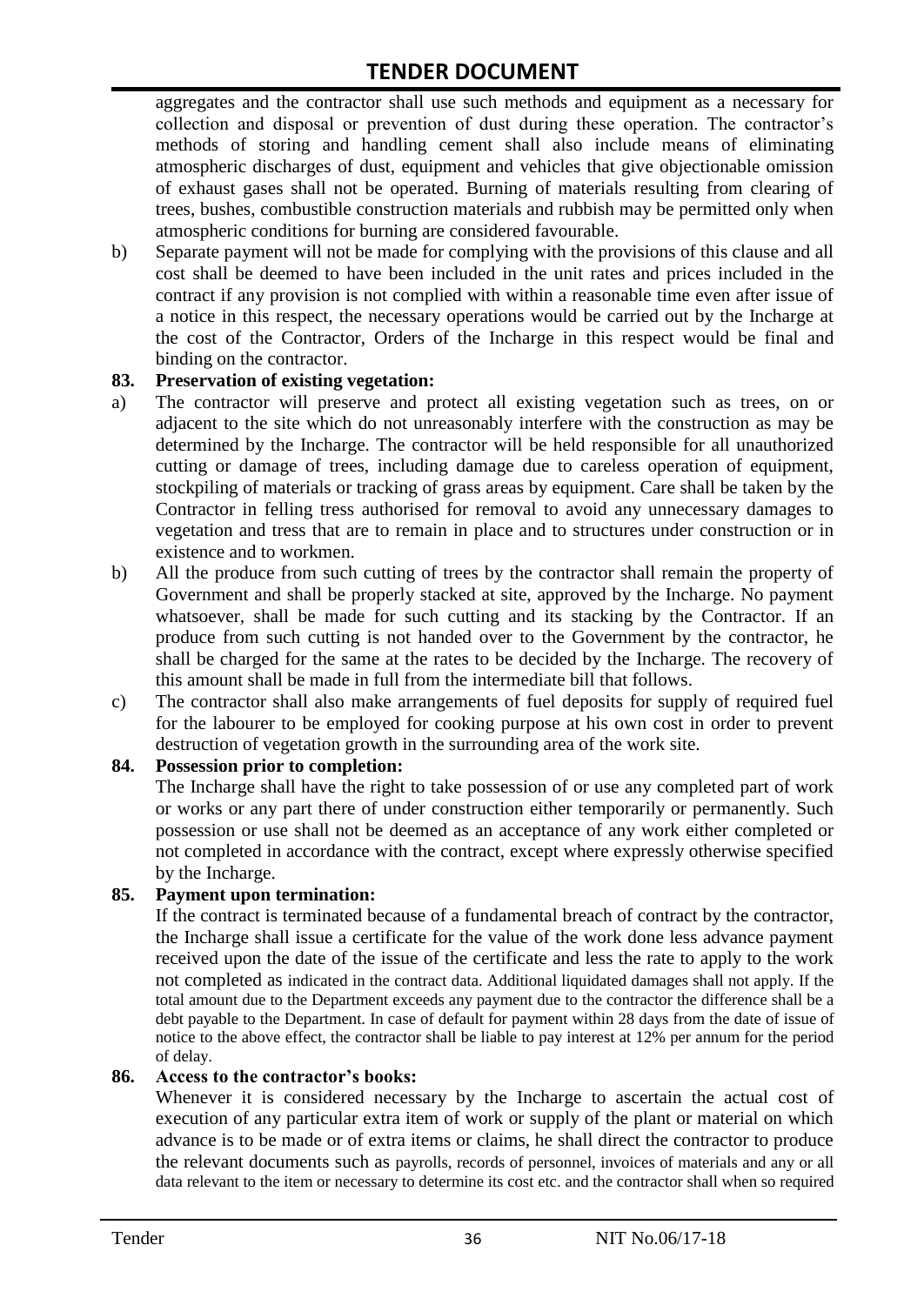aggregates and the contractor shall use such methods and equipment as a necessary for collection and disposal or prevention of dust during these operation. The contractor's methods of storing and handling cement shall also include means of eliminating atmospheric discharges of dust, equipment and vehicles that give objectionable omission of exhaust gases shall not be operated. Burning of materials resulting from clearing of trees, bushes, combustible construction materials and rubbish may be permitted only when atmospheric conditions for burning are considered favourable.

b) Separate payment will not be made for complying with the provisions of this clause and all cost shall be deemed to have been included in the unit rates and prices included in the contract if any provision is not complied with within a reasonable time even after issue of a notice in this respect, the necessary operations would be carried out by the Incharge at the cost of the Contractor, Orders of the Incharge in this respect would be final and binding on the contractor.

#### **83. Preservation of existing vegetation:**

- a) The contractor will preserve and protect all existing vegetation such as trees, on or adjacent to the site which do not unreasonably interfere with the construction as may be determined by the Incharge. The contractor will be held responsible for all unauthorized cutting or damage of trees, including damage due to careless operation of equipment, stockpiling of materials or tracking of grass areas by equipment. Care shall be taken by the Contractor in felling tress authorised for removal to avoid any unnecessary damages to vegetation and tress that are to remain in place and to structures under construction or in existence and to workmen.
- b) All the produce from such cutting of trees by the contractor shall remain the property of Government and shall be properly stacked at site, approved by the Incharge. No payment whatsoever, shall be made for such cutting and its stacking by the Contractor. If an produce from such cutting is not handed over to the Government by the contractor, he shall be charged for the same at the rates to be decided by the Incharge. The recovery of this amount shall be made in full from the intermediate bill that follows.
- c) The contractor shall also make arrangements of fuel deposits for supply of required fuel for the labourer to be employed for cooking purpose at his own cost in order to prevent destruction of vegetation growth in the surrounding area of the work site.

#### **84. Possession prior to completion:**

The Incharge shall have the right to take possession of or use any completed part of work or works or any part there of under construction either temporarily or permanently. Such possession or use shall not be deemed as an acceptance of any work either completed or not completed in accordance with the contract, except where expressly otherwise specified by the Incharge.

#### **85. Payment upon termination:**

If the contract is terminated because of a fundamental breach of contract by the contractor, the Incharge shall issue a certificate for the value of the work done less advance payment received upon the date of the issue of the certificate and less the rate to apply to the work not completed as indicated in the contract data. Additional liquidated damages shall not apply. If the total amount due to the Department exceeds any payment due to the contractor the difference shall be a debt payable to the Department. In case of default for payment within 28 days from the date of issue of notice to the above effect, the contractor shall be liable to pay interest at 12% per annum for the period of delay.

#### **86. Access to the contractor's books:**

Whenever it is considered necessary by the Incharge to ascertain the actual cost of execution of any particular extra item of work or supply of the plant or material on which advance is to be made or of extra items or claims, he shall direct the contractor to produce the relevant documents such as payrolls, records of personnel, invoices of materials and any or all data relevant to the item or necessary to determine its cost etc. and the contractor shall when so required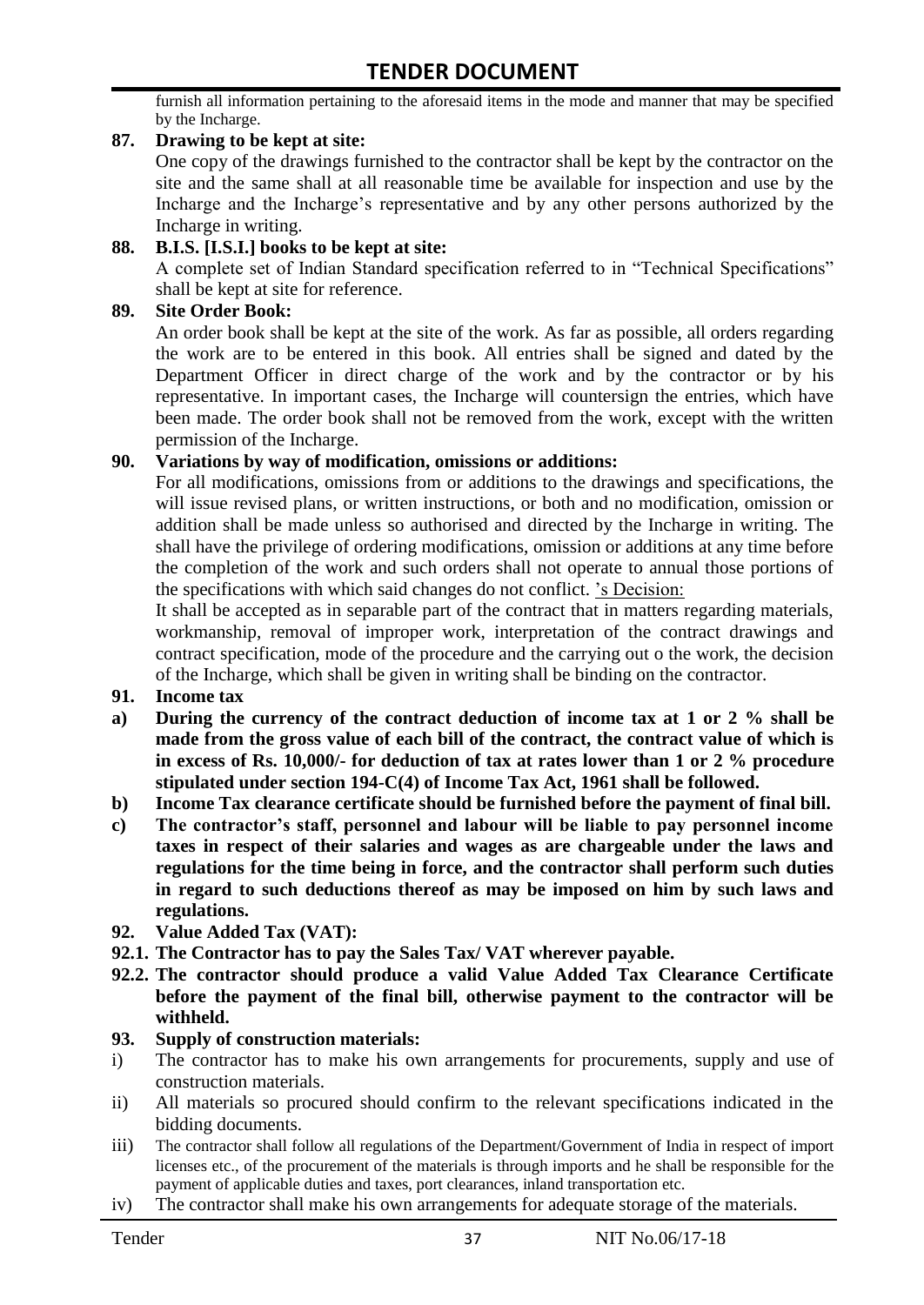furnish all information pertaining to the aforesaid items in the mode and manner that may be specified by the Incharge.

#### **87. Drawing to be kept at site:**

One copy of the drawings furnished to the contractor shall be kept by the contractor on the site and the same shall at all reasonable time be available for inspection and use by the Incharge and the Incharge"s representative and by any other persons authorized by the Incharge in writing.

#### **88. B.I.S. [I.S.I.] books to be kept at site:**

A complete set of Indian Standard specification referred to in "Technical Specifications" shall be kept at site for reference.

#### **89. Site Order Book:**

An order book shall be kept at the site of the work. As far as possible, all orders regarding the work are to be entered in this book. All entries shall be signed and dated by the Department Officer in direct charge of the work and by the contractor or by his representative. In important cases, the Incharge will countersign the entries, which have been made. The order book shall not be removed from the work, except with the written permission of the Incharge.

#### **90. Variations by way of modification, omissions or additions:**

For all modifications, omissions from or additions to the drawings and specifications, the will issue revised plans, or written instructions, or both and no modification, omission or addition shall be made unless so authorised and directed by the Incharge in writing. The shall have the privilege of ordering modifications, omission or additions at any time before the completion of the work and such orders shall not operate to annual those portions of the specifications with which said changes do not conflict. "s Decision:

It shall be accepted as in separable part of the contract that in matters regarding materials, workmanship, removal of improper work, interpretation of the contract drawings and contract specification, mode of the procedure and the carrying out o the work, the decision of the Incharge, which shall be given in writing shall be binding on the contractor.

- **91. Income tax**
- **a) During the currency of the contract deduction of income tax at 1 or 2 % shall be made from the gross value of each bill of the contract, the contract value of which is in excess of Rs. 10,000/- for deduction of tax at rates lower than 1 or 2 % procedure stipulated under section 194-C(4) of Income Tax Act, 1961 shall be followed.**
- **b) Income Tax clearance certificate should be furnished before the payment of final bill.**
- **c) The contractor's staff, personnel and labour will be liable to pay personnel income taxes in respect of their salaries and wages as are chargeable under the laws and regulations for the time being in force, and the contractor shall perform such duties in regard to such deductions thereof as may be imposed on him by such laws and regulations.**
- **92. Value Added Tax (VAT):**
- **92.1. The Contractor has to pay the Sales Tax/ VAT wherever payable.**
- **92.2. The contractor should produce a valid Value Added Tax Clearance Certificate before the payment of the final bill, otherwise payment to the contractor will be withheld.**

#### **93. Supply of construction materials:**

- i) The contractor has to make his own arrangements for procurements, supply and use of construction materials.
- ii) All materials so procured should confirm to the relevant specifications indicated in the bidding documents.
- iii) The contractor shall follow all regulations of the Department/Government of India in respect of import licenses etc., of the procurement of the materials is through imports and he shall be responsible for the payment of applicable duties and taxes, port clearances, inland transportation etc.
- iv) The contractor shall make his own arrangements for adequate storage of the materials.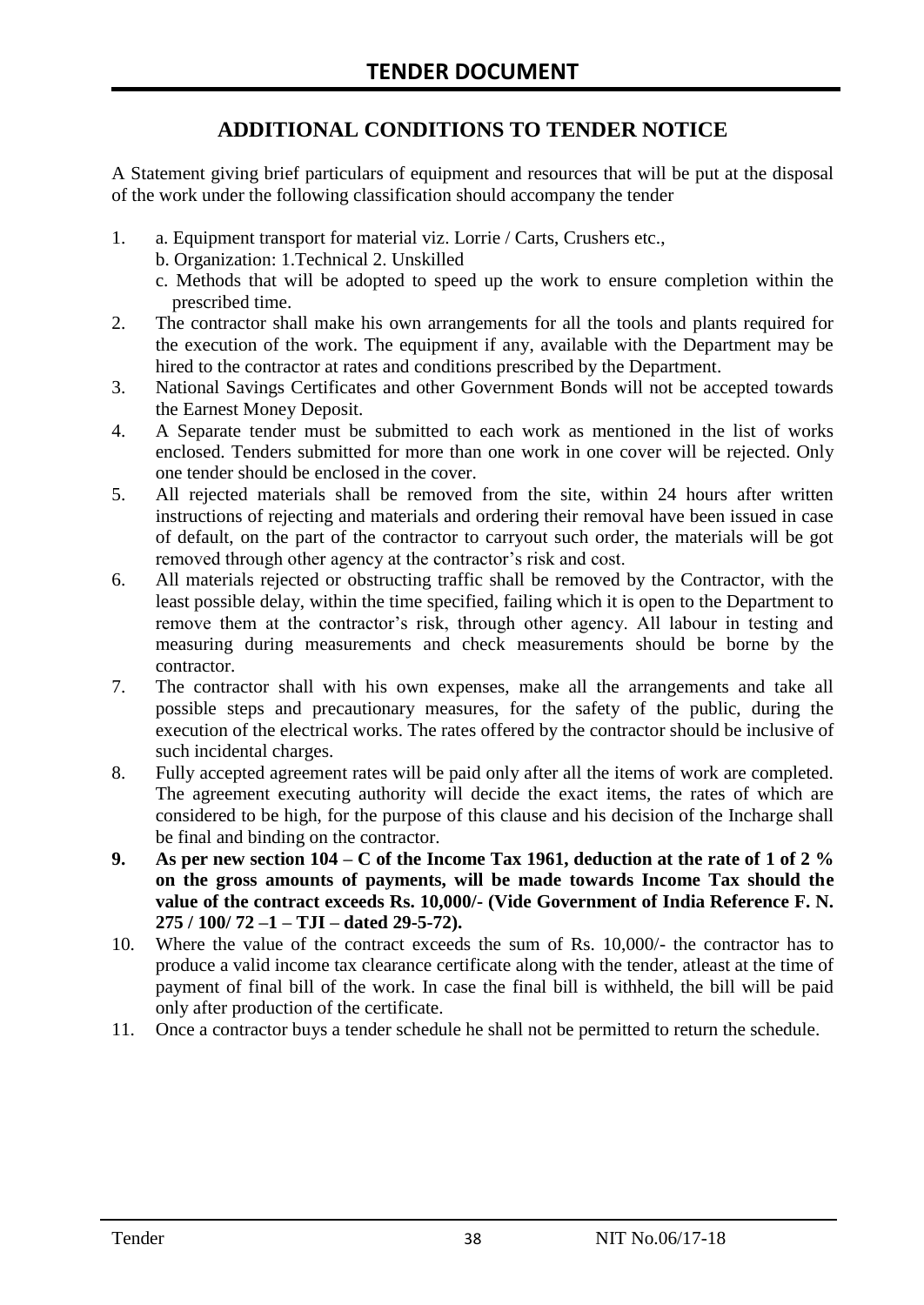# **ADDITIONAL CONDITIONS TO TENDER NOTICE**

A Statement giving brief particulars of equipment and resources that will be put at the disposal of the work under the following classification should accompany the tender

- 1. a. Equipment transport for material viz. Lorrie / Carts, Crushers etc.,
	- b. Organization: 1.Technical 2. Unskilled
	- c. Methods that will be adopted to speed up the work to ensure completion within the prescribed time.
- 2. The contractor shall make his own arrangements for all the tools and plants required for the execution of the work. The equipment if any, available with the Department may be hired to the contractor at rates and conditions prescribed by the Department.
- 3. National Savings Certificates and other Government Bonds will not be accepted towards the Earnest Money Deposit.
- 4. A Separate tender must be submitted to each work as mentioned in the list of works enclosed. Tenders submitted for more than one work in one cover will be rejected. Only one tender should be enclosed in the cover.
- 5. All rejected materials shall be removed from the site, within 24 hours after written instructions of rejecting and materials and ordering their removal have been issued in case of default, on the part of the contractor to carryout such order, the materials will be got removed through other agency at the contractor's risk and cost.
- 6. All materials rejected or obstructing traffic shall be removed by the Contractor, with the least possible delay, within the time specified, failing which it is open to the Department to remove them at the contractor's risk, through other agency. All labour in testing and measuring during measurements and check measurements should be borne by the contractor.
- 7. The contractor shall with his own expenses, make all the arrangements and take all possible steps and precautionary measures, for the safety of the public, during the execution of the electrical works. The rates offered by the contractor should be inclusive of such incidental charges.
- 8. Fully accepted agreement rates will be paid only after all the items of work are completed. The agreement executing authority will decide the exact items, the rates of which are considered to be high, for the purpose of this clause and his decision of the Incharge shall be final and binding on the contractor.
- **9. As per new section 104 – C of the Income Tax 1961, deduction at the rate of 1 of 2 % on the gross amounts of payments, will be made towards Income Tax should the value of the contract exceeds Rs. 10,000/- (Vide Government of India Reference F. N. 275 / 100/ 72 –1 – TJI – dated 29-5-72).**
- 10. Where the value of the contract exceeds the sum of Rs. 10,000/- the contractor has to produce a valid income tax clearance certificate along with the tender, atleast at the time of payment of final bill of the work. In case the final bill is withheld, the bill will be paid only after production of the certificate.
- 11. Once a contractor buys a tender schedule he shall not be permitted to return the schedule.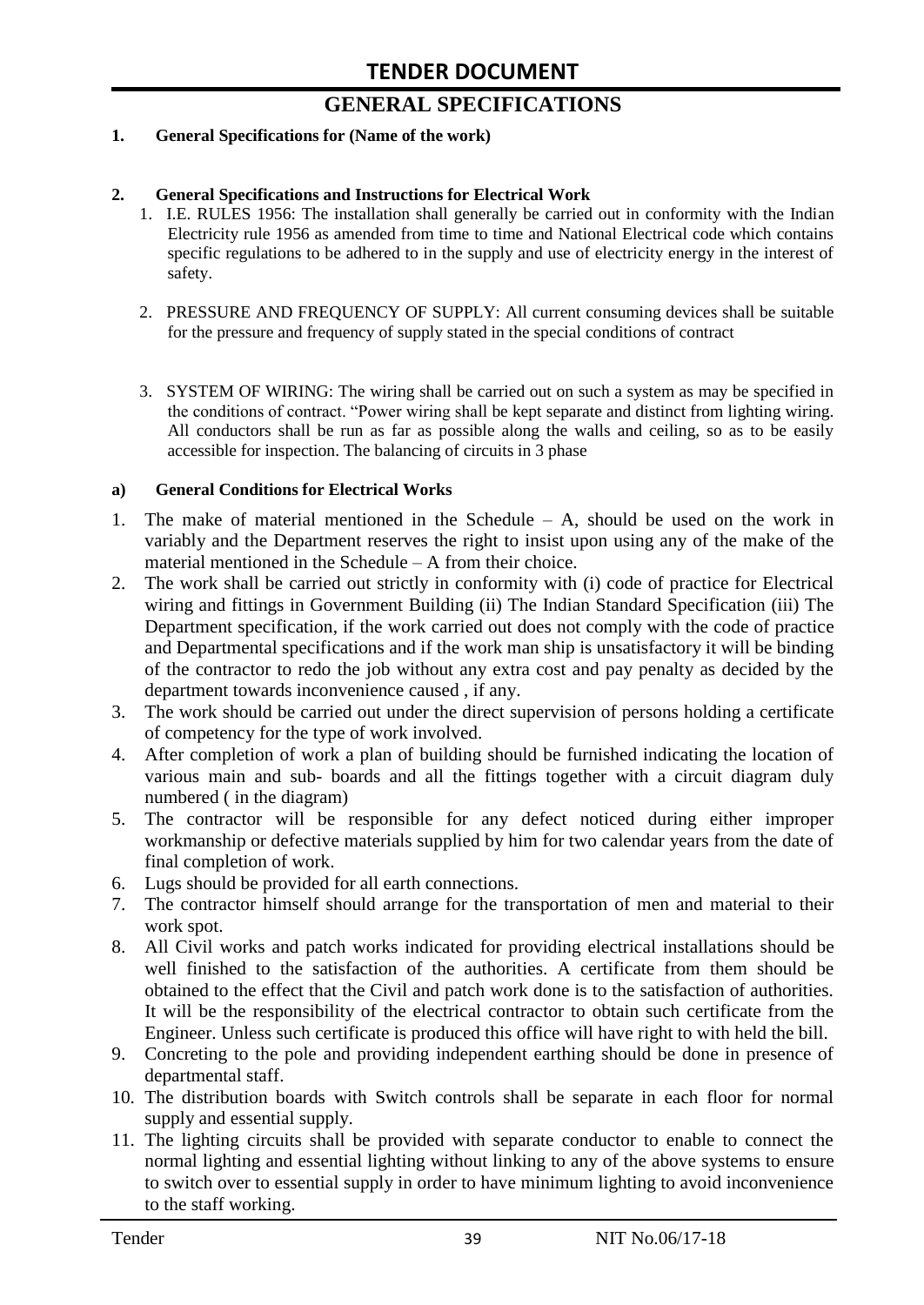# **GENERAL SPECIFICATIONS**

#### **1. General Specifications for (Name of the work)**

#### **2. General Specifications and Instructions for Electrical Work**

- 1. I.E. RULES 1956: The installation shall generally be carried out in conformity with the Indian Electricity rule 1956 as amended from time to time and National Electrical code which contains specific regulations to be adhered to in the supply and use of electricity energy in the interest of safety.
- 2. PRESSURE AND FREQUENCY OF SUPPLY: All current consuming devices shall be suitable for the pressure and frequency of supply stated in the special conditions of contract
- 3. SYSTEM OF WIRING: The wiring shall be carried out on such a system as may be specified in the conditions of contract. "Power wiring shall be kept separate and distinct from lighting wiring. All conductors shall be run as far as possible along the walls and ceiling, so as to be easily accessible for inspection. The balancing of circuits in 3 phase

#### **a) General Conditions for Electrical Works**

- 1. The make of material mentioned in the Schedule A, should be used on the work in variably and the Department reserves the right to insist upon using any of the make of the material mentioned in the Schedule – A from their choice.
- 2. The work shall be carried out strictly in conformity with (i) code of practice for Electrical wiring and fittings in Government Building (ii) The Indian Standard Specification (iii) The Department specification, if the work carried out does not comply with the code of practice and Departmental specifications and if the work man ship is unsatisfactory it will be binding of the contractor to redo the job without any extra cost and pay penalty as decided by the department towards inconvenience caused , if any.
- 3. The work should be carried out under the direct supervision of persons holding a certificate of competency for the type of work involved.
- 4. After completion of work a plan of building should be furnished indicating the location of various main and sub- boards and all the fittings together with a circuit diagram duly numbered ( in the diagram)
- 5. The contractor will be responsible for any defect noticed during either improper workmanship or defective materials supplied by him for two calendar years from the date of final completion of work.
- 6. Lugs should be provided for all earth connections.
- 7. The contractor himself should arrange for the transportation of men and material to their work spot.
- 8. All Civil works and patch works indicated for providing electrical installations should be well finished to the satisfaction of the authorities. A certificate from them should be obtained to the effect that the Civil and patch work done is to the satisfaction of authorities. It will be the responsibility of the electrical contractor to obtain such certificate from the Engineer. Unless such certificate is produced this office will have right to with held the bill.
- 9. Concreting to the pole and providing independent earthing should be done in presence of departmental staff.
- 10. The distribution boards with Switch controls shall be separate in each floor for normal supply and essential supply.
- 11. The lighting circuits shall be provided with separate conductor to enable to connect the normal lighting and essential lighting without linking to any of the above systems to ensure to switch over to essential supply in order to have minimum lighting to avoid inconvenience to the staff working.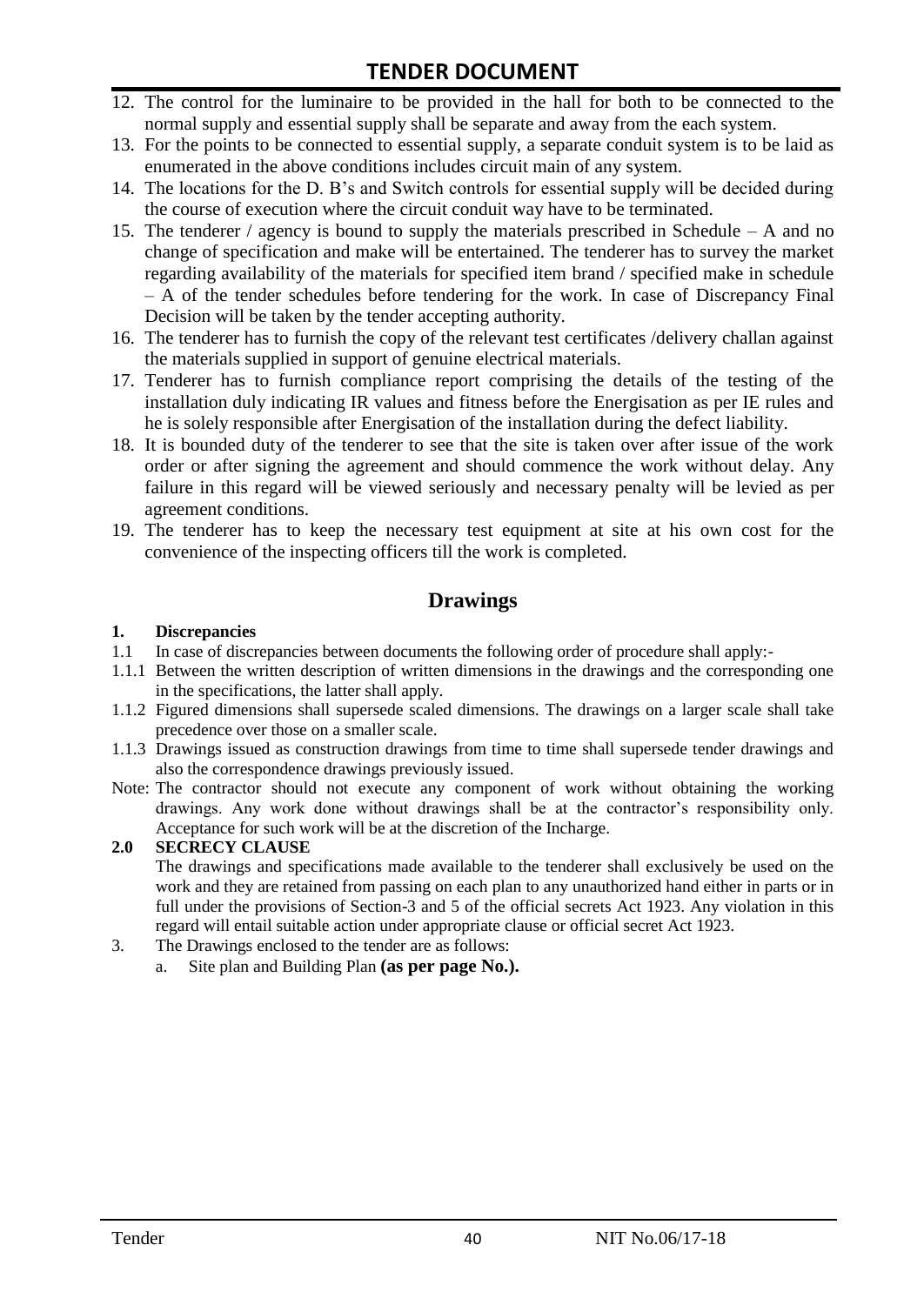- 12. The control for the luminaire to be provided in the hall for both to be connected to the normal supply and essential supply shall be separate and away from the each system.
- 13. For the points to be connected to essential supply, a separate conduit system is to be laid as enumerated in the above conditions includes circuit main of any system.
- 14. The locations for the D. B"s and Switch controls for essential supply will be decided during the course of execution where the circuit conduit way have to be terminated.
- 15. The tenderer / agency is bound to supply the materials prescribed in Schedule A and no change of specification and make will be entertained. The tenderer has to survey the market regarding availability of the materials for specified item brand / specified make in schedule – A of the tender schedules before tendering for the work. In case of Discrepancy Final Decision will be taken by the tender accepting authority.
- 16. The tenderer has to furnish the copy of the relevant test certificates /delivery challan against the materials supplied in support of genuine electrical materials.
- 17. Tenderer has to furnish compliance report comprising the details of the testing of the installation duly indicating IR values and fitness before the Energisation as per IE rules and he is solely responsible after Energisation of the installation during the defect liability.
- 18. It is bounded duty of the tenderer to see that the site is taken over after issue of the work order or after signing the agreement and should commence the work without delay. Any failure in this regard will be viewed seriously and necessary penalty will be levied as per agreement conditions.
- 19. The tenderer has to keep the necessary test equipment at site at his own cost for the convenience of the inspecting officers till the work is completed.

## **Drawings**

#### **1. Discrepancies**

- 1.1 In case of discrepancies between documents the following order of procedure shall apply:-
- 1.1.1 Between the written description of written dimensions in the drawings and the corresponding one in the specifications, the latter shall apply.
- 1.1.2 Figured dimensions shall supersede scaled dimensions. The drawings on a larger scale shall take precedence over those on a smaller scale.
- 1.1.3 Drawings issued as construction drawings from time to time shall supersede tender drawings and also the correspondence drawings previously issued.
- Note: The contractor should not execute any component of work without obtaining the working drawings. Any work done without drawings shall be at the contractor"s responsibility only. Acceptance for such work will be at the discretion of the Incharge.

#### **2.0 SECRECY CLAUSE**

The drawings and specifications made available to the tenderer shall exclusively be used on the work and they are retained from passing on each plan to any unauthorized hand either in parts or in full under the provisions of Section-3 and 5 of the official secrets Act 1923. Any violation in this regard will entail suitable action under appropriate clause or official secret Act 1923.

- 3. The Drawings enclosed to the tender are as follows:
	- a. Site plan and Building Plan **(as per page No.).**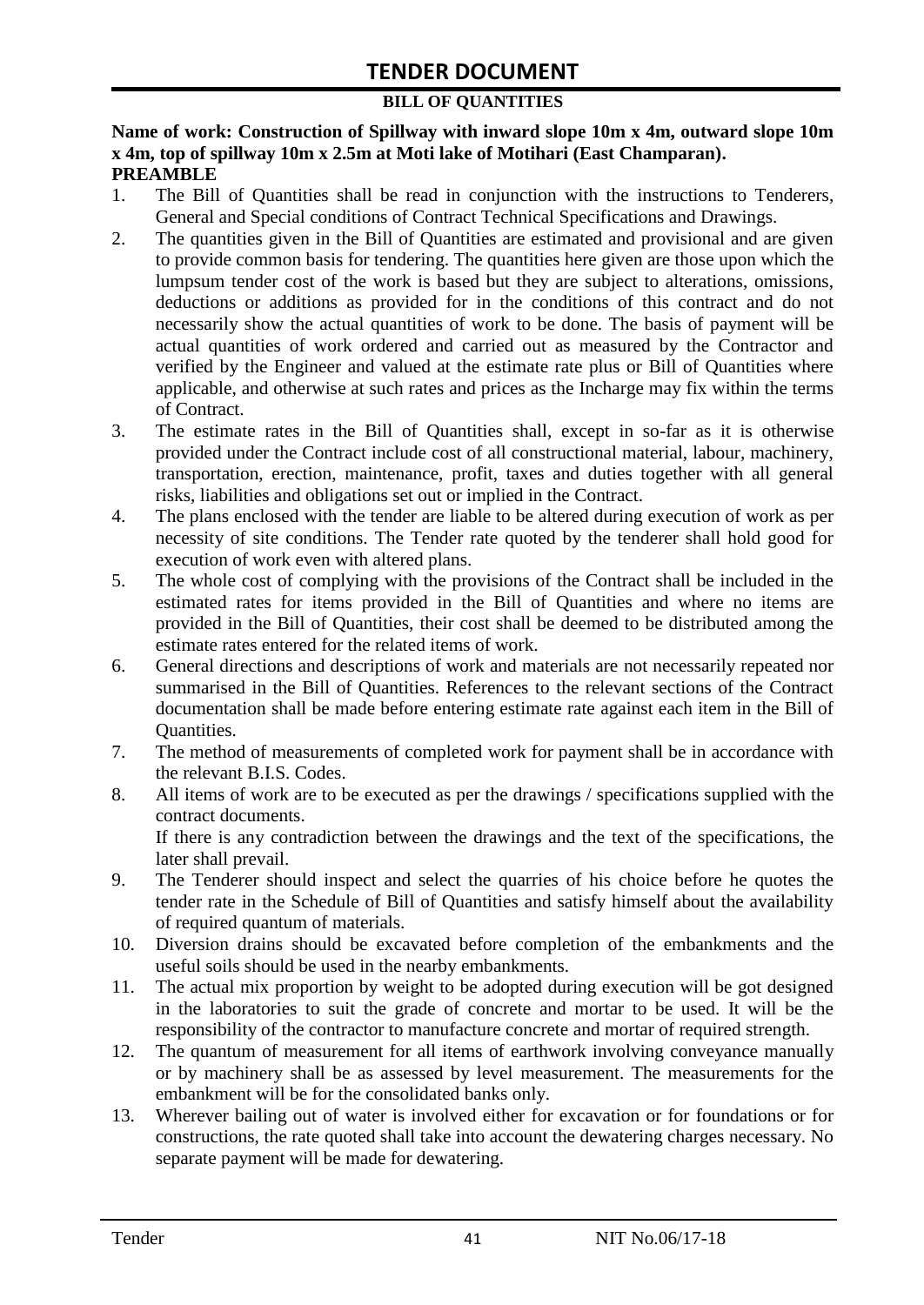### **BILL OF QUANTITIES**

#### **Name of work: Construction of Spillway with inward slope 10m x 4m, outward slope 10m x 4m, top of spillway 10m x 2.5m at Moti lake of Motihari (East Champaran). PREAMBLE**

- 1. The Bill of Quantities shall be read in conjunction with the instructions to Tenderers, General and Special conditions of Contract Technical Specifications and Drawings.
- 2. The quantities given in the Bill of Quantities are estimated and provisional and are given to provide common basis for tendering. The quantities here given are those upon which the lumpsum tender cost of the work is based but they are subject to alterations, omissions, deductions or additions as provided for in the conditions of this contract and do not necessarily show the actual quantities of work to be done. The basis of payment will be actual quantities of work ordered and carried out as measured by the Contractor and verified by the Engineer and valued at the estimate rate plus or Bill of Quantities where applicable, and otherwise at such rates and prices as the Incharge may fix within the terms of Contract.
- 3. The estimate rates in the Bill of Quantities shall, except in so-far as it is otherwise provided under the Contract include cost of all constructional material, labour, machinery, transportation, erection, maintenance, profit, taxes and duties together with all general risks, liabilities and obligations set out or implied in the Contract.
- 4. The plans enclosed with the tender are liable to be altered during execution of work as per necessity of site conditions. The Tender rate quoted by the tenderer shall hold good for execution of work even with altered plans.
- 5. The whole cost of complying with the provisions of the Contract shall be included in the estimated rates for items provided in the Bill of Quantities and where no items are provided in the Bill of Quantities, their cost shall be deemed to be distributed among the estimate rates entered for the related items of work.
- 6. General directions and descriptions of work and materials are not necessarily repeated nor summarised in the Bill of Quantities. References to the relevant sections of the Contract documentation shall be made before entering estimate rate against each item in the Bill of Quantities.
- 7. The method of measurements of completed work for payment shall be in accordance with the relevant B.I.S. Codes.
- 8. All items of work are to be executed as per the drawings / specifications supplied with the contract documents. If there is any contradiction between the drawings and the text of the specifications, the

later shall prevail.

- 9. The Tenderer should inspect and select the quarries of his choice before he quotes the tender rate in the Schedule of Bill of Quantities and satisfy himself about the availability of required quantum of materials.
- 10. Diversion drains should be excavated before completion of the embankments and the useful soils should be used in the nearby embankments.
- 11. The actual mix proportion by weight to be adopted during execution will be got designed in the laboratories to suit the grade of concrete and mortar to be used. It will be the responsibility of the contractor to manufacture concrete and mortar of required strength.
- 12. The quantum of measurement for all items of earthwork involving conveyance manually or by machinery shall be as assessed by level measurement. The measurements for the embankment will be for the consolidated banks only.
- 13. Wherever bailing out of water is involved either for excavation or for foundations or for constructions, the rate quoted shall take into account the dewatering charges necessary. No separate payment will be made for dewatering.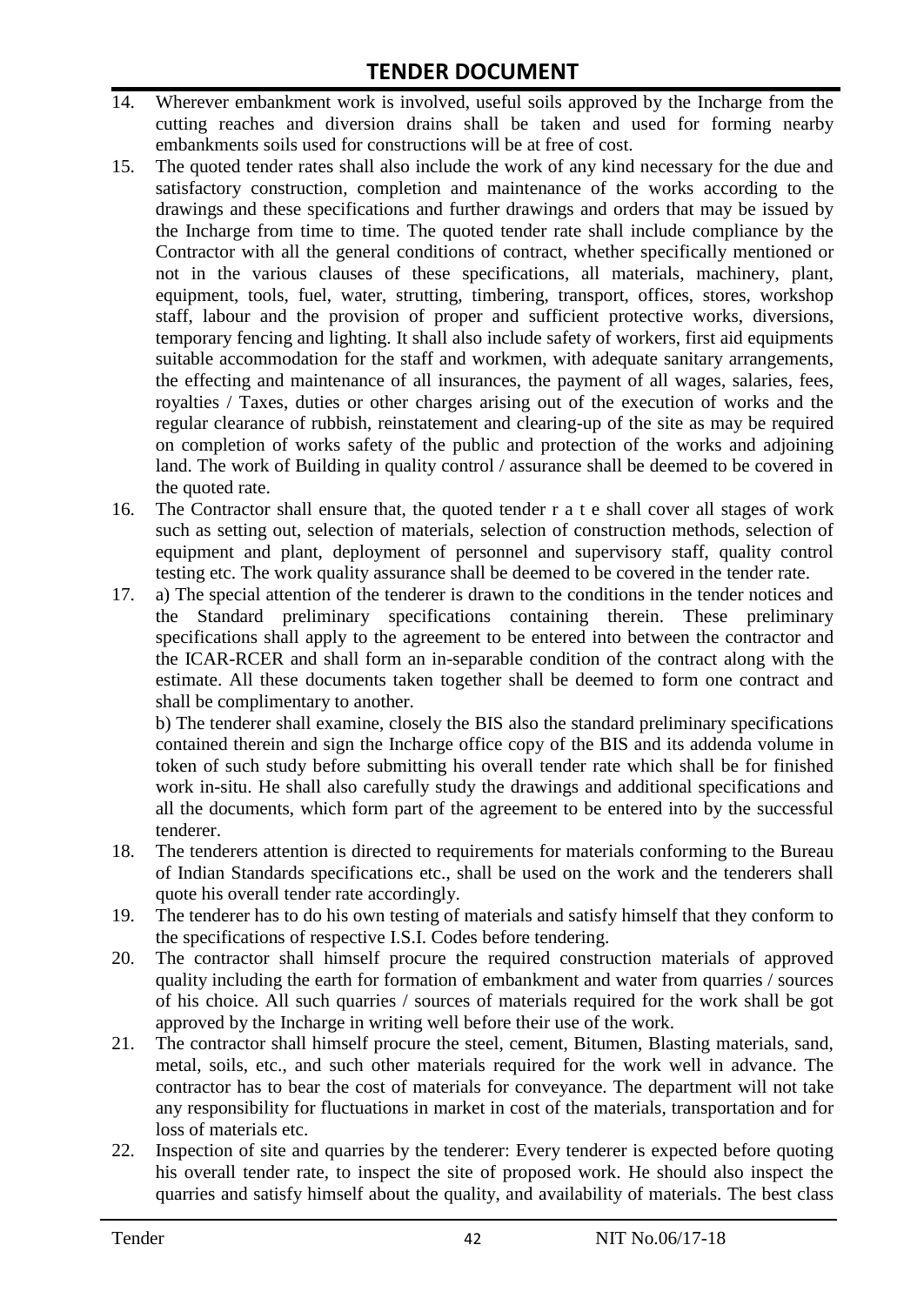- 14. Wherever embankment work is involved, useful soils approved by the Incharge from the cutting reaches and diversion drains shall be taken and used for forming nearby embankments soils used for constructions will be at free of cost.
- 15. The quoted tender rates shall also include the work of any kind necessary for the due and satisfactory construction, completion and maintenance of the works according to the drawings and these specifications and further drawings and orders that may be issued by the Incharge from time to time. The quoted tender rate shall include compliance by the Contractor with all the general conditions of contract, whether specifically mentioned or not in the various clauses of these specifications, all materials, machinery, plant, equipment, tools, fuel, water, strutting, timbering, transport, offices, stores, workshop staff, labour and the provision of proper and sufficient protective works, diversions, temporary fencing and lighting. It shall also include safety of workers, first aid equipments suitable accommodation for the staff and workmen, with adequate sanitary arrangements, the effecting and maintenance of all insurances, the payment of all wages, salaries, fees, royalties / Taxes, duties or other charges arising out of the execution of works and the regular clearance of rubbish, reinstatement and clearing-up of the site as may be required on completion of works safety of the public and protection of the works and adjoining land. The work of Building in quality control / assurance shall be deemed to be covered in the quoted rate.
- 16. The Contractor shall ensure that, the quoted tender r a t e shall cover all stages of work such as setting out, selection of materials, selection of construction methods, selection of equipment and plant, deployment of personnel and supervisory staff, quality control testing etc. The work quality assurance shall be deemed to be covered in the tender rate.
- 17. a) The special attention of the tenderer is drawn to the conditions in the tender notices and the Standard preliminary specifications containing therein. These preliminary specifications shall apply to the agreement to be entered into between the contractor and the ICAR-RCER and shall form an in-separable condition of the contract along with the estimate. All these documents taken together shall be deemed to form one contract and shall be complimentary to another.

b) The tenderer shall examine, closely the BIS also the standard preliminary specifications contained therein and sign the Incharge office copy of the BIS and its addenda volume in token of such study before submitting his overall tender rate which shall be for finished work in-situ. He shall also carefully study the drawings and additional specifications and all the documents, which form part of the agreement to be entered into by the successful tenderer.

- 18. The tenderers attention is directed to requirements for materials conforming to the Bureau of Indian Standards specifications etc., shall be used on the work and the tenderers shall quote his overall tender rate accordingly.
- 19. The tenderer has to do his own testing of materials and satisfy himself that they conform to the specifications of respective I.S.I. Codes before tendering.
- 20. The contractor shall himself procure the required construction materials of approved quality including the earth for formation of embankment and water from quarries / sources of his choice. All such quarries / sources of materials required for the work shall be got approved by the Incharge in writing well before their use of the work.
- 21. The contractor shall himself procure the steel, cement, Bitumen, Blasting materials, sand, metal, soils, etc., and such other materials required for the work well in advance. The contractor has to bear the cost of materials for conveyance. The department will not take any responsibility for fluctuations in market in cost of the materials, transportation and for loss of materials etc.
- 22. Inspection of site and quarries by the tenderer: Every tenderer is expected before quoting his overall tender rate, to inspect the site of proposed work. He should also inspect the quarries and satisfy himself about the quality, and availability of materials. The best class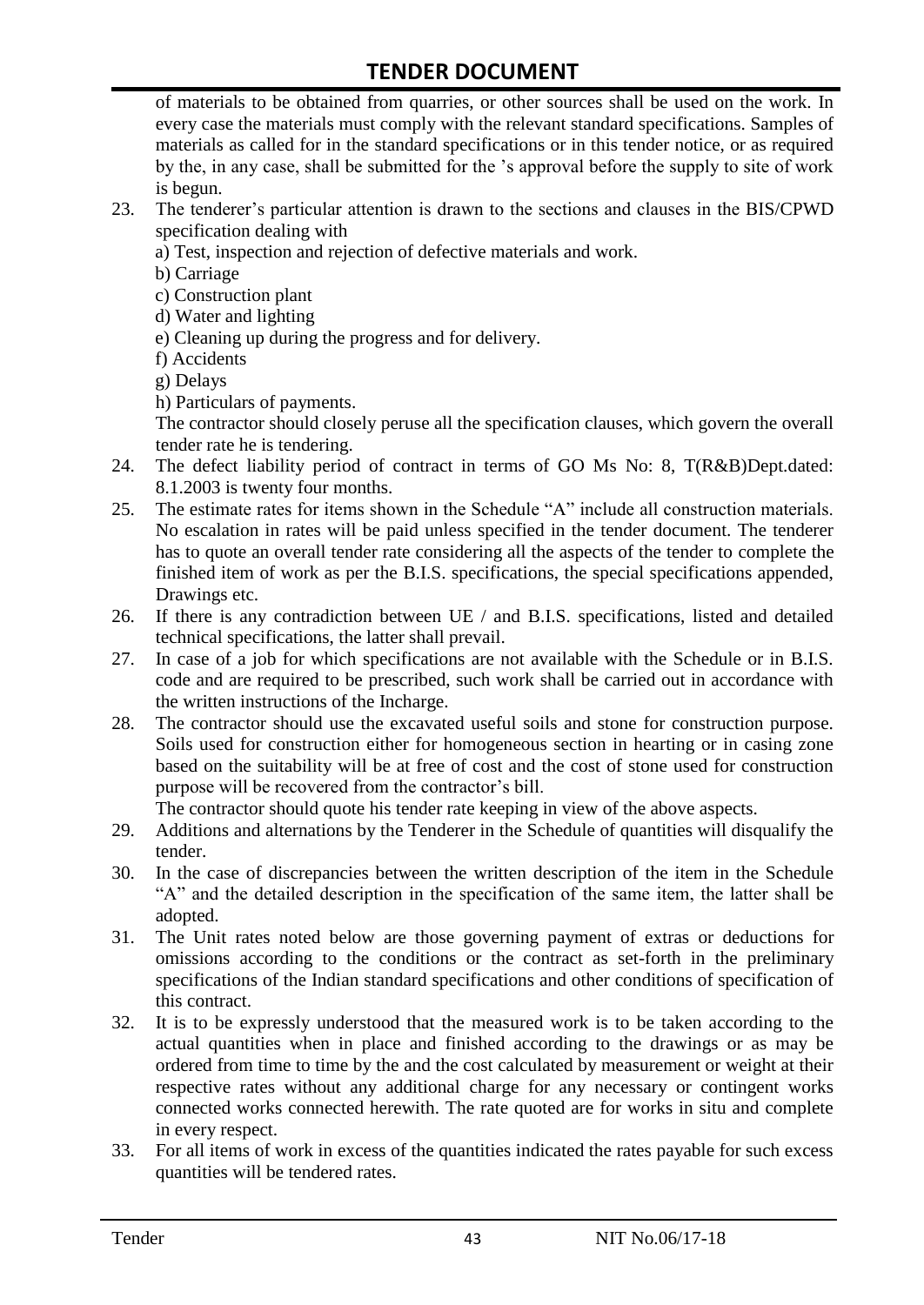of materials to be obtained from quarries, or other sources shall be used on the work. In every case the materials must comply with the relevant standard specifications. Samples of materials as called for in the standard specifications or in this tender notice, or as required by the, in any case, shall be submitted for the "s approval before the supply to site of work is begun.

- 23. The tenderer"s particular attention is drawn to the sections and clauses in the BIS/CPWD specification dealing with
	- a) Test, inspection and rejection of defective materials and work.
	- b) Carriage
	- c) Construction plant
	- d) Water and lighting
	- e) Cleaning up during the progress and for delivery.
	- f) Accidents
	- g) Delays
	- h) Particulars of payments.

The contractor should closely peruse all the specification clauses, which govern the overall tender rate he is tendering.

- 24. The defect liability period of contract in terms of GO Ms No: 8, T(R&B)Dept.dated: 8.1.2003 is twenty four months.
- 25. The estimate rates for items shown in the Schedule "A" include all construction materials. No escalation in rates will be paid unless specified in the tender document. The tenderer has to quote an overall tender rate considering all the aspects of the tender to complete the finished item of work as per the B.I.S. specifications, the special specifications appended, Drawings etc.
- 26. If there is any contradiction between UE / and B.I.S. specifications, listed and detailed technical specifications, the latter shall prevail.
- 27. In case of a job for which specifications are not available with the Schedule or in B.I.S. code and are required to be prescribed, such work shall be carried out in accordance with the written instructions of the Incharge.
- 28. The contractor should use the excavated useful soils and stone for construction purpose. Soils used for construction either for homogeneous section in hearting or in casing zone based on the suitability will be at free of cost and the cost of stone used for construction purpose will be recovered from the contractor's bill.

The contractor should quote his tender rate keeping in view of the above aspects.

- 29. Additions and alternations by the Tenderer in the Schedule of quantities will disqualify the tender.
- 30. In the case of discrepancies between the written description of the item in the Schedule "A" and the detailed description in the specification of the same item, the latter shall be adopted.
- 31. The Unit rates noted below are those governing payment of extras or deductions for omissions according to the conditions or the contract as set-forth in the preliminary specifications of the Indian standard specifications and other conditions of specification of this contract.
- 32. It is to be expressly understood that the measured work is to be taken according to the actual quantities when in place and finished according to the drawings or as may be ordered from time to time by the and the cost calculated by measurement or weight at their respective rates without any additional charge for any necessary or contingent works connected works connected herewith. The rate quoted are for works in situ and complete in every respect.
- 33. For all items of work in excess of the quantities indicated the rates payable for such excess quantities will be tendered rates.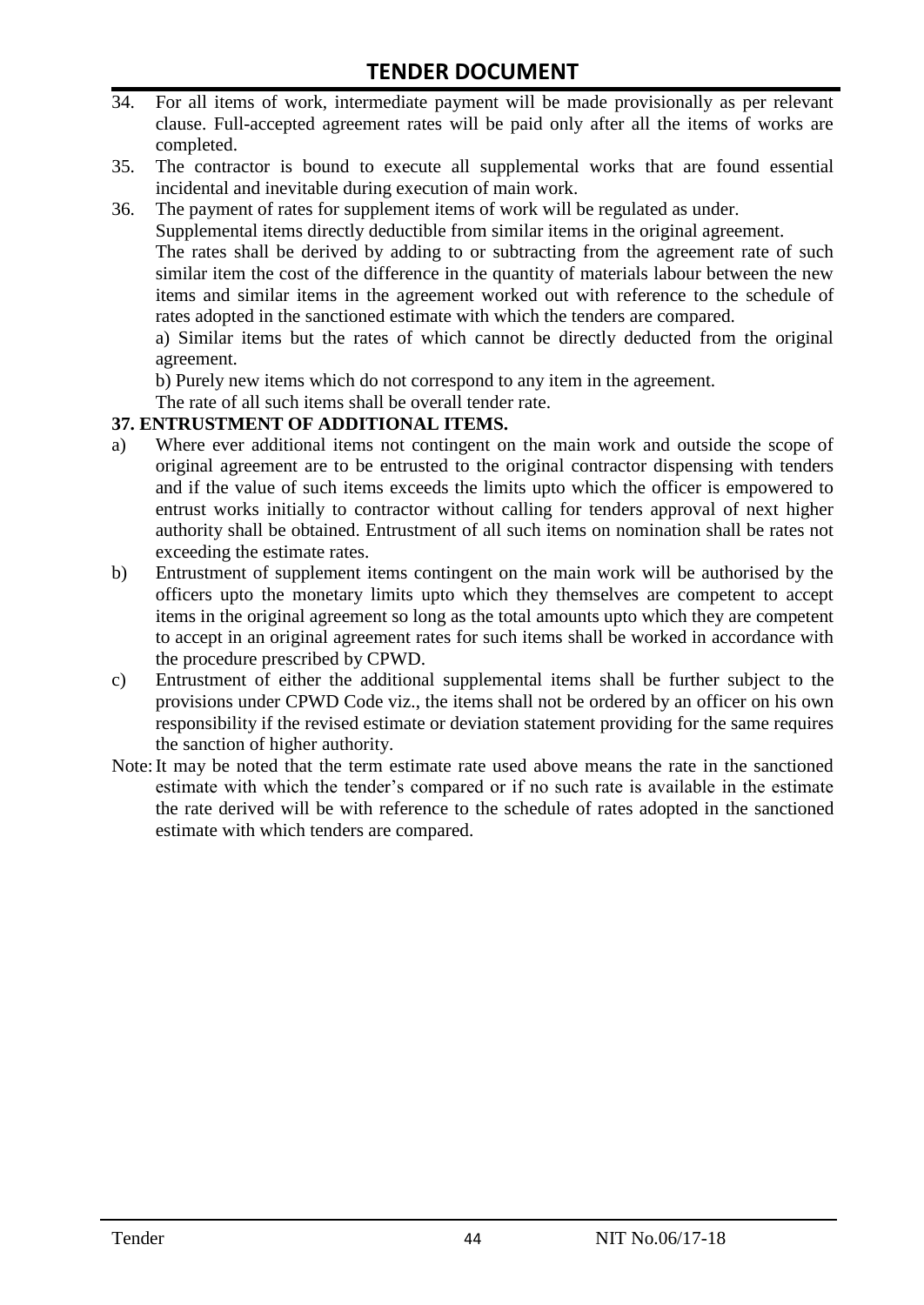- 34. For all items of work, intermediate payment will be made provisionally as per relevant clause. Full-accepted agreement rates will be paid only after all the items of works are completed.
- 35. The contractor is bound to execute all supplemental works that are found essential incidental and inevitable during execution of main work.
- 36. The payment of rates for supplement items of work will be regulated as under.

Supplemental items directly deductible from similar items in the original agreement.

The rates shall be derived by adding to or subtracting from the agreement rate of such similar item the cost of the difference in the quantity of materials labour between the new items and similar items in the agreement worked out with reference to the schedule of rates adopted in the sanctioned estimate with which the tenders are compared.

a) Similar items but the rates of which cannot be directly deducted from the original agreement.

b) Purely new items which do not correspond to any item in the agreement.

The rate of all such items shall be overall tender rate.

#### **37. ENTRUSTMENT OF ADDITIONAL ITEMS.**

- a) Where ever additional items not contingent on the main work and outside the scope of original agreement are to be entrusted to the original contractor dispensing with tenders and if the value of such items exceeds the limits upto which the officer is empowered to entrust works initially to contractor without calling for tenders approval of next higher authority shall be obtained. Entrustment of all such items on nomination shall be rates not exceeding the estimate rates.
- b) Entrustment of supplement items contingent on the main work will be authorised by the officers upto the monetary limits upto which they themselves are competent to accept items in the original agreement so long as the total amounts upto which they are competent to accept in an original agreement rates for such items shall be worked in accordance with the procedure prescribed by CPWD.
- c) Entrustment of either the additional supplemental items shall be further subject to the provisions under CPWD Code viz., the items shall not be ordered by an officer on his own responsibility if the revised estimate or deviation statement providing for the same requires the sanction of higher authority.
- Note:It may be noted that the term estimate rate used above means the rate in the sanctioned estimate with which the tender"s compared or if no such rate is available in the estimate the rate derived will be with reference to the schedule of rates adopted in the sanctioned estimate with which tenders are compared.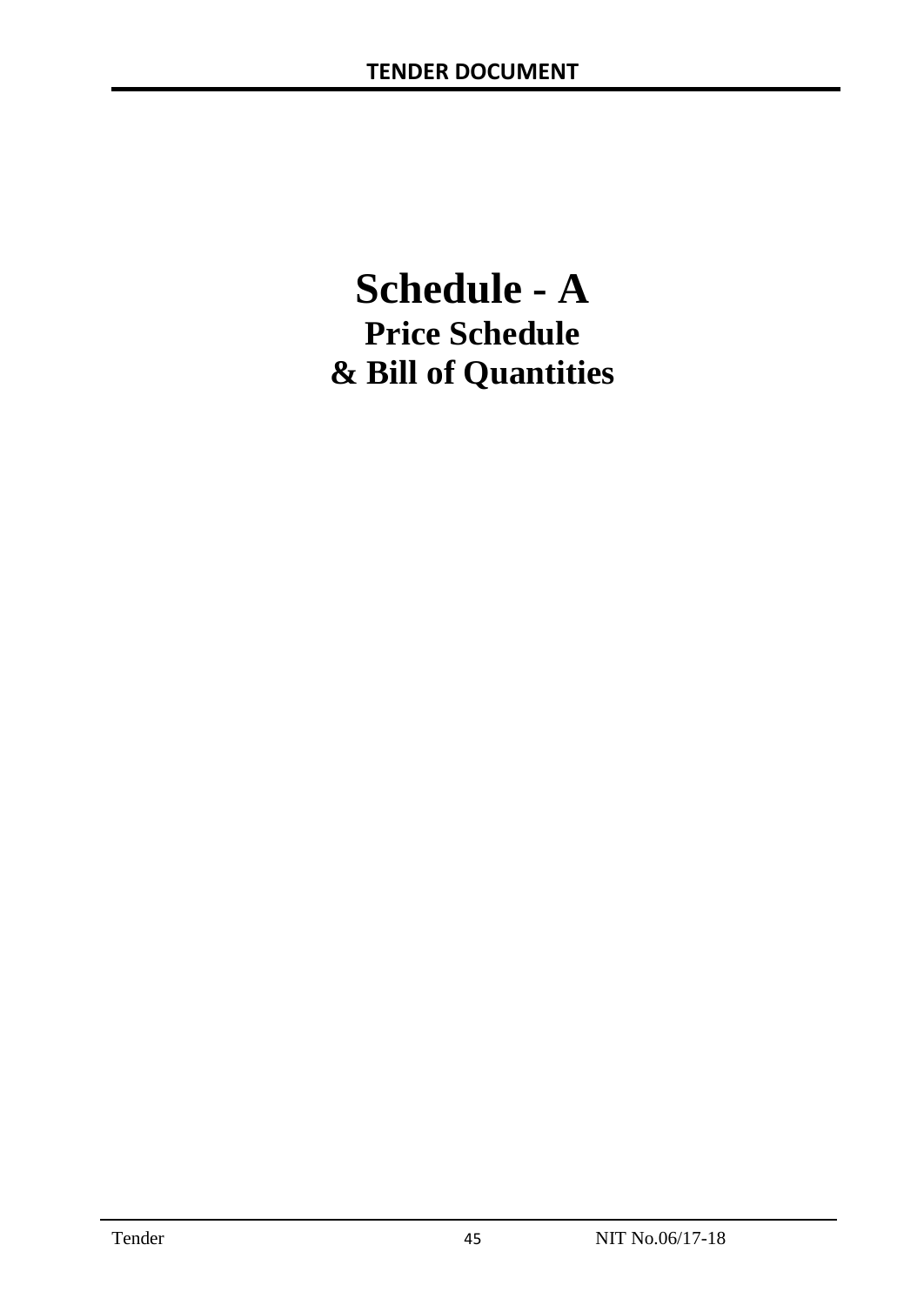# **Schedule - A Price Schedule & Bill of Quantities**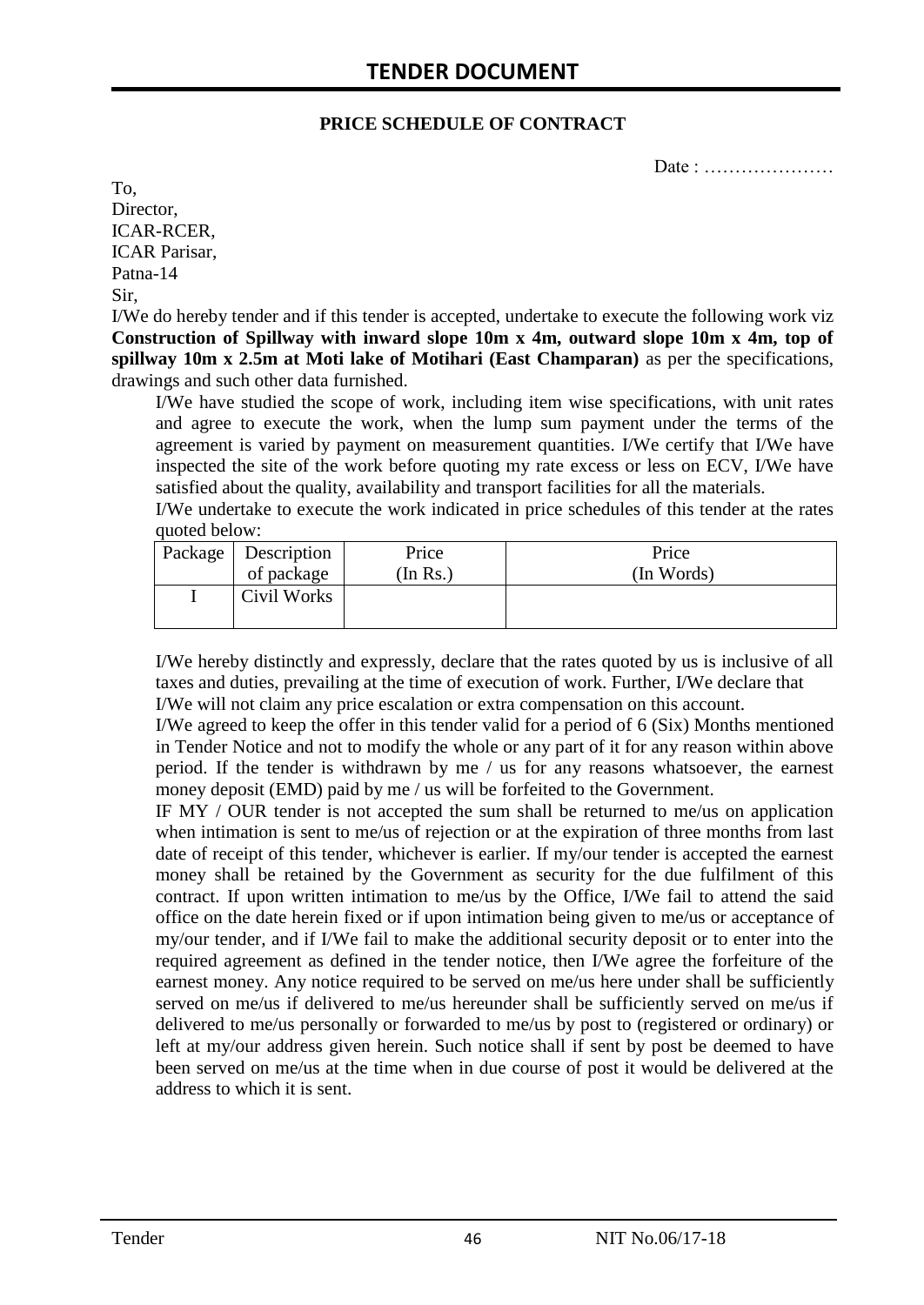#### **PRICE SCHEDULE OF CONTRACT**

Date : ………………

To, Director, ICAR-RCER, ICAR Parisar, Patna-14 Sir,

I/We do hereby tender and if this tender is accepted, undertake to execute the following work viz **Construction of Spillway with inward slope 10m x 4m, outward slope 10m x 4m, top of spillway 10m x 2.5m at Moti lake of Motihari (East Champaran)** as per the specifications, drawings and such other data furnished.

I/We have studied the scope of work, including item wise specifications, with unit rates and agree to execute the work, when the lump sum payment under the terms of the agreement is varied by payment on measurement quantities. I/We certify that I/We have inspected the site of the work before quoting my rate excess or less on ECV, I/We have satisfied about the quality, availability and transport facilities for all the materials.

I/We undertake to execute the work indicated in price schedules of this tender at the rates quoted below:

| Package   Description | Price   | Price      |
|-----------------------|---------|------------|
| of package            | In Rs.) | (In Words) |
| Civil Works           |         |            |

I/We hereby distinctly and expressly, declare that the rates quoted by us is inclusive of all taxes and duties, prevailing at the time of execution of work. Further, I/We declare that I/We will not claim any price escalation or extra compensation on this account.

I/We agreed to keep the offer in this tender valid for a period of 6 (Six) Months mentioned in Tender Notice and not to modify the whole or any part of it for any reason within above period. If the tender is withdrawn by me / us for any reasons whatsoever, the earnest money deposit (EMD) paid by me / us will be forfeited to the Government.

IF MY / OUR tender is not accepted the sum shall be returned to me/us on application when intimation is sent to me/us of rejection or at the expiration of three months from last date of receipt of this tender, whichever is earlier. If my/our tender is accepted the earnest money shall be retained by the Government as security for the due fulfilment of this contract. If upon written intimation to me/us by the Office, I/We fail to attend the said office on the date herein fixed or if upon intimation being given to me/us or acceptance of my/our tender, and if I/We fail to make the additional security deposit or to enter into the required agreement as defined in the tender notice, then I/We agree the forfeiture of the earnest money. Any notice required to be served on me/us here under shall be sufficiently served on me/us if delivered to me/us hereunder shall be sufficiently served on me/us if delivered to me/us personally or forwarded to me/us by post to (registered or ordinary) or left at my/our address given herein. Such notice shall if sent by post be deemed to have been served on me/us at the time when in due course of post it would be delivered at the address to which it is sent.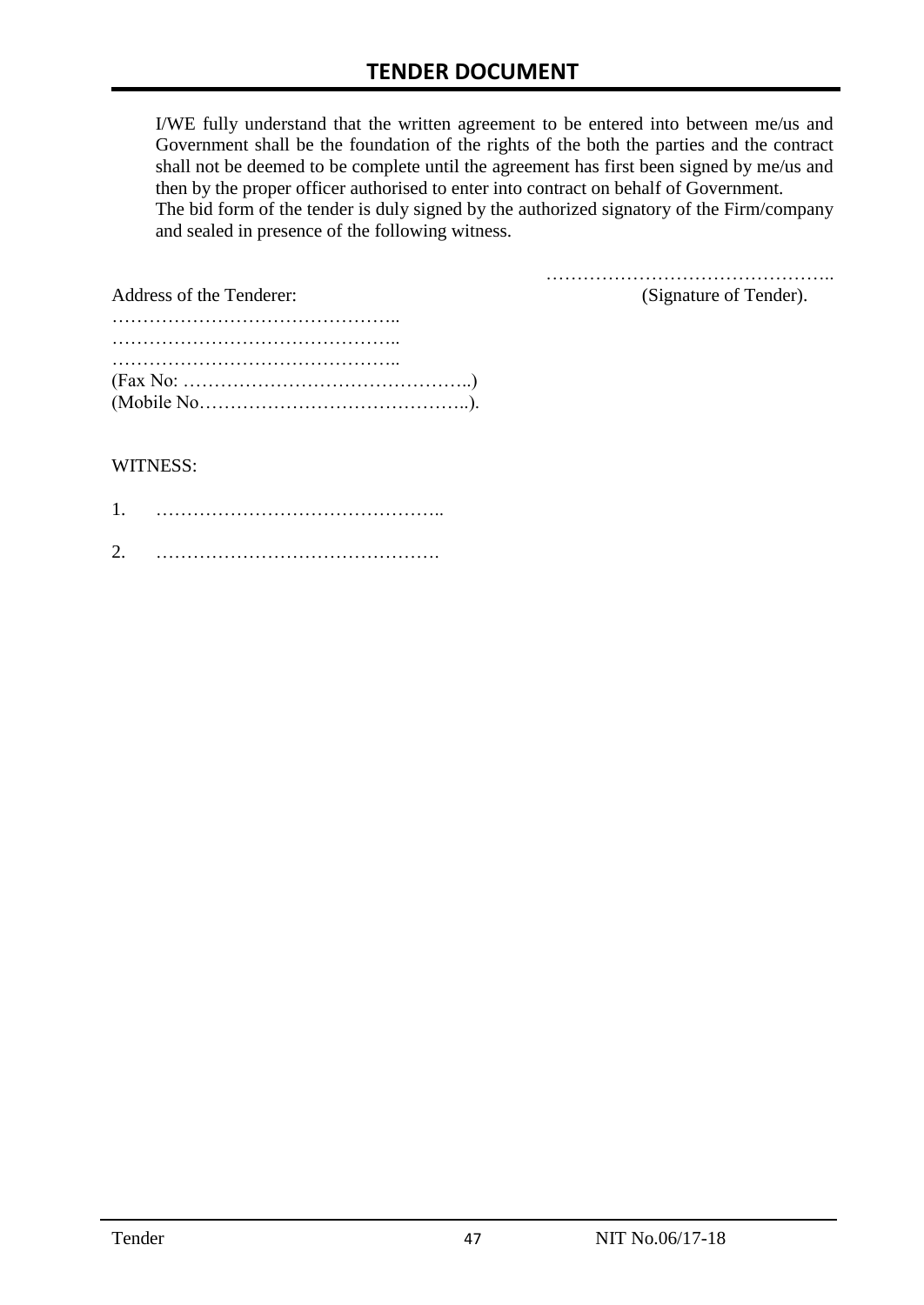I/WE fully understand that the written agreement to be entered into between me/us and Government shall be the foundation of the rights of the both the parties and the contract shall not be deemed to be complete until the agreement has first been signed by me/us and then by the proper officer authorised to enter into contract on behalf of Government. The bid form of the tender is duly signed by the authorized signatory of the Firm/company and sealed in presence of the following witness.

| Address of the Tenderer:                                                                  | (Signature of Tender). |
|-------------------------------------------------------------------------------------------|------------------------|
|                                                                                           |                        |
|                                                                                           |                        |
|                                                                                           |                        |
| $(Fax No: \dots \dots \dots \dots \dots \dots \dots \dots \dots \dots \dots \dots \dots)$ |                        |
|                                                                                           |                        |

#### WITNESS:

| ⌒ |  |
|---|--|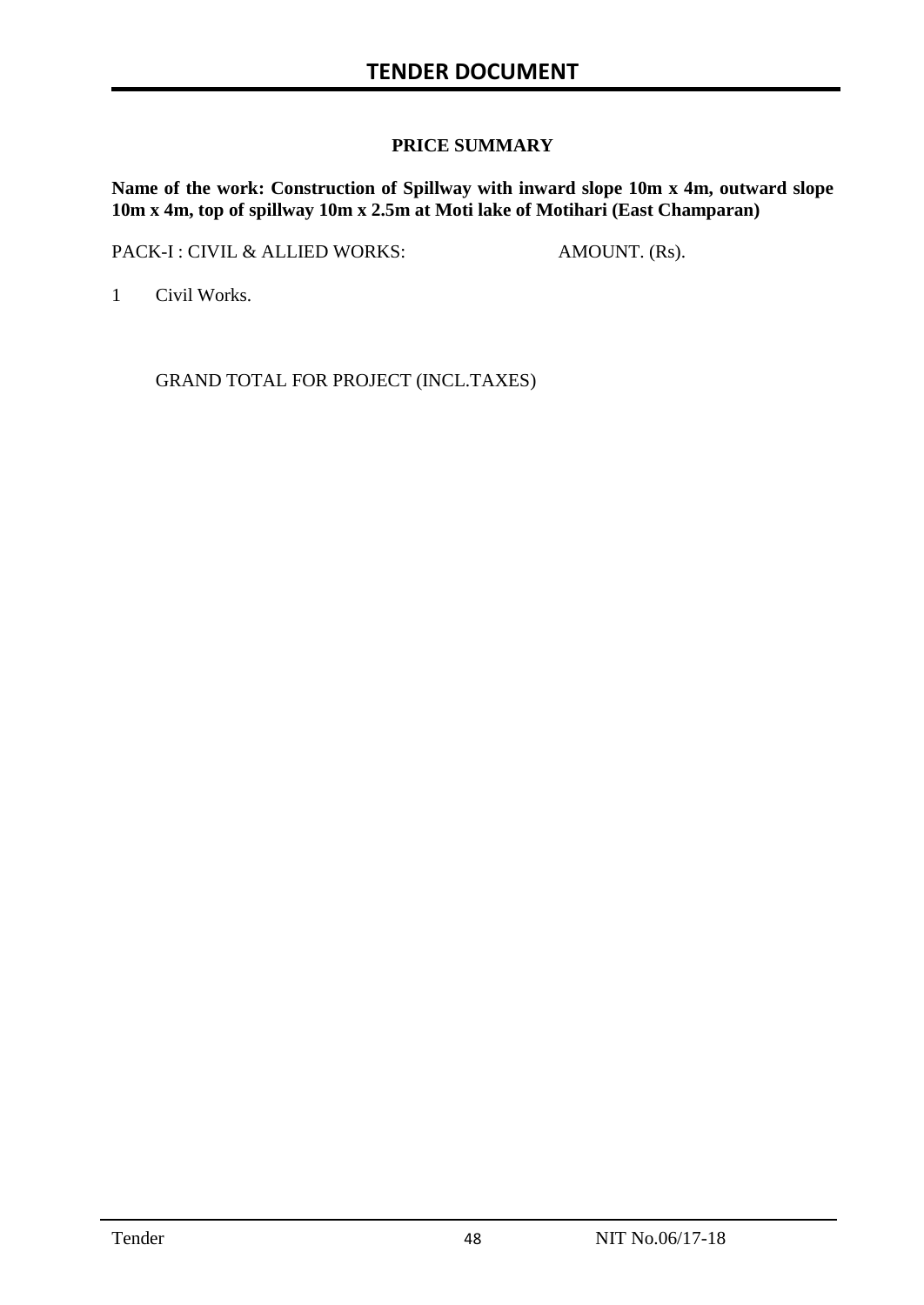### **PRICE SUMMARY**

**Name of the work: Construction of Spillway with inward slope 10m x 4m, outward slope 10m x 4m, top of spillway 10m x 2.5m at Moti lake of Motihari (East Champaran)**

PACK-I : CIVIL & ALLIED WORKS: AMOUNT. (Rs).

1 Civil Works.

GRAND TOTAL FOR PROJECT (INCL.TAXES)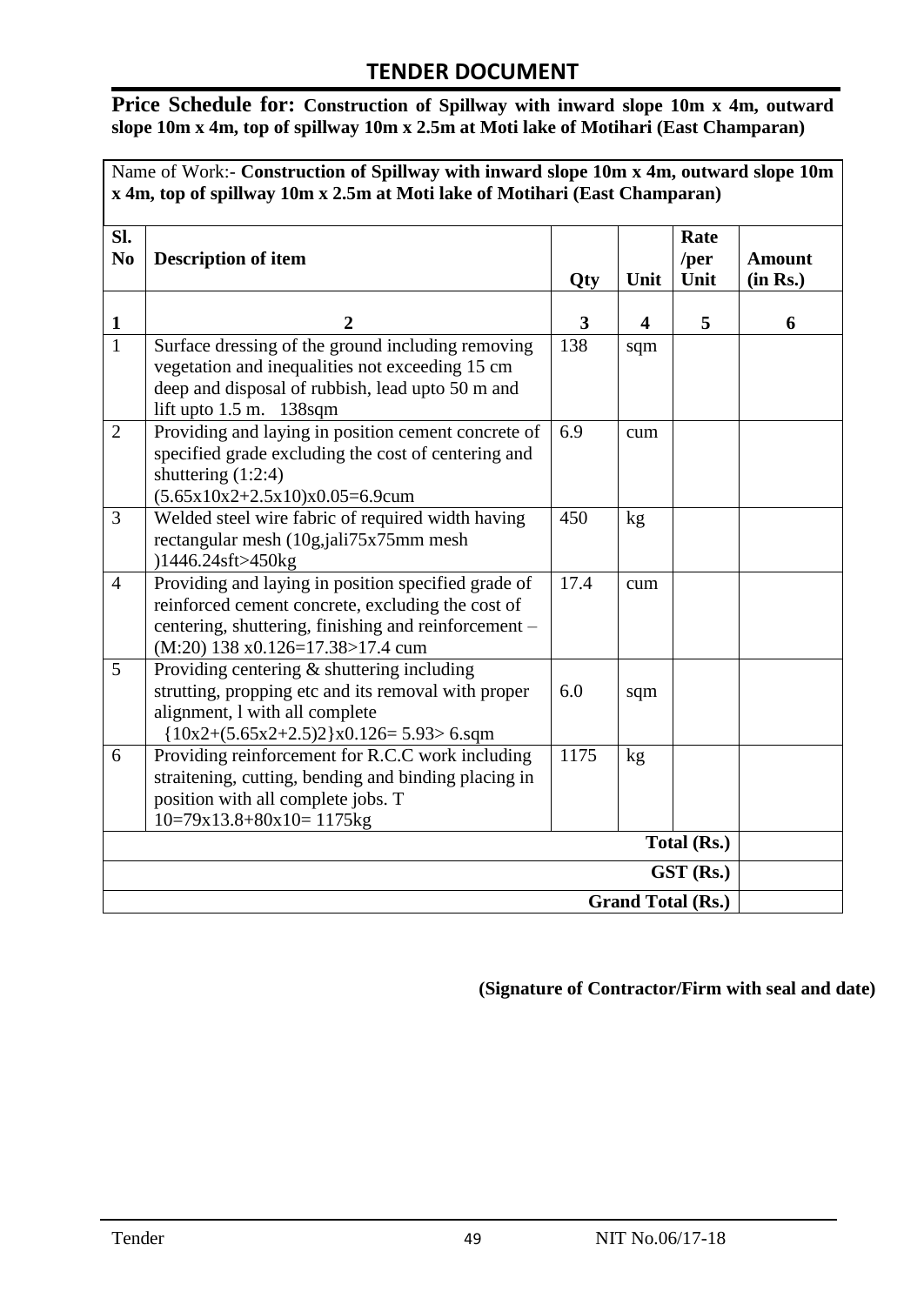**Price Schedule for: Construction of Spillway with inward slope 10m x 4m, outward slope 10m x 4m, top of spillway 10m x 2.5m at Moti lake of Motihari (East Champaran)**

Name of Work:- **Construction of Spillway with inward slope 10m x 4m, outward slope 10m x 4m, top of spillway 10m x 2.5m at Moti lake of Motihari (East Champaran)**

| Sl.<br>N <sub>0</sub> | <b>Description of item</b>                                                                                                                                                                             | <b>Qty</b> | Unit | Rate<br>/per<br>Unit | <b>Amount</b><br>(in Rs.) |  |
|-----------------------|--------------------------------------------------------------------------------------------------------------------------------------------------------------------------------------------------------|------------|------|----------------------|---------------------------|--|
| 1                     | $\overline{2}$                                                                                                                                                                                         | 3          | 4    | 5                    | 6                         |  |
| $\overline{1}$        | Surface dressing of the ground including removing<br>vegetation and inequalities not exceeding 15 cm<br>deep and disposal of rubbish, lead upto 50 m and<br>lift upto $1.5$ m. $138$ sqm               | 138        | sqm  |                      |                           |  |
| $\overline{2}$        | Providing and laying in position cement concrete of<br>specified grade excluding the cost of centering and<br>shuttering $(1:2:4)$<br>$(5.65x10x2+2.5x10)x0.05=6.9c$ cum                               | 6.9        | cum  |                      |                           |  |
| 3                     | Welded steel wire fabric of required width having<br>rectangular mesh (10g,jali75x75mm mesh)<br>)1446.24sft>450kg                                                                                      | 450        | kg   |                      |                           |  |
| $\overline{4}$        | Providing and laying in position specified grade of<br>reinforced cement concrete, excluding the cost of<br>centering, shuttering, finishing and reinforcement -<br>$(M:20)$ 138 x0.126=17.38>17.4 cum | 17.4       | cum  |                      |                           |  |
| 5                     | Providing centering $\&$ shuttering including<br>strutting, propping etc and its removal with proper<br>alignment, I with all complete<br>${10x2+(5.65x2+2.5)2}x0.126=5.93>6.sqm$                      | 6.0        | sqm  |                      |                           |  |
| 6                     | Providing reinforcement for R.C.C work including<br>straitening, cutting, bending and binding placing in<br>position with all complete jobs. T<br>$10=79x13.8+80x10=1175kg$                            | 1175       | kg   |                      |                           |  |
|                       |                                                                                                                                                                                                        |            |      | Total (Rs.)          |                           |  |
| GST (Rs.)             |                                                                                                                                                                                                        |            |      |                      |                           |  |
|                       | <b>Grand Total (Rs.)</b>                                                                                                                                                                               |            |      |                      |                           |  |

**(Signature of Contractor/Firm with seal and date)**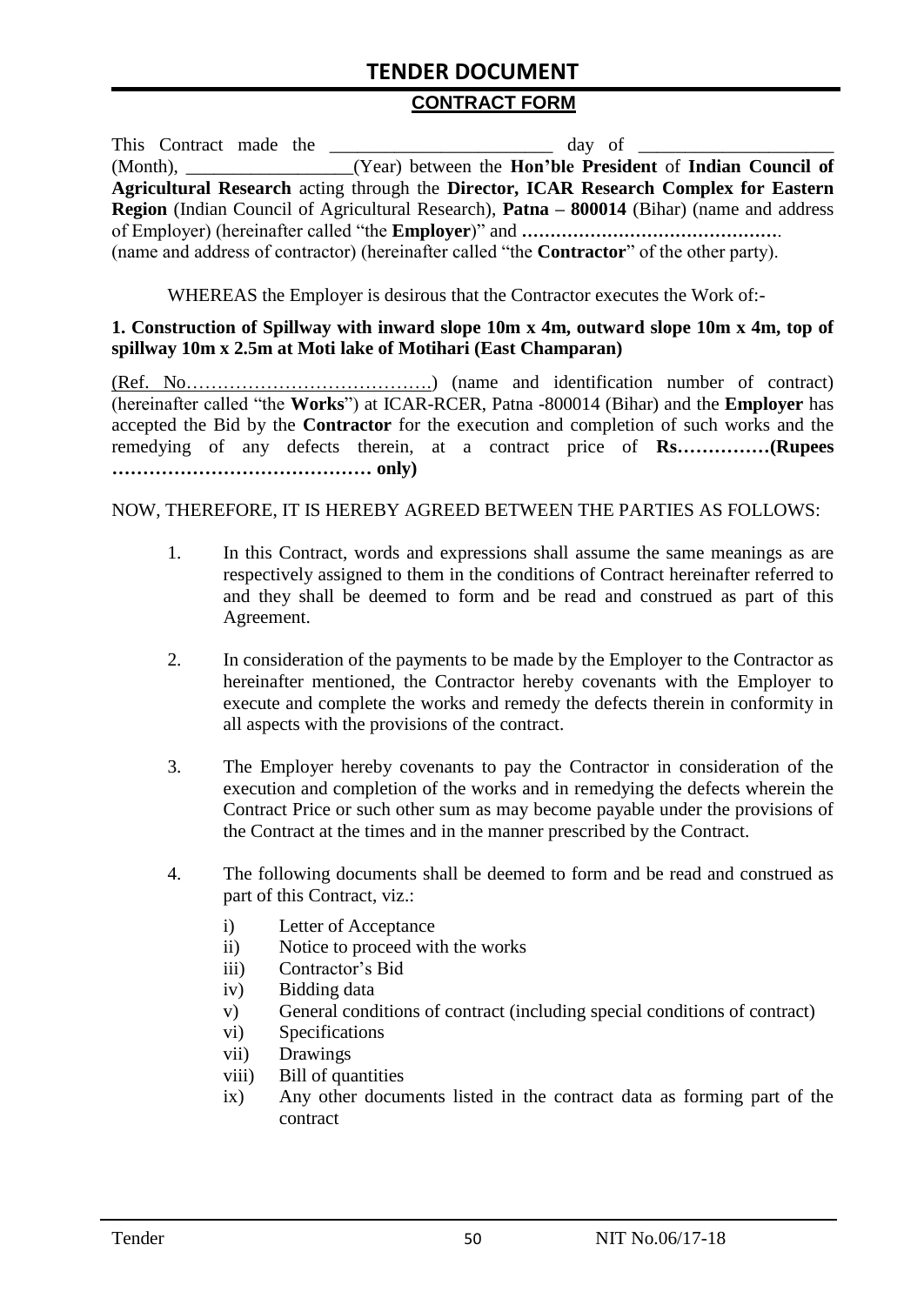#### **CONTRACT FORM**

| This Contract made the | day of                                                                                                   |
|------------------------|----------------------------------------------------------------------------------------------------------|
|                        | (Month), ____________________(Year) between the <b>Hon'ble President</b> of <b>Indian Council of</b>     |
|                        | Agricultural Research acting through the Director, ICAR Research Complex for Eastern                     |
|                        | <b>Region</b> (Indian Council of Agricultural Research), <b>Patna – 800014</b> (Bihar) (name and address |
|                        |                                                                                                          |
|                        | (name and address of contractor) (hereinafter called "the <b>Contractor</b> " of the other party).       |

WHEREAS the Employer is desirous that the Contractor executes the Work of:-

#### **1. Construction of Spillway with inward slope 10m x 4m, outward slope 10m x 4m, top of spillway 10m x 2.5m at Moti lake of Motihari (East Champaran)**

(Ref. No………………………………….) (name and identification number of contract) (hereinafter called "the **Works**") at ICAR-RCER, Patna -800014 (Bihar) and the **Employer** has accepted the Bid by the **Contractor** for the execution and completion of such works and the remedying of any defects therein, at a contract price of **Rs……………(Rupees …………………………………… only)**

#### NOW, THEREFORE, IT IS HEREBY AGREED BETWEEN THE PARTIES AS FOLLOWS:

- 1. In this Contract, words and expressions shall assume the same meanings as are respectively assigned to them in the conditions of Contract hereinafter referred to and they shall be deemed to form and be read and construed as part of this Agreement.
- 2. In consideration of the payments to be made by the Employer to the Contractor as hereinafter mentioned, the Contractor hereby covenants with the Employer to execute and complete the works and remedy the defects therein in conformity in all aspects with the provisions of the contract.
- 3. The Employer hereby covenants to pay the Contractor in consideration of the execution and completion of the works and in remedying the defects wherein the Contract Price or such other sum as may become payable under the provisions of the Contract at the times and in the manner prescribed by the Contract.
- 4. The following documents shall be deemed to form and be read and construed as part of this Contract, viz.:
	- i) Letter of Acceptance
	- ii) Notice to proceed with the works
	- iii) Contractor"s Bid
	- iv) Bidding data
	- v) General conditions of contract (including special conditions of contract)
	- vi) Specifications
	- vii) Drawings
	- viii) Bill of quantities
	- ix) Any other documents listed in the contract data as forming part of the contract